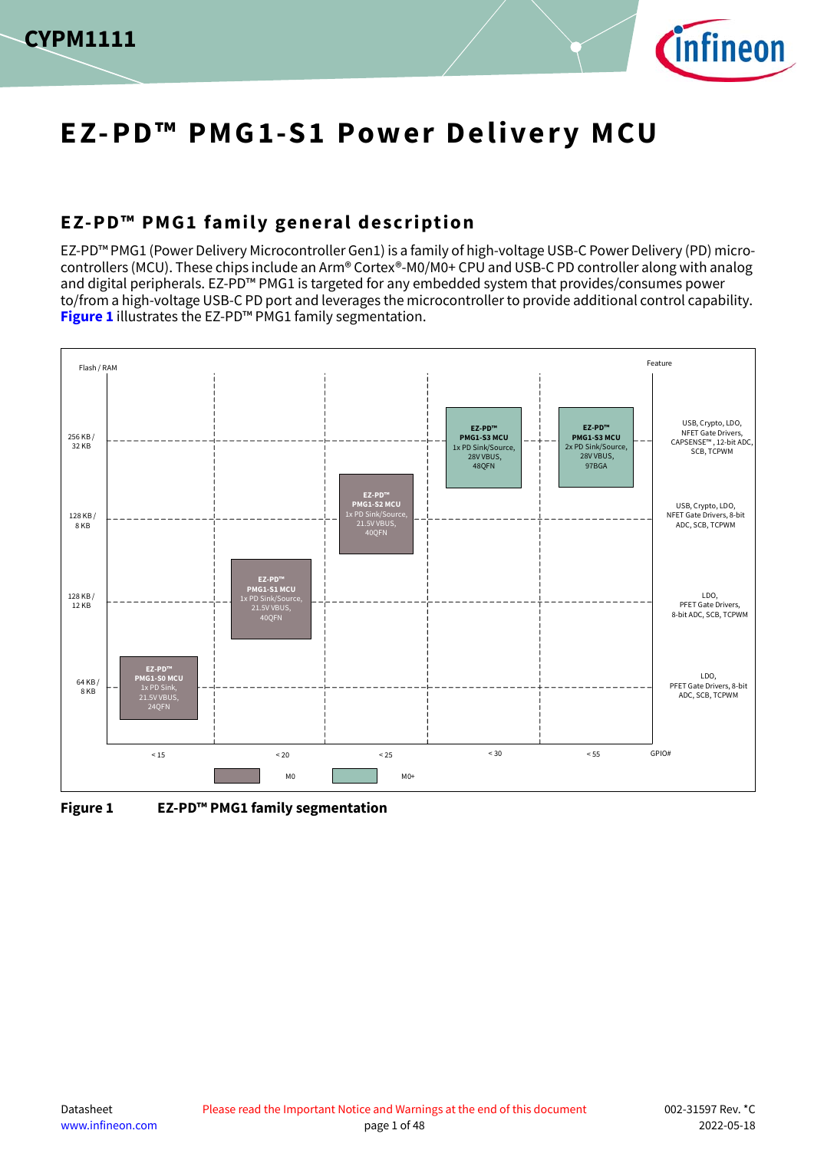



# **EZ-PD™ PMG1-S1 Power Delivery MCU**

## <span id="page-0-1"></span>**EZ-PD™ PMG1 family general description**

EZ-PD™ PMG1 (Power Delivery Microcontroller Gen1) is a family of high-voltage USB-C Power Delivery (PD) microcontrollers (MCU). These chips include an Arm® Cortex®-M0/M0+ CPU and USB-C PD controller along with analog and digital peripherals. EZ-PD™ PMG1 is targeted for any embedded system that provides/consumes power to/from a high-voltage USB-C PD port and leverages the microcontroller to provide additional control capability. **[Figure 1](#page-0-0)** illustrates the EZ-PD™ PMG1 family segmentation.



<span id="page-0-0"></span>**Figure 1 EZ-PD™ PMG1 family segmentation**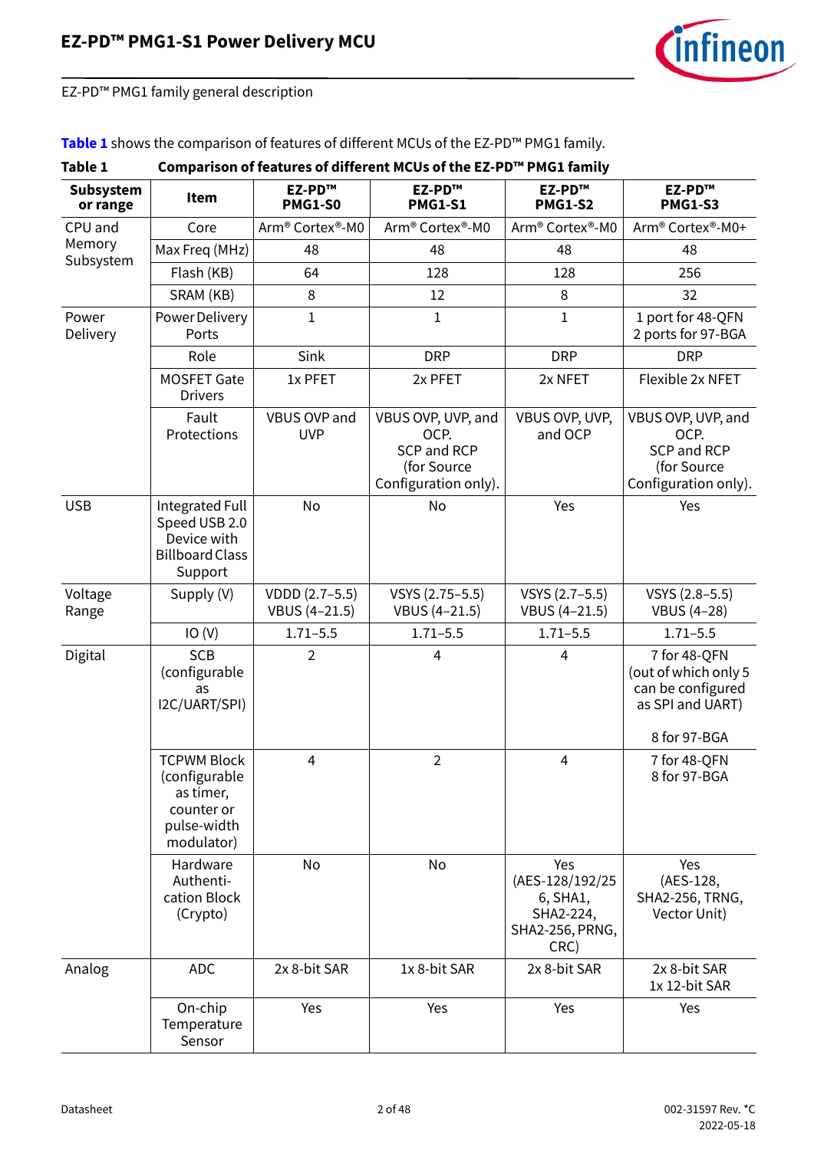

EZ-PD™ PMG1 family general description

#### **[Table 1](#page-1-0)** shows the comparison of features of different MCUs of the EZ-PD™ PMG1 family.

#### <span id="page-1-0"></span>**Table 1 Comparison of features of different MCUs of the EZ-PD™ PMG1 family Subsystem or range Item EZ-PD™ PMG1-S0 EZ-PD™ PMG1-S1 EZ-PD™ PMG1-S2 EZ-PD™ PMG1-S3** CPU and Memory Subsystem Core Arm® Cortex®-M0 Arm® Cortex®-M0 Arm® Cortex®-M0 Arm® Cortex®-M0+ Max Freq (MHz) | 48 | 48 48 | 48 | 48 Flash (KB) 64 128 128 256 SRAM (KB) | 8 | 12 | 8 | 32 Power Delivery Power Delivery Ports 1 1 1 1 port for 48-QFN 2 ports for 97-BGA Role | Sink | DRP | DRP | DRP MOSFET Gate Drivers 1x PFET  $\vert$  2x PFET  $\vert$  2x NFET  $\vert$  Flexible 2x NFET Fault **Protections** VBUS OVP and UVP VBUS OVP, UVP, and OCP. SCP and RCP (for Source Configuration only). VBUS OVP, UVP, and OCP VBUS OVP, UVP, and OCP. SCP and RCP (for Source Configuration only). USB | Integrated Full Speed USB 2.0 Device with Billboard Class Support No No Yes Yes Voltage Range Supply  $(V)$   $|$  VDDD  $(2.7-5.5)$ VBUS (4–21.5) VSYS (2.75–5.5) VBUS (4–21.5) VSYS (2.7–5.5) VBUS (4–21.5) VSYS (2.8–5.5) VBUS (4–28) IO (V) 1.71–5.5 1.71–5.5 1.71–5.5 1.71–5.5 Digital SCB (configurable as I2C/UART/SPI) 2 | 4 | 4 | 7 for 48-OFN (out of which only 5 can be configured as SPI and UART) 8 for 97-BGA TCPWM Block (configurable as timer, counter or pulse-width modulator) 4 2 4 7 for 48-QFN 8 for 97-BGA Hardware Authentication Block (Crypto) No No Yes (AES-128/192/25 6, SHA1, SHA2-224, SHA2-256, PRNG, CRC) Yes (AES-128, SHA2-256, TRNG, Vector Unit) Analog ADC 2x 8-bit SAR 1x 8-bit SAR 2x 8-bit SAR 2x 8-bit SAR 1x 12-bit SAR On-chip **Temperature** Sensor Yes Yes Yes Yes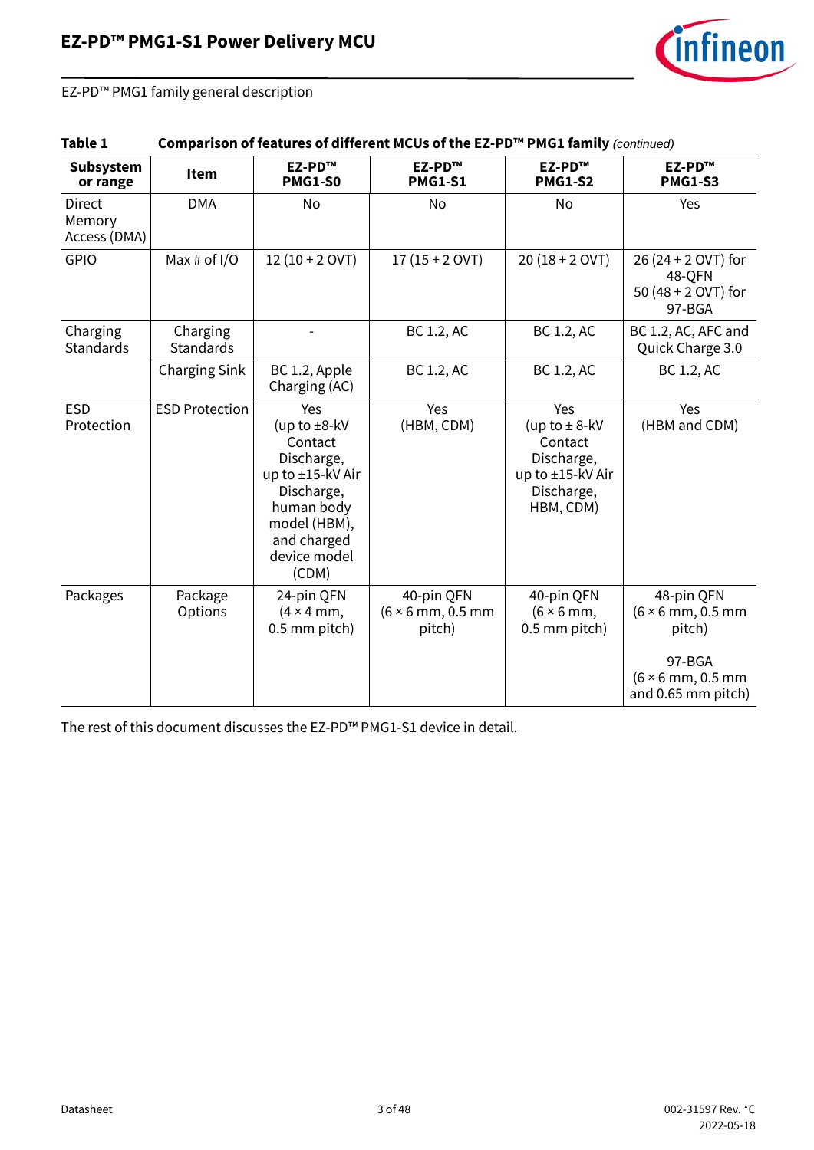

EZ-PD™ PMG1 family general description

| Table 1                                 |                              |                                                                                                                                                           | Comparison of features of different MCUs of the EZ-PD™ PMG1 family (continued) |                                                                                                  |                                                                                        |  |  |  |  |
|-----------------------------------------|------------------------------|-----------------------------------------------------------------------------------------------------------------------------------------------------------|--------------------------------------------------------------------------------|--------------------------------------------------------------------------------------------------|----------------------------------------------------------------------------------------|--|--|--|--|
| Subsystem<br>or range                   | Item                         | EZ-PD™<br><b>PMG1-S0</b>                                                                                                                                  | EZ-PD™<br><b>PMG1-S1</b>                                                       | EZ-PD™<br><b>PMG1-S2</b>                                                                         | EZ-PD™<br><b>PMG1-S3</b>                                                               |  |  |  |  |
| <b>Direct</b><br>Memory<br>Access (DMA) | <b>DMA</b>                   | No                                                                                                                                                        | No                                                                             | No                                                                                               | Yes                                                                                    |  |  |  |  |
| GPIO                                    | Max # of $I/O$               | $12(10 + 2$ OVT)                                                                                                                                          | $17(15 + 2$ OVT)                                                               | $20(18 + 2$ OVT)                                                                                 | 26 (24 + 2 OVT) for<br>48-QFN<br>50 (48 + 2 OVT) for<br>97-BGA                         |  |  |  |  |
| Charging<br><b>Standards</b>            | Charging<br><b>Standards</b> |                                                                                                                                                           | BC 1.2, AC                                                                     | BC 1.2, AC                                                                                       | BC 1.2, AC, AFC and<br>Quick Charge 3.0                                                |  |  |  |  |
|                                         | Charging Sink                | BC 1.2, Apple<br>Charging (AC)                                                                                                                            | BC 1.2, AC                                                                     | BC 1.2, AC                                                                                       | BC 1.2, AC                                                                             |  |  |  |  |
| <b>ESD</b><br>Protection                | <b>ESD Protection</b>        | Yes<br>(up to $\pm$ 8-kV<br>Contact<br>Discharge,<br>up to ±15-kV Air<br>Discharge,<br>human body<br>model (HBM),<br>and charged<br>device model<br>(CDM) | Yes<br>(HBM, CDM)                                                              | Yes<br>(up to $\pm$ 8-kV<br>Contact<br>Discharge,<br>up to ±15-kV Air<br>Discharge,<br>HBM, CDM) | Yes<br>(HBM and CDM)                                                                   |  |  |  |  |
| Packages                                | Package<br>Options           | 24-pin QFN<br>$(4 \times 4$ mm,<br>0.5 mm pitch)                                                                                                          | 40-pin QFN<br>$(6 \times 6$ mm, 0.5 mm<br>pitch)                               | 40-pin QFN<br>$(6 \times 6$ mm,<br>0.5 mm pitch)                                                 | 48-pin QFN<br>$(6 \times 6$ mm, 0.5 mm<br>pitch)<br>97-BGA<br>$(6 \times 6$ mm, 0.5 mm |  |  |  |  |
|                                         |                              |                                                                                                                                                           |                                                                                |                                                                                                  | and 0.65 mm pitch)                                                                     |  |  |  |  |

The rest of this document discusses the EZ-PD™ PMG1-S1 device in detail.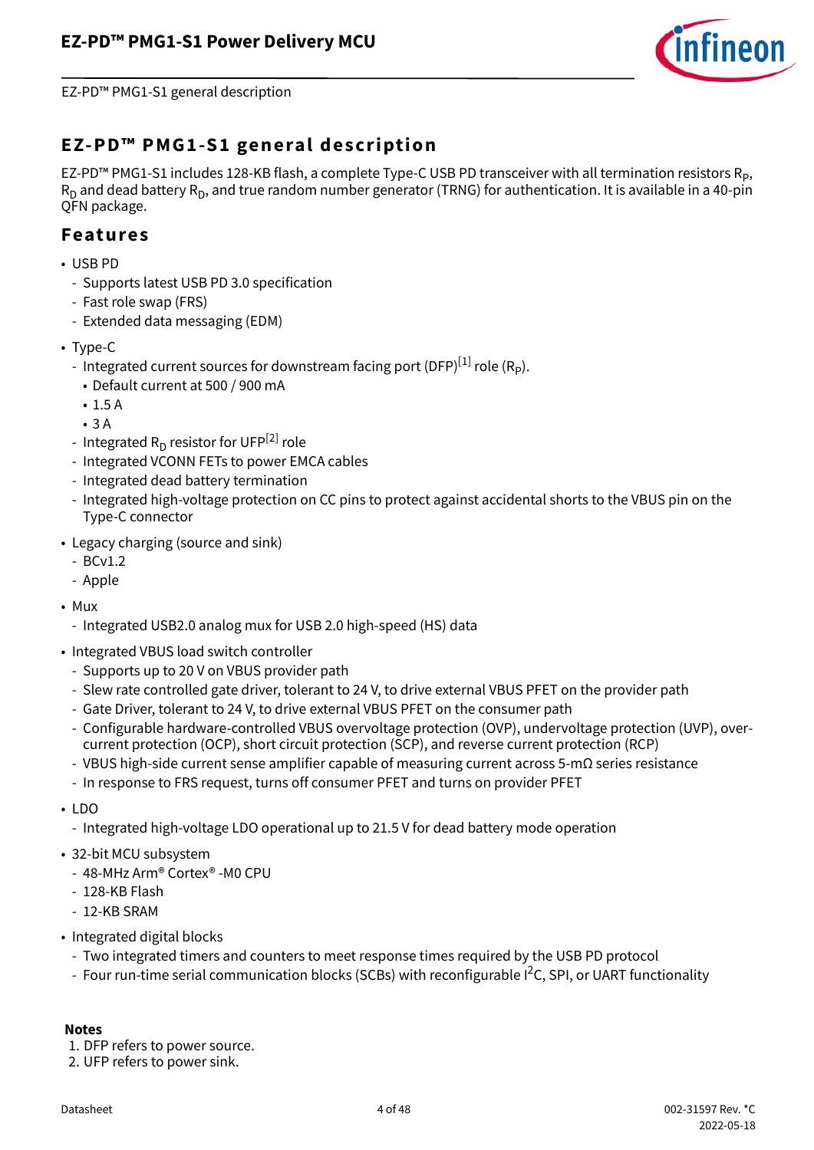

EZ-PD™ PMG1-S1 general description

### <span id="page-3-2"></span>**EZ-PD™ PMG1-S1 general description**

EZ-PD™ PMG1-S1 includes 128-KB flash, a complete Type-C USB PD transceiver with all termination resistors R<sub>P</sub>,  $R_D$  and dead battery  $R_D$ , and true random number generator (TRNG) for authentication. It is available in a 40-pin QFN package.

#### <span id="page-3-3"></span>**Features**

- USB PD
	- Supports latest USB PD 3.0 specification
	- Fast role swap (FRS)
	- Extended data messaging (EDM)
- Type-C
	- Integrated current sources for downstream facing port (DFP) $^{[1]}$  $^{[1]}$  $^{[1]}$  role (R<sub>p</sub>).
		- Default current at 500 / 900 mA
		- 1.5 A
	- 3 A
	- Integrated  $R_D$  resistor for UFP<sup>[[2](#page-3-1)]</sup> role
	- Integrated VCONN FETs to power EMCA cables
	- Integrated dead battery termination
	- Integrated high-voltage protection on CC pins to protect against accidental shorts to the VBUS pin on the Type-C connector
- Legacy charging (source and sink)
	- BCv1.2
	- Apple
- Mux
	- Integrated USB2.0 analog mux for USB 2.0 high-speed (HS) data
- <span id="page-3-4"></span>• Integrated VBUS load switch controller
	- Supports up to 20 V on VBUS provider path
	- Slew rate controlled gate driver, tolerant to 24 V, to drive external VBUS PFET on the provider path
	- Gate Driver, tolerant to 24 V, to drive external VBUS PFET on the consumer path
	- Configurable hardware-controlled VBUS overvoltage protection (OVP), undervoltage protection (UVP), overcurrent protection (OCP), short circuit protection (SCP), and reverse current protection (RCP)
	- VBUS high-side current sense amplifier capable of measuring current across 5-mΩ series resistance
	- In response to FRS request, turns off consumer PFET and turns on provider PFET
- LDO
	- Integrated high-voltage LDO operational up to 21.5 V for dead battery mode operation
- 32-bit MCU subsystem
	- 48-MHz Arm® Cortex® -M0 CPU
	- 128-KB Flash
	- 12-KB SRAM
- Integrated digital blocks
	- Two integrated timers and counters to meet response times required by the USB PD protocol
	- Four run-time serial communication blocks (SCBs) with reconfigurable I<sup>2</sup>C, SPI, or UART functionality

#### **Notes**

- <span id="page-3-0"></span>1. DFP refers to power source.
- <span id="page-3-1"></span>2. UFP refers to power sink.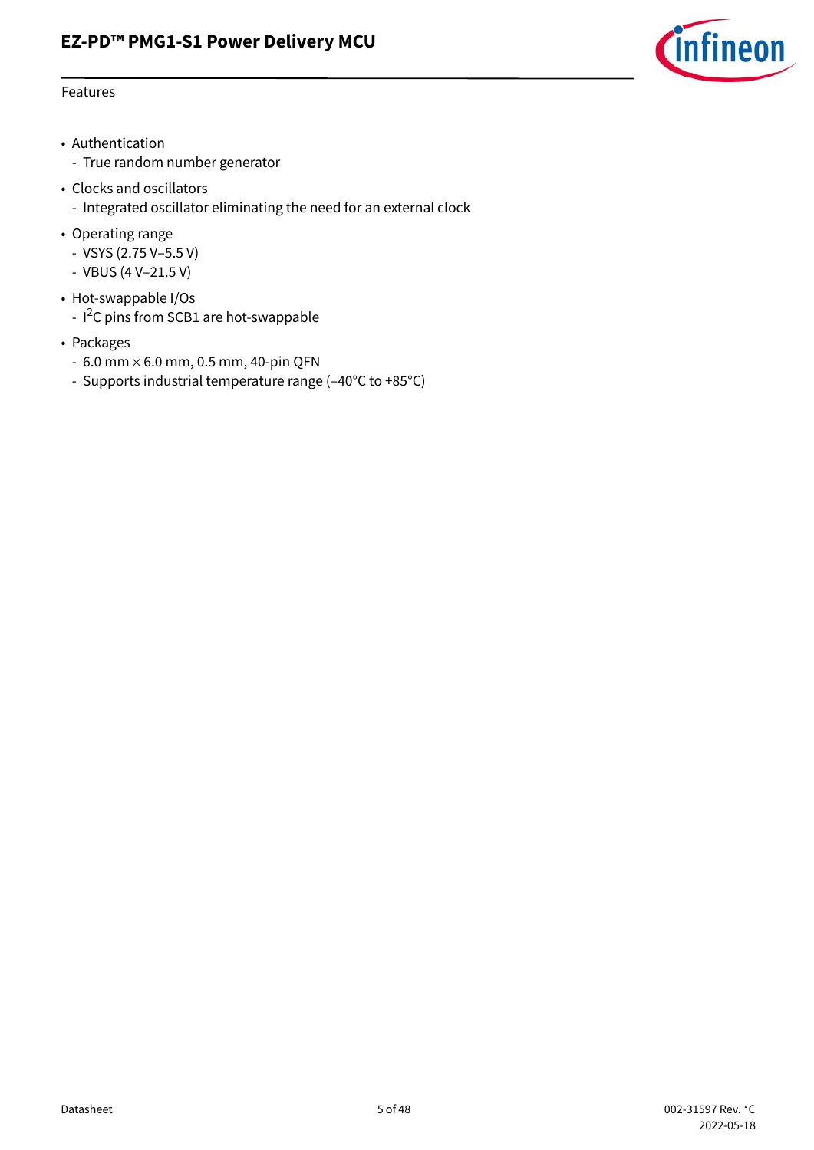

#### Features

- Authentication
	- True random number generator
- Clocks and oscillators
	- Integrated oscillator eliminating the need for an external clock
- Operating range
	- VSYS (2.75 V–5.5 V)
	- VBUS (4 V–21.5 V)
- Hot-swappable I/Os
	- I<sup>2</sup>C pins from SCB1 are hot-swappable
- Packages
	- $-6.0$  mm  $\times$  6.0 mm, 0.5 mm, 40-pin QFN
	- Supports industrial temperature range (–40°C to +85°C)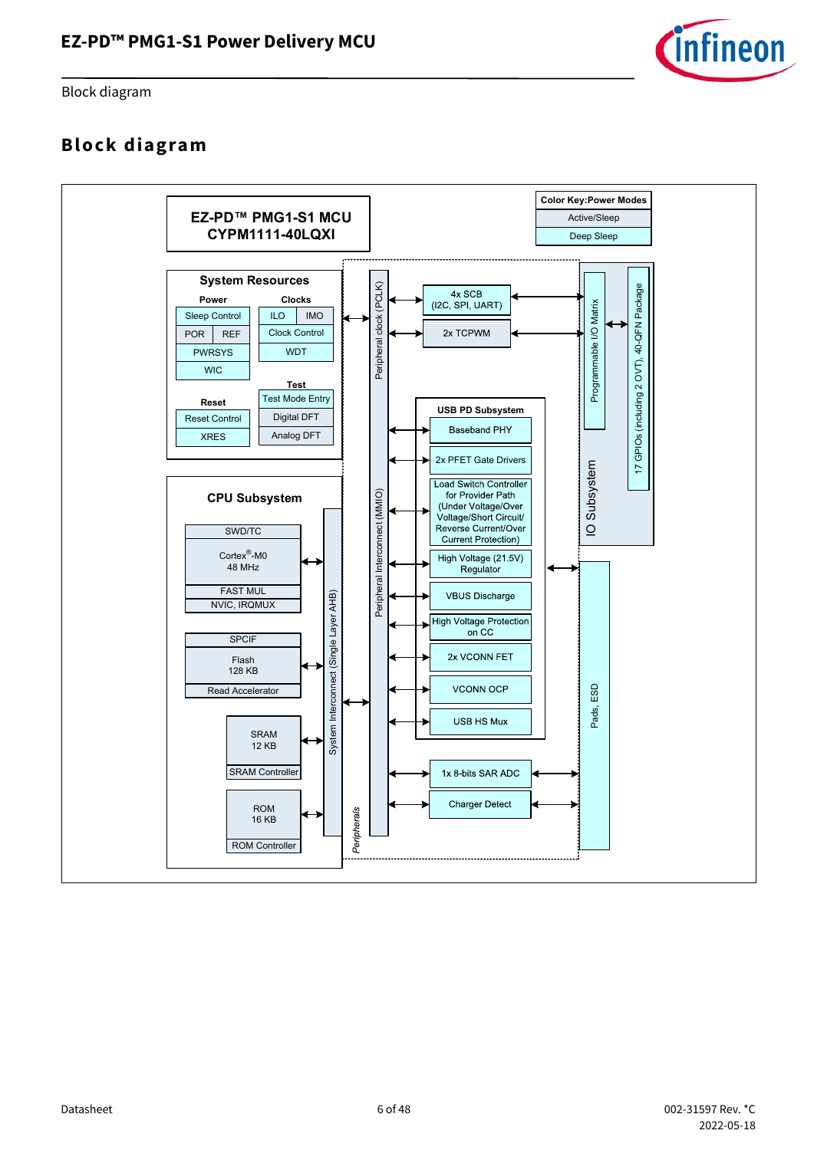

Block diagram

### <span id="page-5-0"></span>**Block diagram**

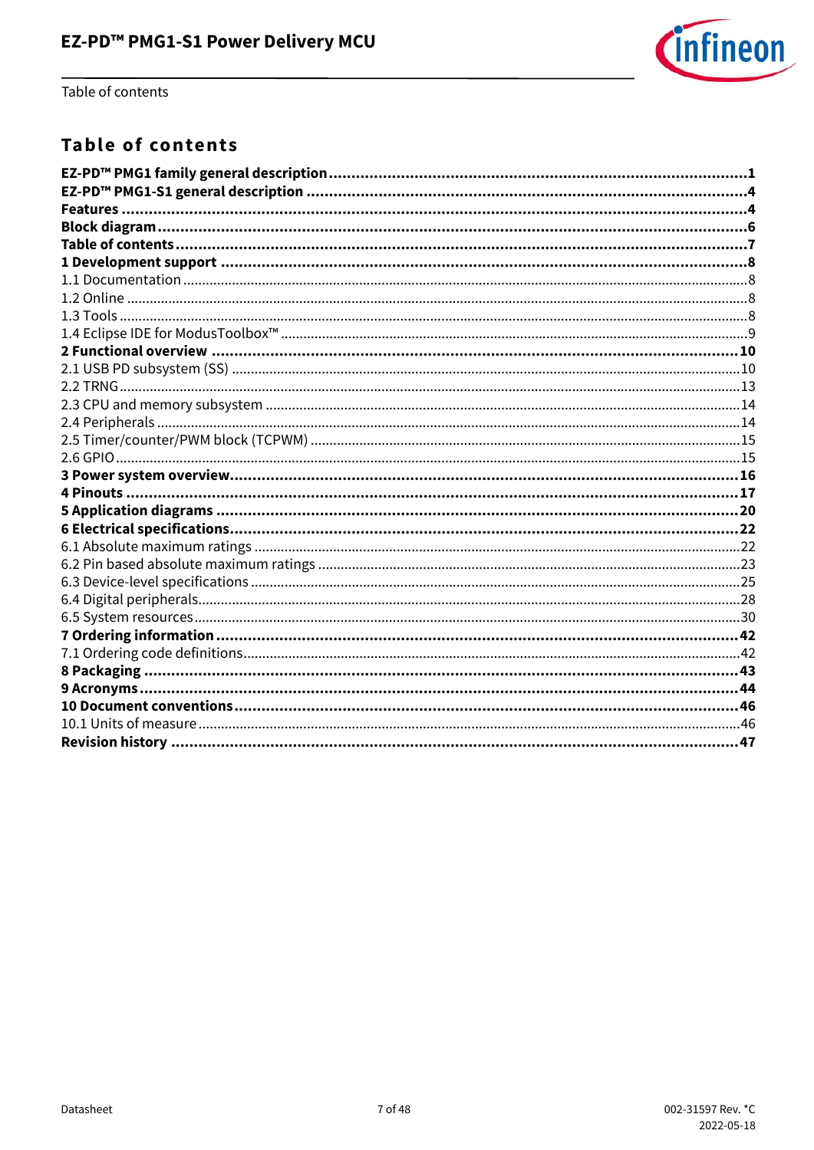

Table of contents

### <span id="page-6-0"></span>**Table of contents**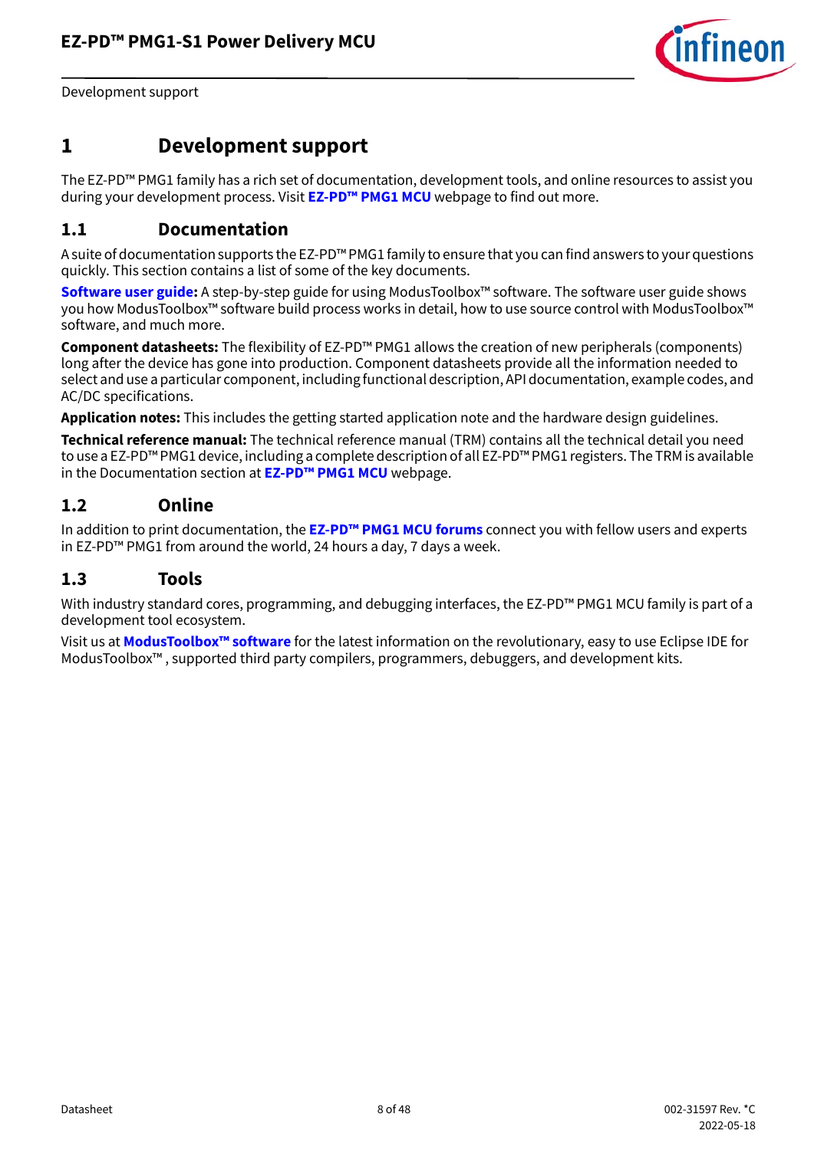

Development support

### <span id="page-7-0"></span>**1 Development support**

The EZ-PD™ PMG1 family has a rich set of documentation, development tools, and online resources to assist you during your development process. Visit **[EZ-PD™ PMG1 MCU](https://www.infineon.com/cms/en/product/universal-serial-bus-usb-power-delivery-controller/usb-c-and-power-delivery/ez-pd-pmg1-portfolio-high-voltage-mcus-usb-c-power-delivery/)** webpage to find out more.

#### <span id="page-7-1"></span>**1.1 Documentation**

A suite of documentation supports the EZ-PD™ PMG1 family to ensure that you can find answers to your questions quickly. This section contains a list of some of the key documents.

**[Software user guide:](https://www.infineon.com/dgdl/Infineon-ModusToolbox_2.2_User_Guide-Software-v02_40-EN.pdf?fileId=8ac78c8c7e7124d1017e912544870cb3)** A step-by-step guide for using ModusToolbox™ software. The software user guide shows you how ModusToolbox™ software build process works in detail, how to use source control with ModusToolbox™ software, and much more.

**Component datasheets:** The flexibility of EZ-PD™ PMG1 allows the creation of new peripherals (components) long after the device has gone into production. Component datasheets provide all the information needed to select and use a particular component, including functional description, API documentation, example codes, and AC/DC specifications.

**Application notes:** This includes the getting started application note and the hardware design guidelines.

**Technical reference manual:** The technical reference manual (TRM) contains all the technical detail you need to use a EZ-PD™ PMG1 device, including a complete description of all EZ-PD™ PMG1 registers. The TRM is available in the Documentation section at **[EZ-PD™ PMG1 MCU](https://www.infineon.com/cms/en/product/universal-serial-bus-usb-power-delivery-controller/usb-c-and-power-delivery/ez-pd-pmg1-portfolio-high-voltage-mcus-usb-c-power-delivery/)** webpage.

#### <span id="page-7-2"></span>**1.2 Online**

In addition to print documentation, the **[EZ-PD™ PMG1 MCU forums](https://community.infineon.com/t5/USB-EZ-PD-Type-C/bd-p/USBEZPDTypeC)** connect you with fellow users and experts in EZ-PD™ PMG1 from around the world, 24 hours a day, 7 days a week.

#### <span id="page-7-3"></span>**1.3 Tools**

With industry standard cores, programming, and debugging interfaces, the EZ-PD™ PMG1 MCU family is part of a development tool ecosystem.

Visit us at **[ModusToolbox™ software](https://www.infineon.com/cms/en/design-support/tools/sdk/modustoolbox-software/)** for the latest information on the revolutionary, easy to use Eclipse IDE for ModusToolbox™ , supported third party compilers, programmers, debuggers, and development kits.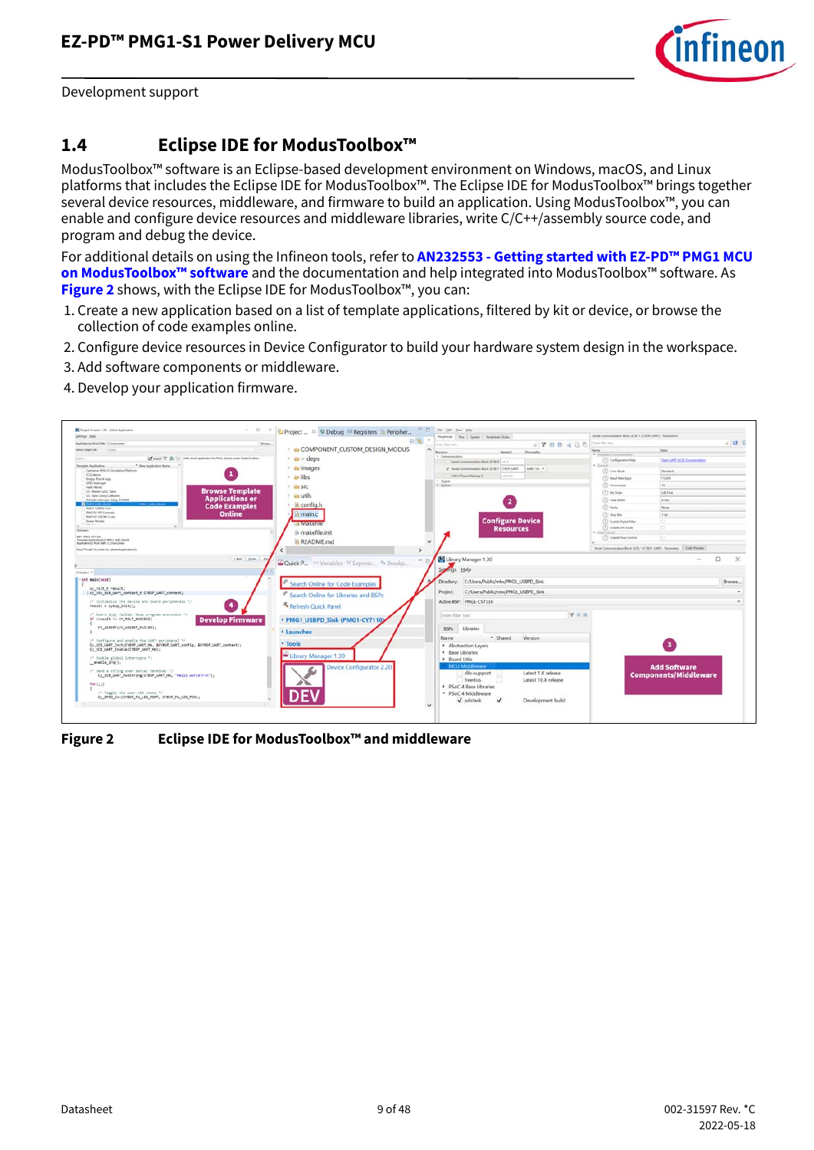

Development support

#### <span id="page-8-0"></span>**1.4 Eclipse IDE for ModusToolbox™**

ModusToolbox™ software is an Eclipse-based development environment on Windows, macOS, and Linux platforms that includes the Eclipse IDE for ModusToolbox™. The Eclipse IDE for ModusToolbox™ brings together several device resources, middleware, and firmware to build an application. Using ModusToolbox™, you can enable and configure device resources and middleware libraries, write C/C++/assembly source code, and program and debug the device.

For additional details on using the Infineon tools, refer to **[AN232553 - Getting started with EZ-PD™ PMG1 MCU](https://www.infineon.com/dgdl/Infineon-AN232553_Getting_started_with_EZ-PD_PMG1_MCU_on_ModusToolbox_software-ApplicationNotes-v02_00-EN.pdf?fileId=8ac78c8c7cdc391c017d0d3e98ed67ea)  [on ModusToolbox™ software](https://www.infineon.com/dgdl/Infineon-AN232553_Getting_started_with_EZ-PD_PMG1_MCU_on_ModusToolbox_software-ApplicationNotes-v02_00-EN.pdf?fileId=8ac78c8c7cdc391c017d0d3e98ed67ea)** and the documentation and help integrated into ModusToolbox™ software. As **[Figure 2](#page-8-1)** shows, with the Eclipse IDE for ModusToolbox™, you can:

- 1. Create a new application based on a list of template applications, filtered by kit or device, or browse the collection of code examples online.
- 2. Configure device resources in Device Configurator to build your hardware system design in the workspace.
- 3. Add software components or middleware.
- 4. Develop your application firmware.

<span id="page-8-1"></span>

**Figure 2 Eclipse IDE for ModusToolbox™ and middleware**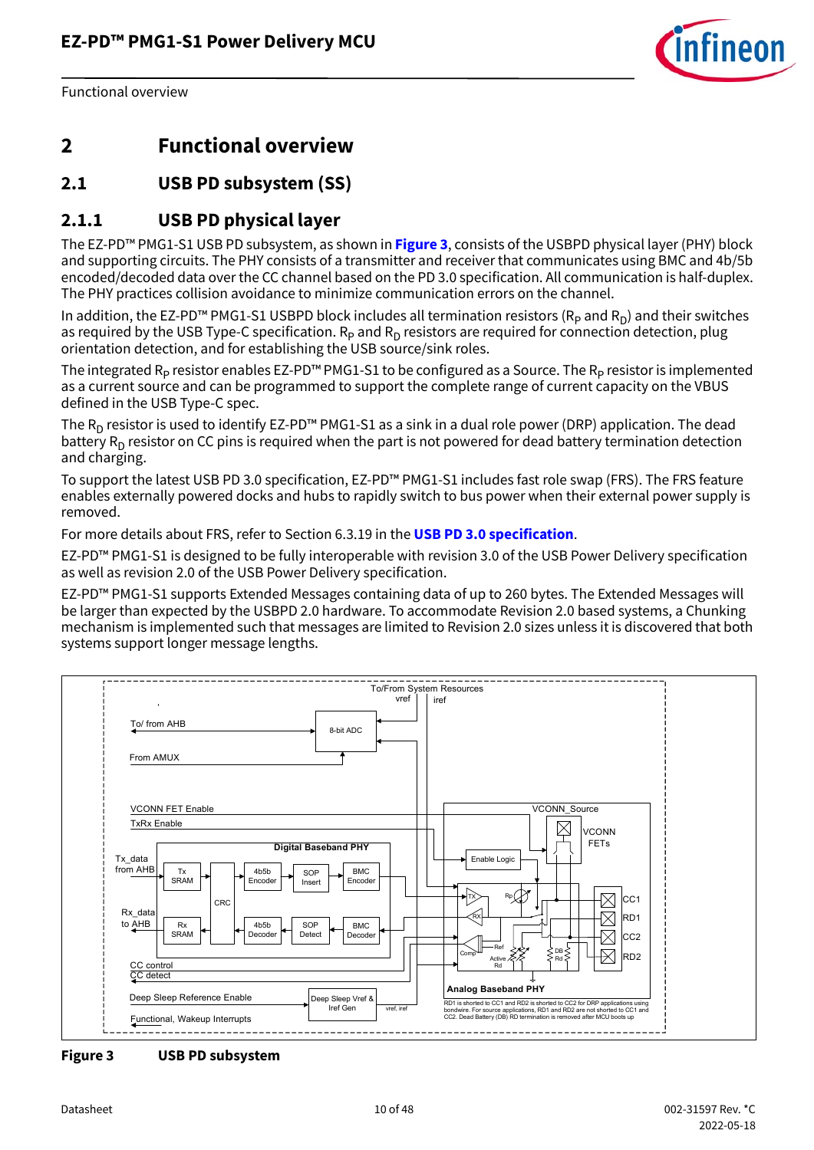

### <span id="page-9-0"></span>**2 Functional overview**

### <span id="page-9-1"></span>**2.1 USB PD subsystem (SS)**

#### **2.1.1 USB PD physical layer**

The EZ-PD™ PMG1-S1 USB PD subsystem, as shown in **[Figure 3](#page-9-2)**, consists of the USBPD physical layer (PHY) block and supporting circuits. The PHY consists of a transmitter and receiver that communicates using BMC and 4b/5b encoded/decoded data over the CC channel based on the PD 3.0 specification. All communication is half-duplex. The PHY practices collision avoidance to minimize communication errors on the channel.

In addition, the EZ-PD™ PMG1-S1 USBPD block includes all termination resistors ( $R_p$  and  $R_p$ ) and their switches as required by the USB Type-C specification.  $R_p$  and  $R_p$  resistors are required for connection detection, plug orientation detection, and for establishing the USB source/sink roles.

The integrated  $R_p$  resistor enables EZ-PD™ PMG1-S1 to be configured as a Source. The  $R_p$  resistor is implemented as a current source and can be programmed to support the complete range of current capacity on the VBUS defined in the USB Type-C spec.

The  $R_D$  resistor is used to identify EZ-PD<sup>™</sup> PMG1-S1 as a sink in a dual role power (DRP) application. The dead battery  $R_D$  resistor on CC pins is required when the part is not powered for dead battery termination detection and charging.

To support the latest USB PD 3.0 specification, EZ-PD™ PMG1-S1 includes fast role swap (FRS). The FRS feature enables externally powered docks and hubs to rapidly switch to bus power when their external power supply is removed.

For more details about FRS, refer to Section 6.3.19 in the **[USB PD 3.0 specification](http://www.usb.org/developers/powerdelivery/)**.

EZ-PD™ PMG1-S1 is designed to be fully interoperable with revision 3.0 of the USB Power Delivery specification as well as revision 2.0 of the USB Power Delivery specification.

EZ-PD™ PMG1-S1 supports Extended Messages containing data of up to 260 bytes. The Extended Messages will be larger than expected by the USBPD 2.0 hardware. To accommodate Revision 2.0 based systems, a Chunking mechanism is implemented such that messages are limited to Revision 2.0 sizes unless it is discovered that both systems support longer message lengths.



<span id="page-9-2"></span>**Figure 3 USB PD subsystem**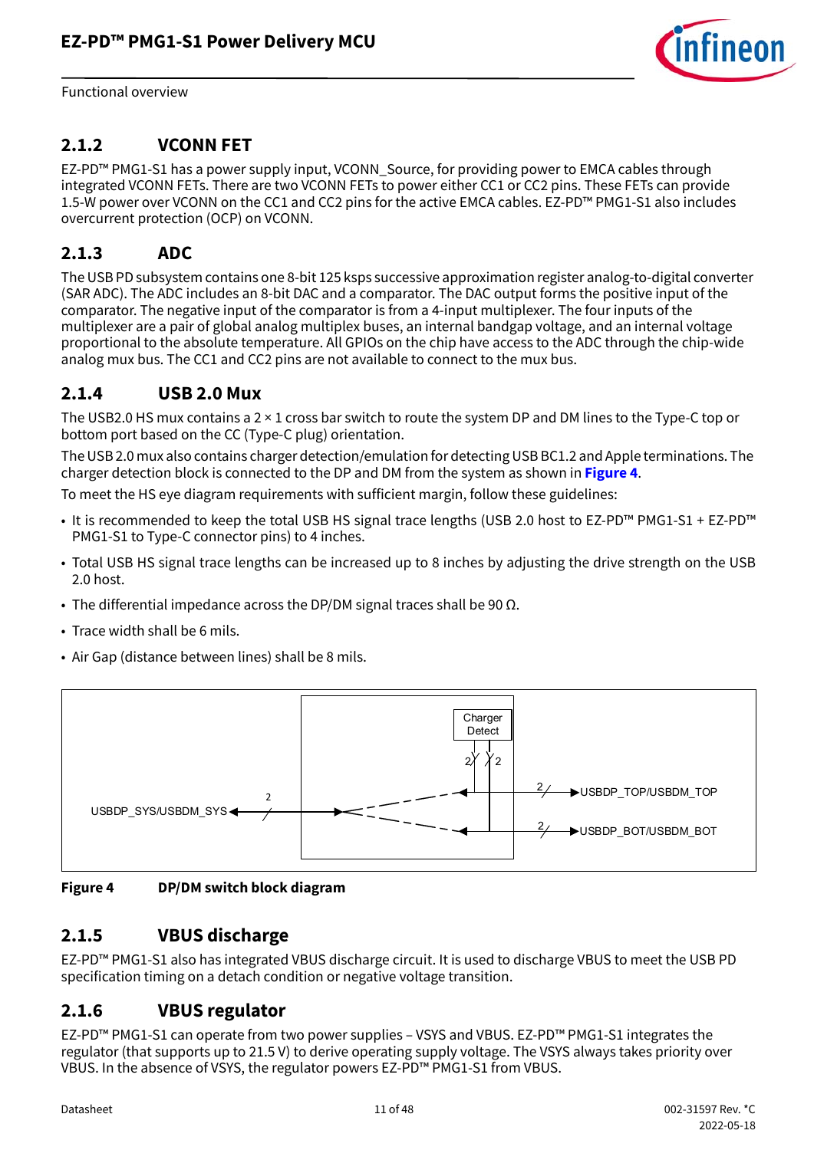

### **2.1.2 VCONN FET**

EZ-PD™ PMG1-S1 has a power supply input, VCONN\_Source, for providing power to EMCA cables through integrated VCONN FETs. There are two VCONN FETs to power either CC1 or CC2 pins. These FETs can provide 1.5-W power over VCONN on the CC1 and CC2 pins for the active EMCA cables. EZ-PD™ PMG1-S1 also includes overcurrent protection (OCP) on VCONN.

#### **2.1.3 ADC**

The USB PD subsystem contains one 8-bit 125 ksps successive approximation register analog-to-digital converter (SAR ADC). The ADC includes an 8-bit DAC and a comparator. The DAC output forms the positive input of the comparator. The negative input of the comparator is from a 4-input multiplexer. The four inputs of the multiplexer are a pair of global analog multiplex buses, an internal bandgap voltage, and an internal voltage proportional to the absolute temperature. All GPIOs on the chip have access to the ADC through the chip-wide analog mux bus. The CC1 and CC2 pins are not available to connect to the mux bus.

#### **2.1.4 USB 2.0 Mux**

The USB2.0 HS mux contains a  $2 \times 1$  cross bar switch to route the system DP and DM lines to the Type-C top or bottom port based on the CC (Type-C plug) orientation.

The USB 2.0 mux also contains charger detection/emulation for detecting USB BC1.2 and Apple terminations. The charger detection block is connected to the DP and DM from the system as shown in **[Figure 4](#page-10-0)**.

To meet the HS eye diagram requirements with sufficient margin, follow these guidelines:

- It is recommended to keep the total USB HS signal trace lengths (USB 2.0 host to EZ-PD™ PMG1-S1 + EZ-PD™ PMG1-S1 to Type-C connector pins) to 4 inches.
- Total USB HS signal trace lengths can be increased up to 8 inches by adjusting the drive strength on the USB 2.0 host.
- The differential impedance across the DP/DM signal traces shall be 90  $\Omega$ .
- Trace width shall be 6 mils.
- Air Gap (distance between lines) shall be 8 mils.



<span id="page-10-0"></span>**Figure 4 DP/DM switch block diagram**

#### **2.1.5 VBUS discharge**

EZ-PD™ PMG1-S1 also has integrated VBUS discharge circuit. It is used to discharge VBUS to meet the USB PD specification timing on a detach condition or negative voltage transition.

#### **2.1.6 VBUS regulator**

EZ-PD™ PMG1-S1 can operate from two power supplies – VSYS and VBUS. EZ-PD™ PMG1-S1 integrates the regulator (that supports up to 21.5 V) to derive operating supply voltage. The VSYS always takes priority over VBUS. In the absence of VSYS, the regulator powers EZ-PD™ PMG1-S1 from VBUS.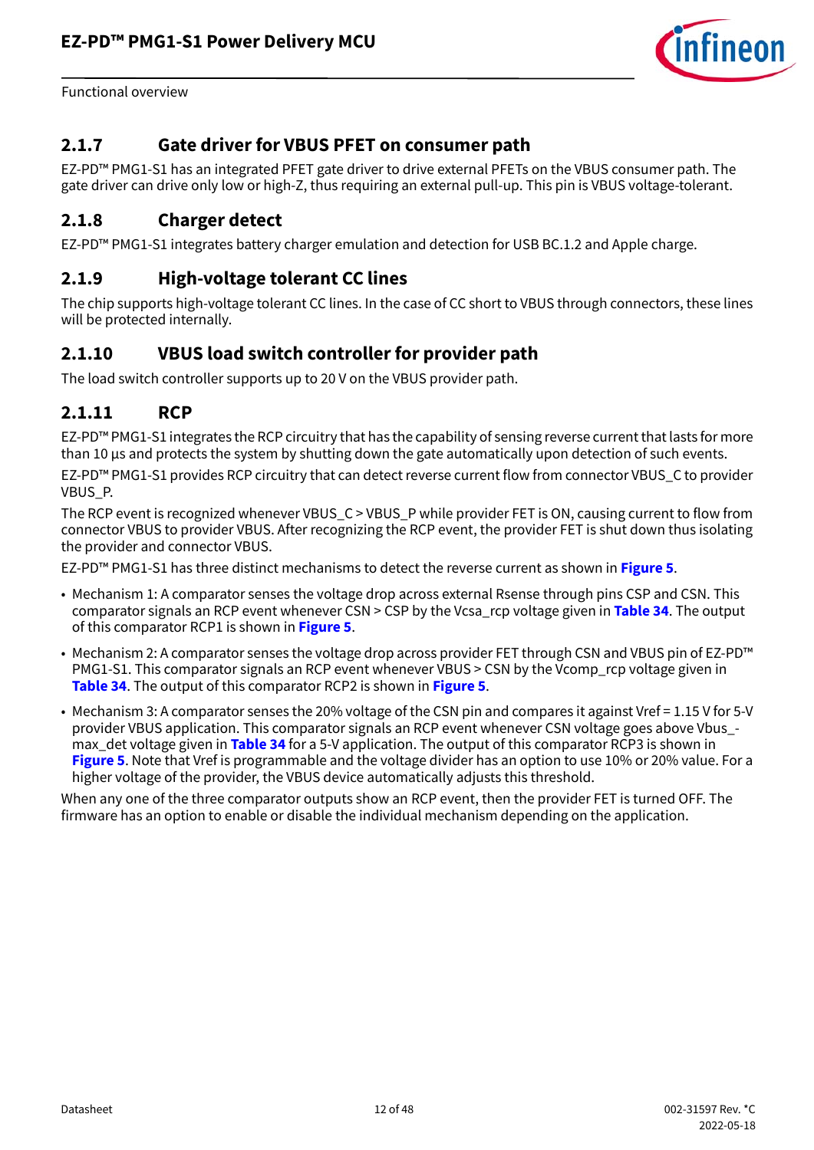

#### **2.1.7 Gate driver for VBUS PFET on consumer path**

EZ-PD™ PMG1-S1 has an integrated PFET gate driver to drive external PFETs on the VBUS consumer path. The gate driver can drive only low or high-Z, thus requiring an external pull-up. This pin is VBUS voltage-tolerant.

#### **2.1.8 Charger detect**

EZ-PD™ PMG1-S1 integrates battery charger emulation and detection for USB BC.1.2 and Apple charge.

#### **2.1.9 High-voltage tolerant CC lines**

The chip supports high-voltage tolerant CC lines. In the case of CC short to VBUS through connectors, these lines will be protected internally.

### <span id="page-11-0"></span>**2.1.10 VBUS load switch controller for provider path**

The load switch controller supports up to 20 V on the VBUS provider path.

#### <span id="page-11-1"></span>**2.1.11 RCP**

EZ-PD™ PMG1-S1 integrates the RCP circuitry that has the capability of sensing reverse current that lasts for more than 10 µs and protects the system by shutting down the gate automatically upon detection of such events.

EZ-PD™ PMG1-S1 provides RCP circuitry that can detect reverse current flow from connector VBUS\_C to provider VBUS\_P.

The RCP event is recognized whenever VBUS\_C > VBUS\_P while provider FET is ON, causing current to flow from connector VBUS to provider VBUS. After recognizing the RCP event, the provider FET is shut down thus isolating the provider and connector VBUS.

EZ-PD™ PMG1-S1 has three distinct mechanisms to detect the reverse current as shown in **[Figure 5](#page-12-1)**.

- Mechanism 1: A comparator senses the voltage drop across external Rsense through pins CSP and CSN. This comparator signals an RCP event whenever CSN > CSP by the Vcsa\_rcp voltage given in **[Table 34](#page-36-0)**. The output of this comparator RCP1 is shown in **[Figure 5](#page-12-1)**.
- Mechanism 2: A comparator senses the voltage drop across provider FET through CSN and VBUS pin of EZ-PD™ PMG1-S1. This comparator signals an RCP event whenever VBUS > CSN by the Vcomp\_rcp voltage given in **[Table 34](#page-36-0)**. The output of this comparator RCP2 is shown in **[Figure 5](#page-12-1)**.
- Mechanism 3: A comparator senses the 20% voltage of the CSN pin and compares it against Vref = 1.15 V for 5-V provider VBUS application. This comparator signals an RCP event whenever CSN voltage goes above Vbus\_ max\_det voltage given in **[Table 34](#page-36-0)** for a 5-V application. The output of this comparator RCP3 is shown in **[Figure 5](#page-12-1)**. Note that Vref is programmable and the voltage divider has an option to use 10% or 20% value. For a higher voltage of the provider, the VBUS device automatically adjusts this threshold.

When any one of the three comparator outputs show an RCP event, then the provider FET is turned OFF. The firmware has an option to enable or disable the individual mechanism depending on the application.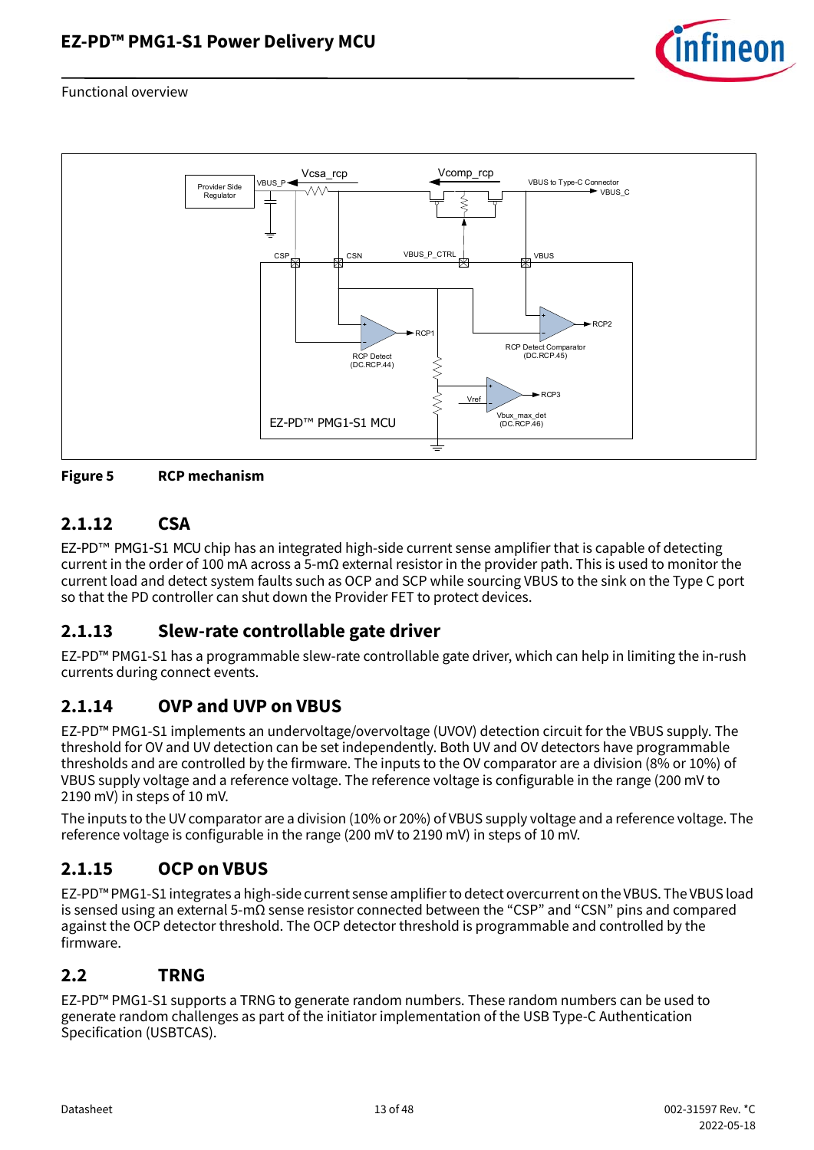



<span id="page-12-1"></span>**Figure 5 RCP mechanism**

### **2.1.12 CSA**

EZ-PD™ PMG1-S1 MCU chip has an integrated high-side current sense amplifier that is capable of detecting current in the order of 100 mA across a 5-mΩ external resistor in the provider path. This is used to monitor the current load and detect system faults such as OCP and SCP while sourcing VBUS to the sink on the Type C port so that the PD controller can shut down the Provider FET to protect devices.

### **2.1.13 Slew-rate controllable gate driver**

EZ-PD™ PMG1-S1 has a programmable slew-rate controllable gate driver, which can help in limiting the in-rush currents during connect events.

### **2.1.14 OVP and UVP on VBUS**

EZ-PD™ PMG1-S1 implements an undervoltage/overvoltage (UVOV) detection circuit for the VBUS supply. The threshold for OV and UV detection can be set independently. Both UV and OV detectors have programmable thresholds and are controlled by the firmware. The inputs to the OV comparator are a division (8% or 10%) of VBUS supply voltage and a reference voltage. The reference voltage is configurable in the range (200 mV to 2190 mV) in steps of 10 mV.

The inputs to the UV comparator are a division (10% or 20%) of VBUS supply voltage and a reference voltage. The reference voltage is configurable in the range (200 mV to 2190 mV) in steps of 10 mV.

### **2.1.15 OCP on VBUS**

EZ-PD™ PMG1-S1 integrates a high-side current sense amplifier to detect overcurrent on the VBUS. The VBUS load is sensed using an external 5-mΩ sense resistor connected between the "CSP" and "CSN" pins and compared against the OCP detector threshold. The OCP detector threshold is programmable and controlled by the firmware.

#### <span id="page-12-0"></span>**2.2 TRNG**

EZ-PD™ PMG1-S1 supports a TRNG to generate random numbers. These random numbers can be used to generate random challenges as part of the initiator implementation of the USB Type-C Authentication Specification (USBTCAS).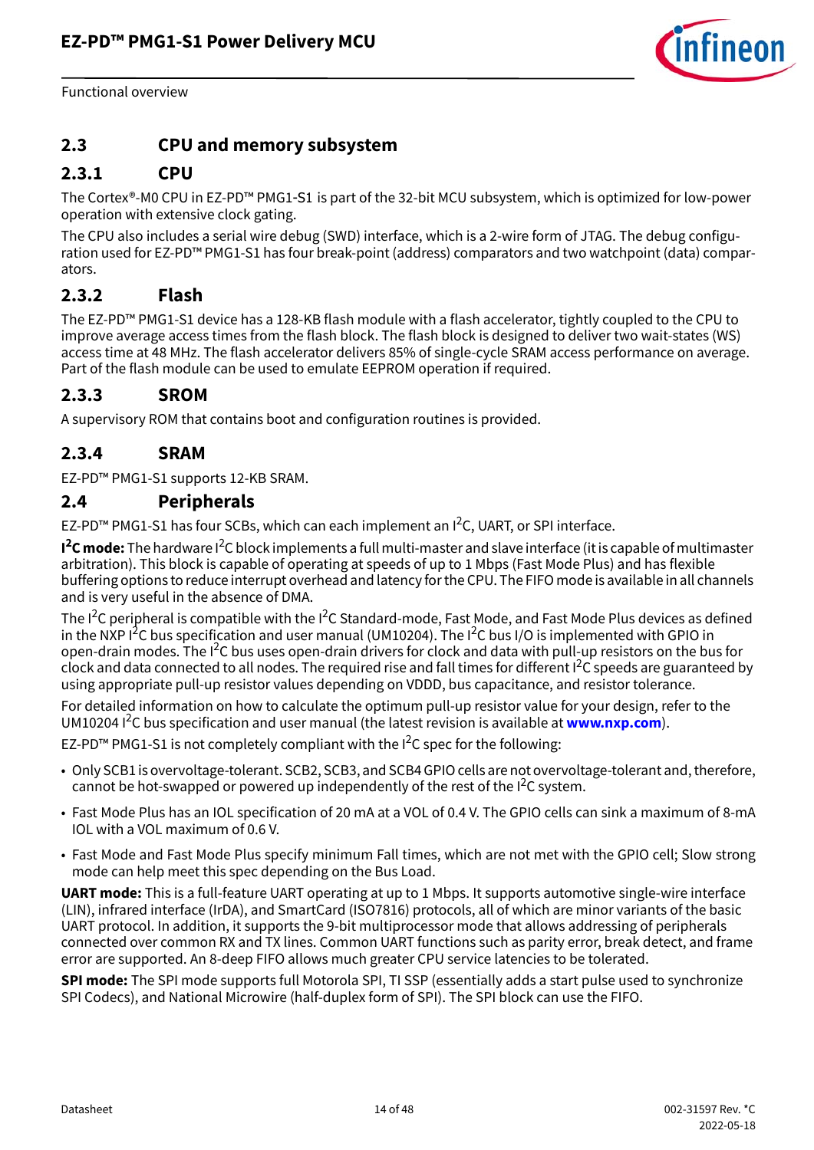

#### <span id="page-13-0"></span>**2.3 CPU and memory subsystem**

#### **2.3.1 CPU**

The Cortex®-M0 CPU in EZ-PD™ PMG1-S1 is part of the 32-bit MCU subsystem, which is optimized for low-power operation with extensive clock gating.

The CPU also includes a serial wire debug (SWD) interface, which is a 2-wire form of JTAG. The debug configuration used for EZ-PD™ PMG1-S1 has four break-point (address) comparators and two watchpoint (data) comparators.

#### **2.3.2 Flash**

The EZ-PD™ PMG1-S1 device has a 128-KB flash module with a flash accelerator, tightly coupled to the CPU to improve average access times from the flash block. The flash block is designed to deliver two wait-states (WS) access time at 48 MHz. The flash accelerator delivers 85% of single-cycle SRAM access performance on average. Part of the flash module can be used to emulate EEPROM operation if required.

#### **2.3.3 SROM**

A supervisory ROM that contains boot and configuration routines is provided.

#### **2.3.4 SRAM**

EZ-PD™ PMG1-S1 supports 12-KB SRAM.

#### <span id="page-13-1"></span>**2.4 Peripherals**

EZ-PD™ PMG1-S1 has four SCBs, which can each implement an I<sup>2</sup>C, UART, or SPI interface.

**I<sup>2</sup>C mode:** The hardware I<sup>2</sup>C block implements a full multi-master and slave interface (it is capable of multimaster arbitration). This block is capable of operating at speeds of up to 1 Mbps (Fast Mode Plus) and has flexible buffering options to reduce interrupt overhead and latency for the CPU. The FIFO mode is available in all channels and is very useful in the absence of DMA.

The I<sup>2</sup>C peripheral is compatible with the I<sup>2</sup>C Standard-mode, Fast Mode, and Fast Mode Plus devices as defined in the NXP I<sup>2</sup>C bus specification and user manual (UM10204). The I<sup>2</sup>C bus I/O is implemented with GPIO in open-drain modes. The I2C bus uses open-drain drivers for clock and data with pull-up resistors on the bus for clock and data connected to all nodes. The required rise and fall times for different I<sup>2</sup>C speeds are guaranteed by using appropriate pull-up resistor values depending on VDDD, bus capacitance, and resistor tolerance.

For detailed information on how to calculate the optimum pull-up resistor value for your design, refer to the UM10204 I<sup>2</sup>C bus specification and user manual (the latest revision is available at <www.nxp.com>).

EZ-PD™ PMG1-S1 is not completely compliant with the  $I^2C$  spec for the following:

- Only SCB1 is overvoltage-tolerant. SCB2, SCB3, and SCB4 GPIO cells are not overvoltage-tolerant and, therefore, cannot be hot-swapped or powered up independently of the rest of the  $I^2C$  system.
- Fast Mode Plus has an IOL specification of 20 mA at a VOL of 0.4 V. The GPIO cells can sink a maximum of 8-mA IOL with a VOL maximum of 0.6 V.
- Fast Mode and Fast Mode Plus specify minimum Fall times, which are not met with the GPIO cell; Slow strong mode can help meet this spec depending on the Bus Load.

**UART mode:** This is a full-feature UART operating at up to 1 Mbps. It supports automotive single-wire interface (LIN), infrared interface (IrDA), and SmartCard (ISO7816) protocols, all of which are minor variants of the basic UART protocol. In addition, it supports the 9-bit multiprocessor mode that allows addressing of peripherals connected over common RX and TX lines. Common UART functions such as parity error, break detect, and frame error are supported. An 8-deep FIFO allows much greater CPU service latencies to be tolerated.

**SPI mode:** The SPI mode supports full Motorola SPI, TI SSP (essentially adds a start pulse used to synchronize SPI Codecs), and National Microwire (half-duplex form of SPI). The SPI block can use the FIFO.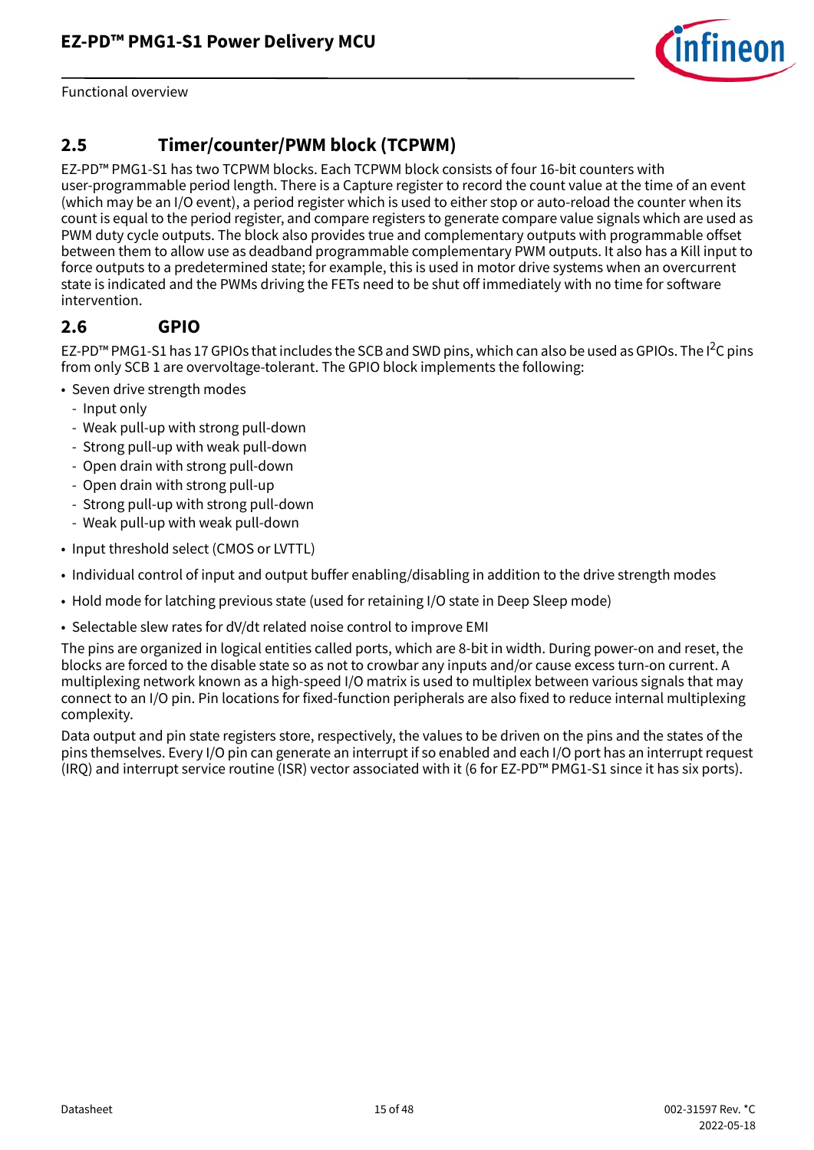

### <span id="page-14-0"></span>**2.5 Timer/counter/PWM block (TCPWM)**

EZ-PD™ PMG1-S1 has two TCPWM blocks. Each TCPWM block consists of four 16-bit counters with user-programmable period length. There is a Capture register to record the count value at the time of an event (which may be an I/O event), a period register which is used to either stop or auto-reload the counter when its count is equal to the period register, and compare registers to generate compare value signals which are used as PWM duty cycle outputs. The block also provides true and complementary outputs with programmable offset between them to allow use as deadband programmable complementary PWM outputs. It also has a Kill input to force outputs to a predetermined state; for example, this is used in motor drive systems when an overcurrent state is indicated and the PWMs driving the FETs need to be shut off immediately with no time for software intervention.

#### <span id="page-14-1"></span>**2.6 GPIO**

EZ-PD™ PMG1-S1 has 17 GPIOs that includes the SCB and SWD pins, which can also be used as GPIOs. The I<sup>2</sup>C pins from only SCB 1 are overvoltage-tolerant. The GPIO block implements the following:

- Seven drive strength modes
	- Input only
	- Weak pull-up with strong pull-down
	- Strong pull-up with weak pull-down
	- Open drain with strong pull-down
	- Open drain with strong pull-up
	- Strong pull-up with strong pull-down
	- Weak pull-up with weak pull-down
- Input threshold select (CMOS or LVTTL)
- Individual control of input and output buffer enabling/disabling in addition to the drive strength modes
- Hold mode for latching previous state (used for retaining I/O state in Deep Sleep mode)
- Selectable slew rates for dV/dt related noise control to improve EMI

The pins are organized in logical entities called ports, which are 8-bit in width. During power-on and reset, the blocks are forced to the disable state so as not to crowbar any inputs and/or cause excess turn-on current. A multiplexing network known as a high-speed I/O matrix is used to multiplex between various signals that may connect to an I/O pin. Pin locations for fixed-function peripherals are also fixed to reduce internal multiplexing complexity.

Data output and pin state registers store, respectively, the values to be driven on the pins and the states of the pins themselves. Every I/O pin can generate an interrupt if so enabled and each I/O port has an interrupt request (IRQ) and interrupt service routine (ISR) vector associated with it (6 for EZ-PD™ PMG1-S1 since it has six ports).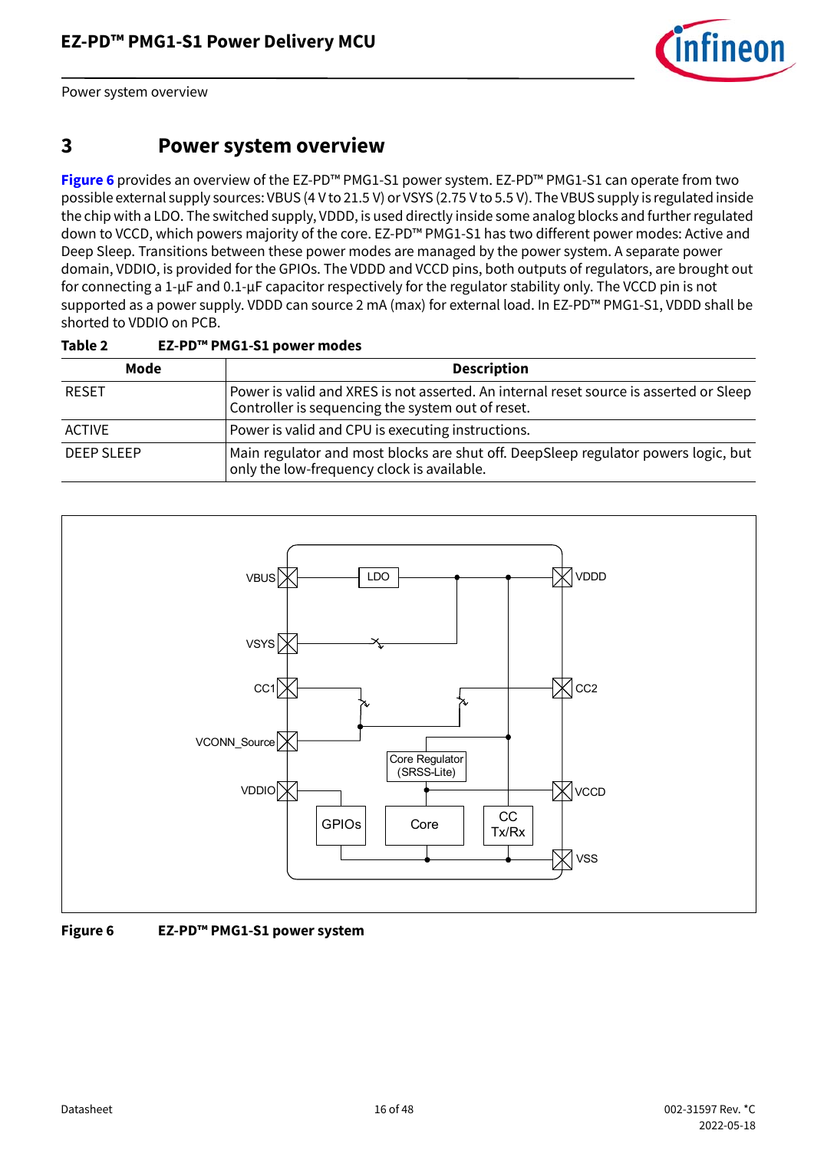

Power system overview

### <span id="page-15-0"></span>**3 Power system overview**

**[Figure 6](#page-15-1)** provides an overview of the EZ-PD™ PMG1-S1 power system. EZ-PD™ PMG1-S1 can operate from two possible external supply sources: VBUS (4 V to 21.5 V) or VSYS (2.75 V to 5.5 V). The VBUS supply is regulated inside the chip with a LDO. The switched supply, VDDD, is used directly inside some analog blocks and further regulated down to VCCD, which powers majority of the core. EZ-PD™ PMG1-S1 has two different power modes: Active and Deep Sleep. Transitions between these power modes are managed by the power system. A separate power domain, VDDIO, is provided for the GPIOs. The VDDD and VCCD pins, both outputs of regulators, are brought out for connecting a 1-µF and 0.1-µF capacitor respectively for the regulator stability only. The VCCD pin is not supported as a power supply. VDDD can source 2 mA (max) for external load. In EZ-PD™ PMG1-S1, VDDD shall be shorted to VDDIO on PCB.

| Mode              | <b>Description</b>                                                                                                                          |
|-------------------|---------------------------------------------------------------------------------------------------------------------------------------------|
| <b>RESET</b>      | Power is valid and XRES is not asserted. An internal reset source is asserted or Sleep<br>Controller is sequencing the system out of reset. |
| <b>ACTIVE</b>     | Power is valid and CPU is executing instructions.                                                                                           |
| <b>DEEP SLEEP</b> | Main regulator and most blocks are shut off. DeepSleep regulator powers logic, but<br>only the low-frequency clock is available.            |

#### **Table 2 EZ-PD™ PMG1-S1 power modes**



<span id="page-15-1"></span>**Figure 6 EZ-PD™ PMG1-S1 power system**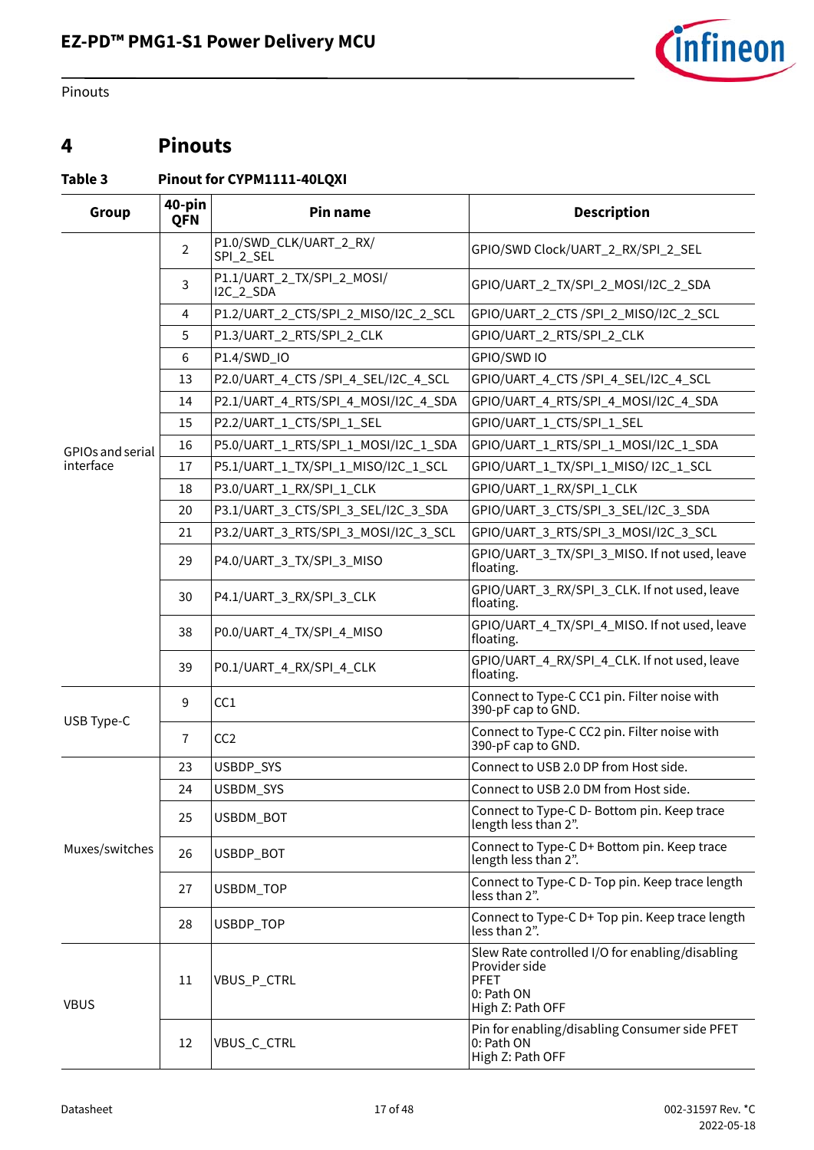

Pinouts

### <span id="page-16-0"></span>**4 Pinouts**

<span id="page-16-1"></span>**Table 3 Pinout for CYPM1111-40LQXI**

| 40-pin<br>Group<br>Pin name<br>QFN |                |                                         | <b>Description</b>                                                                                                |  |  |  |
|------------------------------------|----------------|-----------------------------------------|-------------------------------------------------------------------------------------------------------------------|--|--|--|
|                                    | $\overline{2}$ | P1.0/SWD_CLK/UART_2_RX/<br>SPI_2_SEL    | GPIO/SWD Clock/UART_2_RX/SPI_2_SEL                                                                                |  |  |  |
|                                    | 3              | P1.1/UART_2_TX/SPI_2_MOSI/<br>I2C_2_SDA | GPIO/UART_2_TX/SPI_2_MOSI/I2C_2_SDA                                                                               |  |  |  |
|                                    | 4              | P1.2/UART_2_CTS/SPI_2_MISO/I2C_2_SCL    | GPIO/UART_2_CTS /SPI_2_MISO/I2C_2_SCL                                                                             |  |  |  |
|                                    | 5              | P1.3/UART_2_RTS/SPI_2_CLK               | GPIO/UART_2_RTS/SPI_2_CLK                                                                                         |  |  |  |
|                                    | 6              | P1.4/SWD_IO                             | GPIO/SWD IO                                                                                                       |  |  |  |
|                                    | 13             | P2.0/UART_4_CTS /SPI_4_SEL/I2C_4_SCL    | GPIO/UART_4_CTS /SPI_4_SEL/I2C_4_SCL                                                                              |  |  |  |
|                                    | 14             | P2.1/UART_4_RTS/SPI_4_MOSI/I2C_4_SDA    | GPIO/UART_4_RTS/SPI_4_MOSI/I2C_4_SDA                                                                              |  |  |  |
|                                    | 15             | P2.2/UART_1_CTS/SPI_1_SEL               | GPIO/UART_1_CTS/SPI_1_SEL                                                                                         |  |  |  |
| GPIOs and serial                   | 16             | P5.0/UART_1_RTS/SPI_1_MOSI/I2C_1_SDA    | GPIO/UART_1_RTS/SPI_1_MOSI/I2C_1_SDA                                                                              |  |  |  |
| interface                          | 17             | P5.1/UART_1_TX/SPI_1_MISO/I2C_1_SCL     | GPIO/UART_1_TX/SPI_1_MISO/ I2C_1_SCL                                                                              |  |  |  |
|                                    | 18             | P3.0/UART_1_RX/SPI_1_CLK                | GPIO/UART_1_RX/SPI_1_CLK                                                                                          |  |  |  |
|                                    | 20             | P3.1/UART_3_CTS/SPI_3_SEL/I2C_3_SDA     | GPIO/UART_3_CTS/SPI_3_SEL/I2C_3_SDA                                                                               |  |  |  |
|                                    | 21             | P3.2/UART_3_RTS/SPI_3_MOSI/I2C_3_SCL    | GPIO/UART_3_RTS/SPI_3_MOSI/I2C_3_SCL                                                                              |  |  |  |
|                                    | 29             | P4.0/UART_3_TX/SPI_3_MISO               | GPIO/UART_3_TX/SPI_3_MISO. If not used, leave<br>floating.                                                        |  |  |  |
|                                    | 30             | P4.1/UART_3_RX/SPI_3_CLK                | GPIO/UART_3_RX/SPI_3_CLK. If not used, leave<br>floating.                                                         |  |  |  |
|                                    | 38             | P0.0/UART_4_TX/SPI_4_MISO               | GPIO/UART_4_TX/SPI_4_MISO. If not used, leave<br>floating.                                                        |  |  |  |
|                                    | 39             | P0.1/UART_4_RX/SPI_4_CLK                | GPIO/UART_4_RX/SPI_4_CLK. If not used, leave<br>floating.                                                         |  |  |  |
|                                    | 9              | CC1                                     | Connect to Type-C CC1 pin. Filter noise with<br>390-pF cap to GND.                                                |  |  |  |
| USB Type-C                         | $\overline{7}$ | CC <sub>2</sub>                         | Connect to Type-C CC2 pin. Filter noise with<br>390-pF cap to GND.                                                |  |  |  |
|                                    | 23             | USBDP_SYS                               | Connect to USB 2.0 DP from Host side.                                                                             |  |  |  |
|                                    | 24             | USBDM_SYS                               | Connect to USB 2.0 DM from Host side.                                                                             |  |  |  |
|                                    | 25             | USBDM_BOT                               | Connect to Type-C D- Bottom pin. Keep trace<br>length less than 2".                                               |  |  |  |
| Muxes/switches                     | 26             | USBDP_BOT                               | Connect to Type-C D+ Bottom pin. Keep trace<br>length less than 2".                                               |  |  |  |
|                                    | 27             | USBDM_TOP                               | Connect to Type-C D- Top pin. Keep trace length<br>less than 2".                                                  |  |  |  |
|                                    | 28             | USBDP_TOP                               | Connect to Type-C D+ Top pin. Keep trace length<br>less than 2".                                                  |  |  |  |
| <b>VBUS</b>                        | 11             | VBUS_P_CTRL                             | Slew Rate controlled I/O for enabling/disabling<br>Provider side<br><b>PFET</b><br>0: Path ON<br>High Z: Path OFF |  |  |  |
|                                    | 12             | VBUS_C_CTRL                             | Pin for enabling/disabling Consumer side PFET<br>0: Path ON<br>High Z: Path OFF                                   |  |  |  |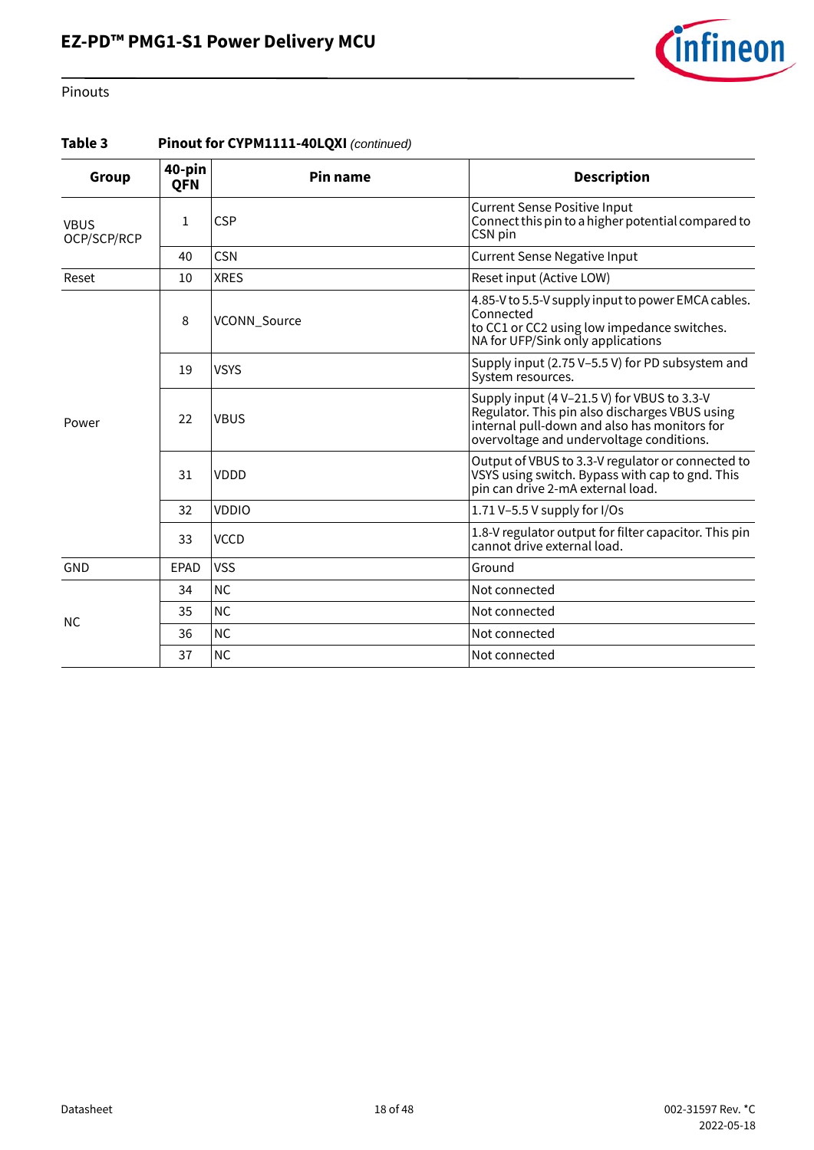# **EZ-PD™ PMG1-S1 Power Delivery MCU**



#### Pinouts

#### **Table 3 Pinout for CYPM1111-40LQXI** *(continued)*

| Group                      | 40-pin<br><b>QFN</b> | Pin name     | <b>Description</b>                                                                                                                                                                        |  |  |
|----------------------------|----------------------|--------------|-------------------------------------------------------------------------------------------------------------------------------------------------------------------------------------------|--|--|
| <b>VBUS</b><br>OCP/SCP/RCP | 1                    | <b>CSP</b>   | <b>Current Sense Positive Input</b><br>Connect this pin to a higher potential compared to<br>CSN pin                                                                                      |  |  |
|                            | 40                   | <b>CSN</b>   | <b>Current Sense Negative Input</b>                                                                                                                                                       |  |  |
| Reset                      | 10                   | <b>XRES</b>  | Reset input (Active LOW)                                                                                                                                                                  |  |  |
| Power                      | 8                    | VCONN_Source | 4.85-V to 5.5-V supply input to power EMCA cables.<br>Connected<br>to CC1 or CC2 using low impedance switches.<br>NA for UFP/Sink only applications                                       |  |  |
|                            | 19                   | <b>VSYS</b>  | Supply input (2.75 V-5.5 V) for PD subsystem and<br>System resources.                                                                                                                     |  |  |
|                            | 22                   | <b>VBUS</b>  | Supply input (4 V-21.5 V) for VBUS to 3.3-V<br>Regulator. This pin also discharges VBUS using<br>internal pull-down and also has monitors for<br>overvoltage and undervoltage conditions. |  |  |
|                            | 31                   | VDDD         | Output of VBUS to 3.3-V regulator or connected to<br>VSYS using switch. Bypass with cap to gnd. This<br>pin can drive 2-mA external load.                                                 |  |  |
|                            | 32                   | <b>VDDIO</b> | 1.71 V-5.5 V supply for $1/Os$                                                                                                                                                            |  |  |
|                            | 33                   | <b>VCCD</b>  | 1.8-V regulator output for filter capacitor. This pin<br>cannot drive external load.                                                                                                      |  |  |
| GND                        | EPAD                 | <b>VSS</b>   | Ground                                                                                                                                                                                    |  |  |
|                            | 34                   | <b>NC</b>    | Not connected                                                                                                                                                                             |  |  |
|                            | 35                   | <b>NC</b>    | Not connected                                                                                                                                                                             |  |  |
| <b>NC</b>                  | 36                   | <b>NC</b>    | Not connected                                                                                                                                                                             |  |  |
|                            | 37                   | <b>NC</b>    | Not connected                                                                                                                                                                             |  |  |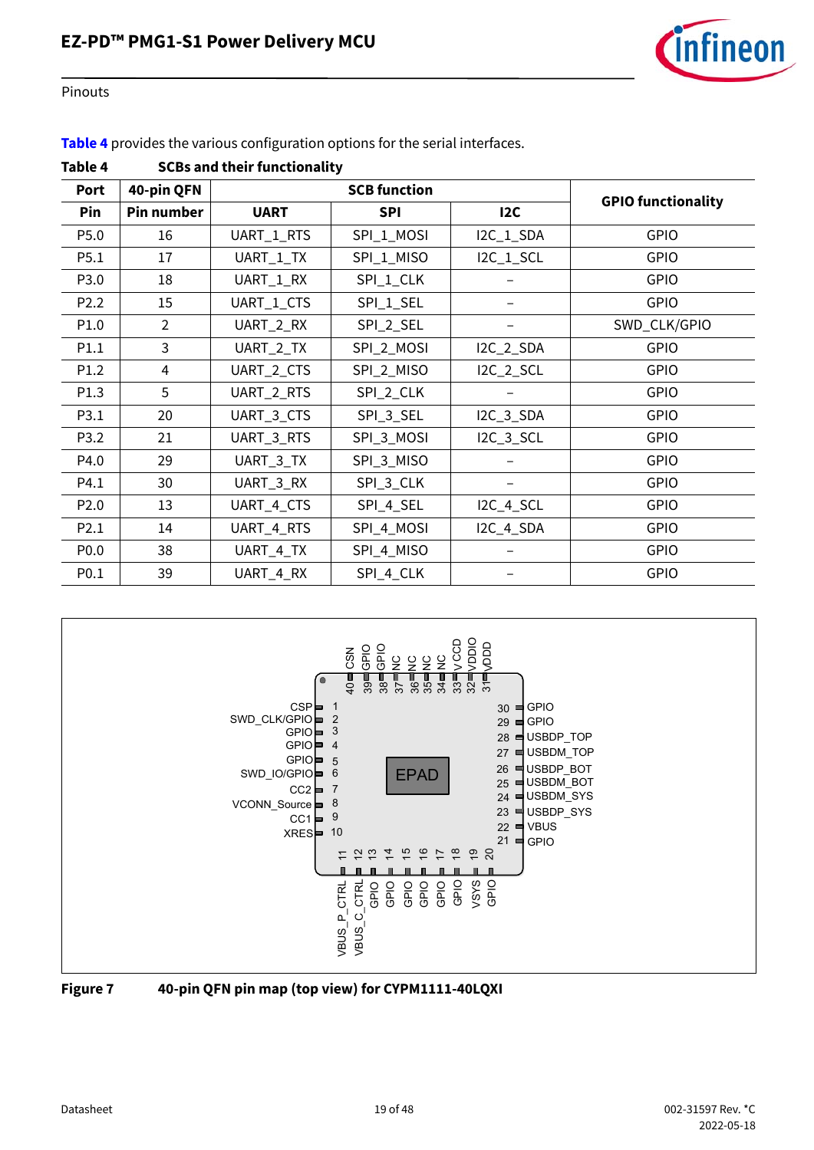

Pinouts

**[Table 4](#page-18-0)** provides the various configuration options for the serial interfaces.

| Port             | 40-pin QFN        |             | <b>SCB function</b> |           | <b>GPIO functionality</b> |  |  |
|------------------|-------------------|-------------|---------------------|-----------|---------------------------|--|--|
| Pin              | <b>Pin number</b> | <b>UART</b> | <b>SPI</b>          | 12C       |                           |  |  |
| P5.0             | 16                | UART_1_RTS  | SPI_1_MOSI          | I2C_1_SDA | GPIO                      |  |  |
| P5.1             | 17                | UART_1_TX   | SPI_1_MISO          | I2C_1_SCL | <b>GPIO</b>               |  |  |
| P3.0             | 18                | UART_1_RX   | SPI_1_CLK           |           | <b>GPIO</b>               |  |  |
| P <sub>2.2</sub> | 15                | UART_1_CTS  | SPI_1_SEL           |           | <b>GPIO</b>               |  |  |
| P1.0             | 2                 | UART_2_RX   | SPI_2_SEL           |           | SWD_CLK/GPIO              |  |  |
| P1.1             | 3                 | UART_2_TX   | SPI_2_MOSI          | I2C_2_SDA | GPIO                      |  |  |
| P1.2             | 4                 | UART_2_CTS  | SPI_2_MISO          | I2C_2_SCL | <b>GPIO</b>               |  |  |
| P1.3             | 5                 | UART_2_RTS  | SPI_2_CLK           |           | GPIO                      |  |  |
| P3.1             | 20                | UART_3_CTS  | SPI_3_SEL           | I2C_3_SDA | <b>GPIO</b>               |  |  |
| P3.2             | 21                | UART_3_RTS  | SPI_3_MOSI          | I2C_3_SCL | <b>GPIO</b>               |  |  |
| P4.0             | 29                | UART_3_TX   | SPI_3_MISO          |           | <b>GPIO</b>               |  |  |
| P4.1             | 30                | UART_3_RX   | SPI_3_CLK           |           | <b>GPIO</b>               |  |  |
| P <sub>2.0</sub> | 13                | UART_4_CTS  | SPI_4_SEL           | I2C_4_SCL | <b>GPIO</b>               |  |  |
| P2.1             | 14                | UART_4_RTS  | SPI_4_MOSI          | I2C_4_SDA | <b>GPIO</b>               |  |  |
| P <sub>0.0</sub> | 38                | UART_4_TX   | SPI_4_MISO          |           | GPIO                      |  |  |
| P0.1             | 39                | UART_4_RX   | SPI_4_CLK           |           | GPIO                      |  |  |

<span id="page-18-0"></span>



<span id="page-18-1"></span>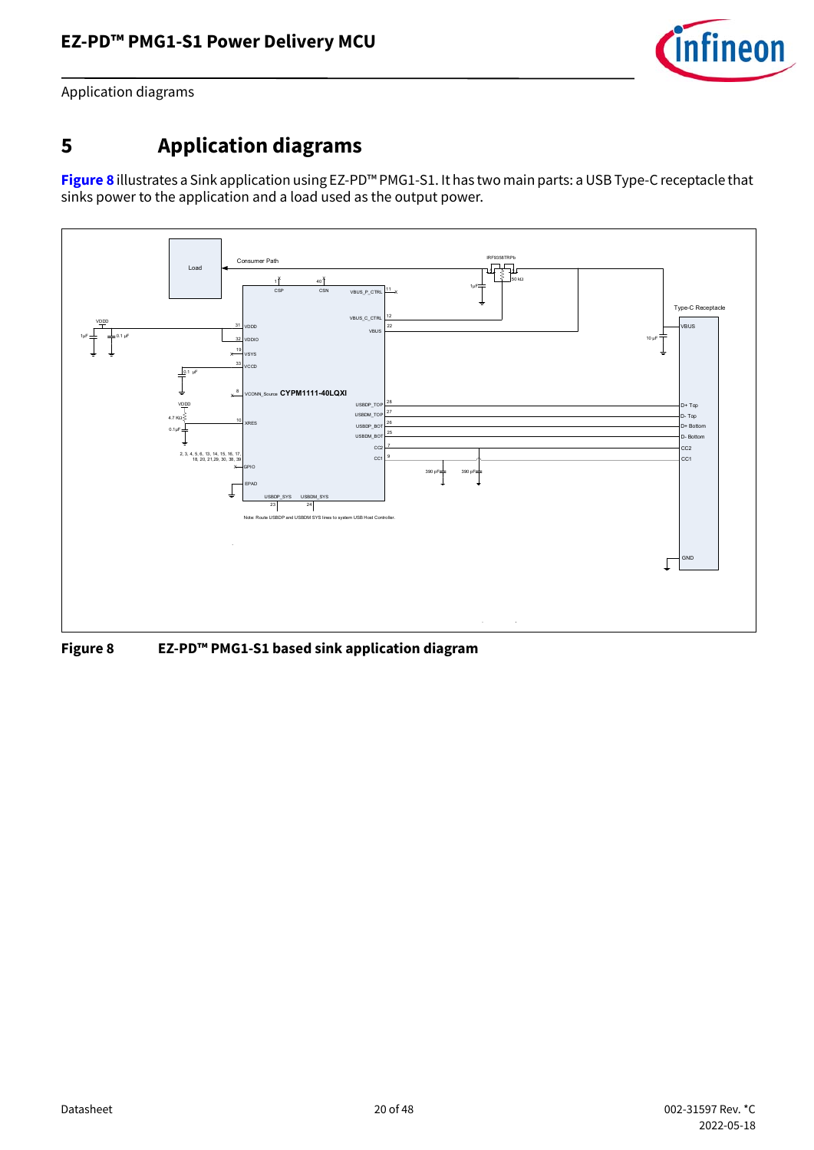

Application diagrams

## <span id="page-19-0"></span>**5 Application diagrams**

**[Figure 8](#page-19-1)** illustrates a Sink application using EZ-PD™ PMG1-S1. It has two main parts: a USB Type-C receptacle that sinks power to the application and a load used as the output power.



<span id="page-19-1"></span>**Figure 8 EZ-PD™ PMG1-S1 based sink application diagram**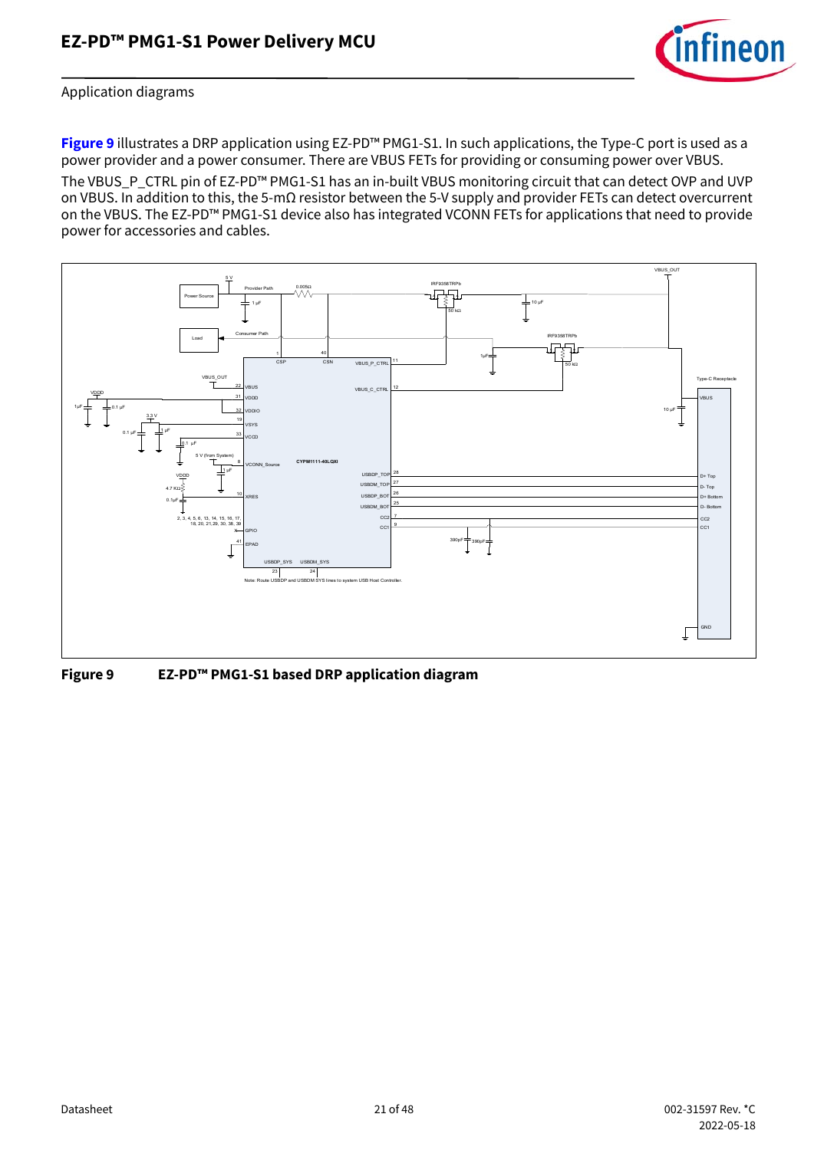

#### Application diagrams

**[Figure 9](#page-20-0)** illustrates a DRP application using EZ-PD™ PMG1-S1. In such applications, the Type-C port is used as a power provider and a power consumer. There are VBUS FETs for providing or consuming power over VBUS.

The VBUS\_P\_CTRL pin of EZ-PD™ PMG1-S1 has an in-built VBUS monitoring circuit that can detect OVP and UVP on VBUS. In addition to this, the 5-mΩ resistor between the 5-V supply and provider FETs can detect overcurrent on the VBUS. The EZ-PD™ PMG1-S1 device also has integrated VCONN FETs for applications that need to provide power for accessories and cables.



<span id="page-20-0"></span>**Figure 9 EZ-PD™ PMG1-S1 based DRP application diagram**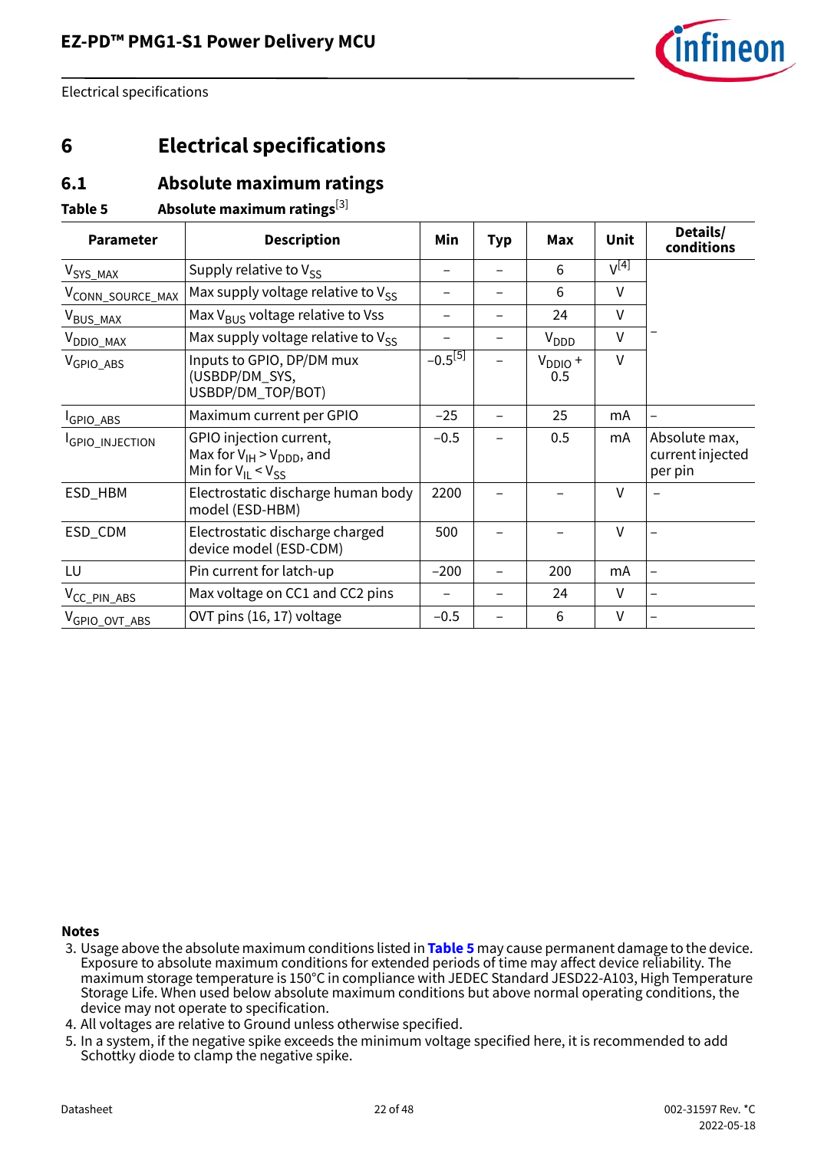

### <span id="page-21-0"></span>**6 Electrical specifications**

### <span id="page-21-1"></span>**6.1 Absolute maximum ratings**

#### <span id="page-21-3"></span>**Table 5 Absolute maximum ratings**[\[3](#page-21-2)]

| <b>Parameter</b>          | <b>Description</b>                                                                         | Min                      | <b>Typ</b> | Max                 | Unit      | Details/<br>conditions                       |
|---------------------------|--------------------------------------------------------------------------------------------|--------------------------|------------|---------------------|-----------|----------------------------------------------|
| V <sub>SYS_MAX</sub>      | Supply relative to $V_{SS}$                                                                | -                        |            | 6                   | $V^{[4]}$ |                                              |
| VCONN_SOURCE_MAX          | Max supply voltage relative to $V_{SS}$                                                    | $\overline{\phantom{0}}$ |            | 6                   | V         |                                              |
| V <sub>BUS_MAX</sub>      | Max V <sub>BUS</sub> voltage relative to Vss                                               |                          |            | 24                  | $\vee$    |                                              |
| V <sub>DDIO_MAX</sub>     | Max supply voltage relative to $V_{SS}$                                                    |                          |            | $V_{DDD}$           | $\vee$    |                                              |
| V <sub>GPIO ABS</sub>     | Inputs to GPIO, DP/DM mux<br>(USBDP/DM_SYS,<br>USBDP/DM_TOP/BOT)                           | $-0.5^{[5]}$             |            | $V_{DDIO}$ +<br>0.5 | $\vee$    |                                              |
| GPIO_ABS                  | Maximum current per GPIO                                                                   | $-25$                    |            | 25                  | mA        |                                              |
| GPIO_INJECTION            | GPIO injection current,<br>Max for $V_{IH}$ > $V_{DDD}$ , and<br>Min for $V_{II} < V_{SS}$ | $-0.5$                   |            | 0.5                 | mA        | Absolute max,<br>current injected<br>per pin |
| ESD_HBM                   | Electrostatic discharge human body<br>model (ESD-HBM)                                      | 2200                     |            |                     | V         |                                              |
| ESD_CDM                   | Electrostatic discharge charged<br>device model (ESD-CDM)                                  | 500                      |            |                     | $\vee$    |                                              |
| LU                        | Pin current for latch-up                                                                   | $-200$                   |            | 200                 | mA        |                                              |
| V <sub>CC_PIN_ABS</sub>   | Max voltage on CC1 and CC2 pins                                                            |                          |            | 24                  | $\vee$    |                                              |
| V <sub>GPIO_OVT_ABS</sub> | OVT pins (16, 17) voltage                                                                  | $-0.5$                   |            | 6                   | V         |                                              |

#### **Notes**

- <span id="page-21-2"></span>3. Usage above the absolute maximum conditions listed in **[Table 5](#page-21-3)** may cause permanent damage to the device. Exposure to absolute maximum conditions for extended periods of time may affect device reliability. The maximum storage temperature is 150°C in compliance with JEDEC Standard JESD22-A103, High Temperature Storage Life. When used below absolute maximum conditions but above normal operating conditions, the device may not operate to specification.
- <span id="page-21-4"></span>4. All voltages are relative to Ground unless otherwise specified.
- <span id="page-21-5"></span>5. In a system, if the negative spike exceeds the minimum voltage specified here, it is recommended to add Schottky diode to clamp the negative spike.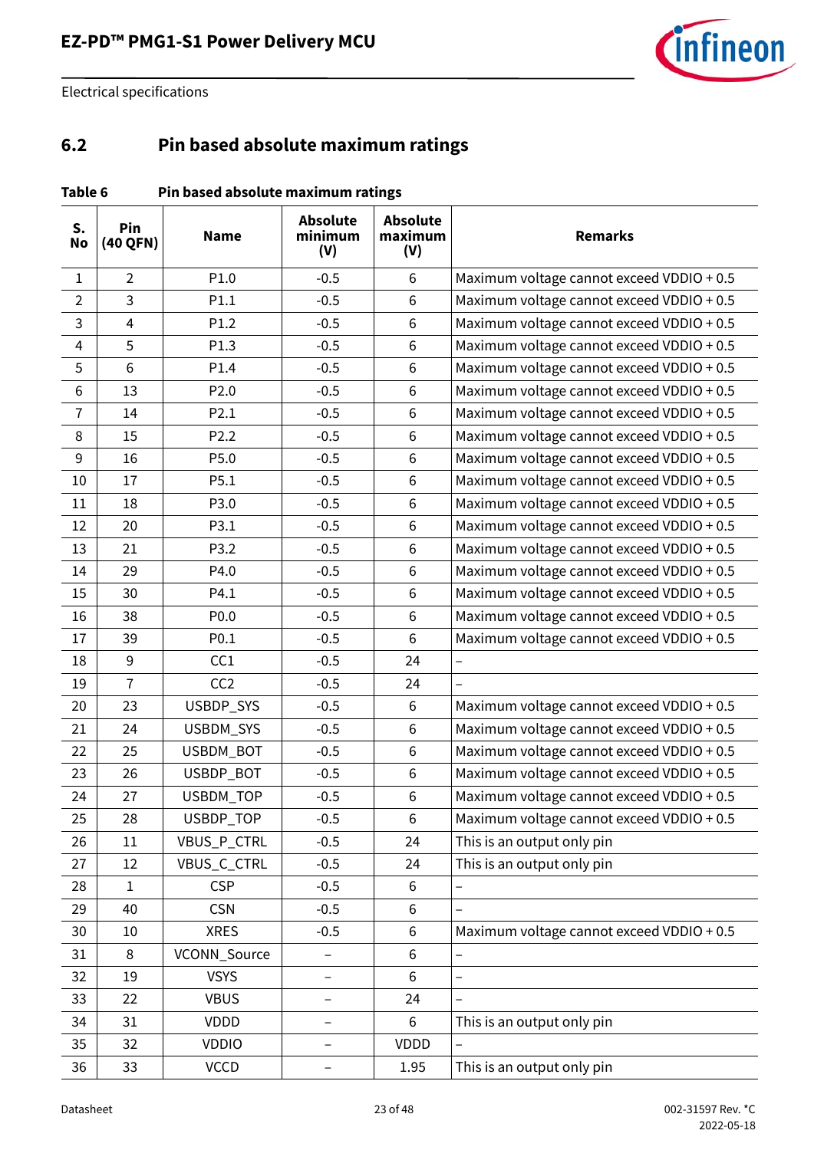

### <span id="page-22-0"></span>**6.2 Pin based absolute maximum ratings**

| Table 6 | Pin based absolute maximum ratings |
|---------|------------------------------------|
|---------|------------------------------------|

| S.<br><b>No</b> | Pin<br>(40 QFN) | <b>Name</b>      | <b>Absolute</b><br>minimum<br>(V) | <b>Absolute</b><br>maximum<br>(V) | <b>Remarks</b>                            |  |  |
|-----------------|-----------------|------------------|-----------------------------------|-----------------------------------|-------------------------------------------|--|--|
| $\mathbf{1}$    | $\overline{2}$  | P1.0             | $-0.5$                            | 6                                 | Maximum voltage cannot exceed VDDIO + 0.5 |  |  |
| $\overline{2}$  | 3               | P1.1             | $-0.5$                            | 6                                 | Maximum voltage cannot exceed VDDIO + 0.5 |  |  |
| 3               | $\overline{4}$  | P1.2             | $-0.5$                            | 6                                 | Maximum voltage cannot exceed VDDIO + 0.5 |  |  |
| $\overline{4}$  | 5               | P1.3             | $-0.5$                            | $\,6\,$                           | Maximum voltage cannot exceed VDDIO + 0.5 |  |  |
| 5               | 6               | P1.4             | $-0.5$                            | 6                                 | Maximum voltage cannot exceed VDDIO + 0.5 |  |  |
| 6               | 13              | P <sub>2.0</sub> | $-0.5$                            | 6                                 | Maximum voltage cannot exceed VDDIO + 0.5 |  |  |
| $\overline{7}$  | 14              | P2.1             | $-0.5$                            | $\,6\,$                           | Maximum voltage cannot exceed VDDIO + 0.5 |  |  |
| 8               | 15              | P <sub>2.2</sub> | $-0.5$                            | $6\,$                             | Maximum voltage cannot exceed VDDIO + 0.5 |  |  |
| 9               | 16              | P5.0             | $-0.5$                            | 6                                 | Maximum voltage cannot exceed VDDIO + 0.5 |  |  |
| 10              | 17              | P5.1             | $-0.5$                            | $\,6\,$                           | Maximum voltage cannot exceed VDDIO + 0.5 |  |  |
| 11              | 18              | P3.0             | $-0.5$                            | 6                                 | Maximum voltage cannot exceed VDDIO + 0.5 |  |  |
| 12              | 20              | P3.1             | $-0.5$                            | $\,6\,$                           | Maximum voltage cannot exceed VDDIO + 0.5 |  |  |
| 13              | 21              | P3.2             | $-0.5$                            | 6                                 | Maximum voltage cannot exceed VDDIO + 0.5 |  |  |
| 14              | 29              | P4.0             | $-0.5$                            | $\,6\,$                           | Maximum voltage cannot exceed VDDIO + 0.5 |  |  |
| 15              | 30              | P4.1             | $-0.5$                            | 6                                 | Maximum voltage cannot exceed VDDIO + 0.5 |  |  |
| 16              | 38              | P0.0             | $-0.5$                            | $6\,$                             | Maximum voltage cannot exceed VDDIO + 0.5 |  |  |
| 17              | 39              | P0.1             | $-0.5$                            | $6\,$                             | Maximum voltage cannot exceed VDDIO + 0.5 |  |  |
| 18              | $9\,$           | CC1              | $-0.5$                            | 24                                |                                           |  |  |
| 19              | $\overline{7}$  | CC <sub>2</sub>  | $-0.5$                            | 24                                |                                           |  |  |
| 20              | 23              | USBDP_SYS        | $-0.5$                            | $6\,$                             | Maximum voltage cannot exceed VDDIO + 0.5 |  |  |
| 21              | 24              | USBDM_SYS        | $-0.5$                            | 6                                 | Maximum voltage cannot exceed VDDIO + 0.5 |  |  |
| 22              | 25              | USBDM_BOT        | $-0.5$                            | $\,6\,$                           | Maximum voltage cannot exceed VDDIO + 0.5 |  |  |
| 23              | 26              | USBDP_BOT        | $-0.5$                            | 6                                 | Maximum voltage cannot exceed VDDIO + 0.5 |  |  |
| 24              | 27              | USBDM_TOP        | $-0.5$                            | $\,6$                             | Maximum voltage cannot exceed VDDIO + 0.5 |  |  |
| 25              | 28              | <b>USBDP TOP</b> | $-0.5$                            | 6                                 | Maximum voltage cannot exceed VDDIO + 0.5 |  |  |
| 26              | 11              | VBUS_P_CTRL      | $-0.5$                            | 24                                | This is an output only pin                |  |  |
| 27              | 12              | VBUS_C_CTRL      | $-0.5$                            | 24                                | This is an output only pin                |  |  |
| 28              | $\mathbf{1}$    | <b>CSP</b>       | $-0.5$                            | 6                                 |                                           |  |  |
| 29              | 40              | <b>CSN</b>       | $-0.5$                            | 6                                 |                                           |  |  |
| 30              | $10\,$          | <b>XRES</b>      | $-0.5$                            | 6                                 | Maximum voltage cannot exceed VDDIO + 0.5 |  |  |
| 31              | 8               | VCONN_Source     |                                   | 6                                 |                                           |  |  |
| 32              | 19              | <b>VSYS</b>      | -                                 | 6                                 | $\overline{a}$                            |  |  |
| 33              | 22              | <b>VBUS</b>      |                                   | 24                                |                                           |  |  |
| 34              | 31              | VDDD             |                                   | 6                                 | This is an output only pin                |  |  |
| 35              | 32              | <b>VDDIO</b>     |                                   | VDDD                              |                                           |  |  |
| 36              | 33              | <b>VCCD</b>      |                                   | 1.95                              | This is an output only pin                |  |  |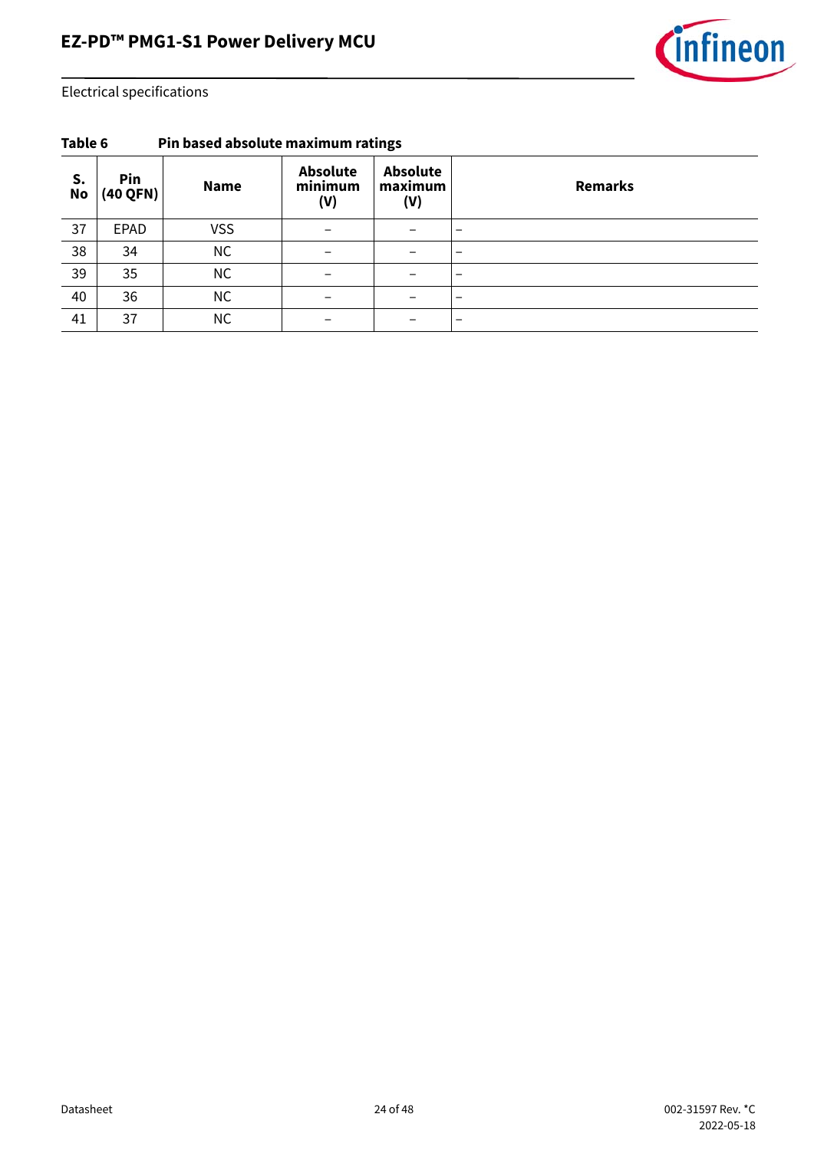

| S.<br><b>No</b> | Pin<br>(40 QFN) | <b>Name</b> | <b>Absolute</b><br>minimum<br>(V) | <b>Absolute</b><br>maximum<br>(V) | <b>Remarks</b>           |  |  |  |
|-----------------|-----------------|-------------|-----------------------------------|-----------------------------------|--------------------------|--|--|--|
| 37              | EPAD            | <b>VSS</b>  |                                   |                                   | $\overline{\phantom{a}}$ |  |  |  |
| 38              | 34              | <b>NC</b>   |                                   |                                   |                          |  |  |  |
| 39              | 35              | <b>NC</b>   |                                   |                                   | $\overline{\phantom{a}}$ |  |  |  |
| 40              | 36              | <b>NC</b>   |                                   |                                   | $\overline{\phantom{a}}$ |  |  |  |
| 41              | 37              | <b>NC</b>   |                                   |                                   | $\overline{\phantom{a}}$ |  |  |  |

#### **Table 6 Pin based absolute maximum ratings**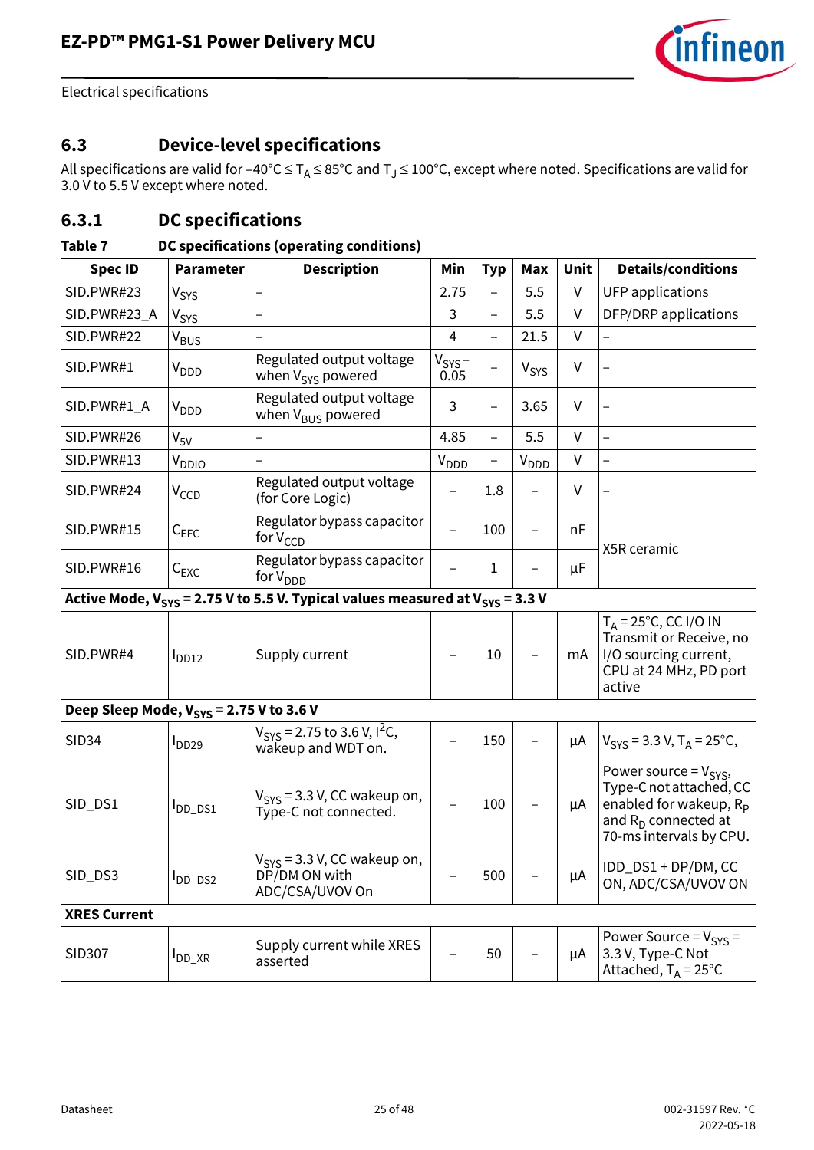

### <span id="page-24-0"></span>**6.3 Device-level specifications**

All specifications are valid for –40°C  $\leq$  T<sub>A</sub>  $\leq$  85°C and T $_{\rm J}$   $\leq$  100°C, except where noted. Specifications are valid for 3.0 V to 5.5 V except where noted.

### **6.3.1 DC specifications**

#### **Table 7 DC specifications (operating conditions)**

| <b>Spec ID</b>                               | <b>Parameter</b>   | <b>Description</b>                                                                     | Min                 |                          | Max              | Unit    | <b>Details/conditions</b>                                                                                                                        |  |
|----------------------------------------------|--------------------|----------------------------------------------------------------------------------------|---------------------|--------------------------|------------------|---------|--------------------------------------------------------------------------------------------------------------------------------------------------|--|
|                                              |                    |                                                                                        |                     | <b>Typ</b>               |                  |         |                                                                                                                                                  |  |
| SID.PWR#23                                   | $V_{\text{SYS}}$   |                                                                                        | 2.75                | $\overline{\phantom{0}}$ | 5.5              | $\sf V$ | <b>UFP</b> applications                                                                                                                          |  |
| SID.PWR#23_A                                 | V <sub>SYS</sub>   |                                                                                        | 3                   | $\overline{\phantom{0}}$ | 5.5              | V       | DFP/DRP applications                                                                                                                             |  |
| SID.PWR#22                                   | V <sub>BUS</sub>   |                                                                                        | 4                   | $\overline{\phantom{0}}$ | 21.5             | $\vee$  |                                                                                                                                                  |  |
| SID.PWR#1                                    | $V_{\text{DDD}}$   | Regulated output voltage<br>when V <sub>SYS</sub> powered                              | $V_{SYS}$ -<br>0.05 |                          | V <sub>SYS</sub> | V       |                                                                                                                                                  |  |
| SID.PWR#1_A                                  | $V_{\text{DDD}}$   | Regulated output voltage<br>when V <sub>BUS</sub> powered                              | 3                   | $\overline{\phantom{0}}$ | 3.65             | V       |                                                                                                                                                  |  |
| SID.PWR#26                                   | $V_{5V}$           |                                                                                        | 4.85                | $\overline{\phantom{0}}$ | 5.5              | V       | $\overline{\phantom{0}}$                                                                                                                         |  |
| SID.PWR#13                                   | V <sub>DDIO</sub>  |                                                                                        | $V_{\text{DDD}}$    | -                        | $V_{\text{DDD}}$ | $\vee$  |                                                                                                                                                  |  |
| SID.PWR#24                                   | V <sub>CCD</sub>   | Regulated output voltage<br>(for Core Logic)                                           |                     | 1.8                      |                  | V       |                                                                                                                                                  |  |
| SID.PWR#15                                   | $C_{EFC}$          | Regulator bypass capacitor<br>for $V_{CCD}$                                            |                     | 100                      |                  | nF      |                                                                                                                                                  |  |
| SID.PWR#16                                   | $C_{EXC}$          | Regulator bypass capacitor<br>for $V_{DDD}$                                            |                     | $\mathbf{1}$<br>μF       |                  |         | X5R ceramic                                                                                                                                      |  |
|                                              |                    | Active Mode, $V_{SYS}$ = 2.75 V to 5.5 V. Typical values measured at $V_{SYS}$ = 3.3 V |                     |                          |                  |         |                                                                                                                                                  |  |
| SID.PWR#4                                    | D <sub>D12</sub>   | Supply current                                                                         |                     | 10                       |                  | mA      | $T_A = 25^{\circ}C$ , CC I/O IN<br>Transmit or Receive, no<br>I/O sourcing current,<br>CPU at 24 MHz, PD port<br>active                          |  |
| Deep Sleep Mode, $V_{SYS} = 2.75$ V to 3.6 V |                    |                                                                                        |                     |                          |                  |         |                                                                                                                                                  |  |
| <b>SID34</b>                                 | $I_{DD29}$         | $V_{SYS}$ = 2.75 to 3.6 V, I <sup>2</sup> C,<br>wakeup and WDT on.                     |                     | 150                      |                  | μA      | $V_{\text{SYS}}$ = 3.3 V, T <sub>A</sub> = 25 <sup>o</sup> C,                                                                                    |  |
| SID_DS1                                      | <b>I</b> DD_DS1    | $V_{\text{SYS}}$ = 3.3 V, CC wakeup on,<br>Type-C not connected.                       |                     | 100                      |                  | μA      | Power source = $V_{SYS}$ ,<br>Type-C not attached, CC<br>enabled for wakeup, R <sub>P</sub><br>and $R_D$ connected at<br>70-ms intervals by CPU. |  |
| SID_DS3                                      | DD_DS2             | $V_{\rm{SVS}}$ = 3.3 V, CC wakeup on,<br>DP/DM ON with<br>ADC/CSA/UVOV On              |                     | 500                      |                  | μA      | IDD_DS1 + DP/DM, CC<br>ON, ADC/CSA/UVOV ON                                                                                                       |  |
| <b>XRES Current</b>                          |                    |                                                                                        |                     |                          |                  |         |                                                                                                                                                  |  |
| SID307                                       | <sup>I</sup> DD_XR | Supply current while XRES<br>asserted                                                  |                     | 50                       |                  | μA      | Power Source = $V_{SYS}$ =<br>3.3 V, Type-C Not<br>Attached, $T_A = 25^{\circ}C$                                                                 |  |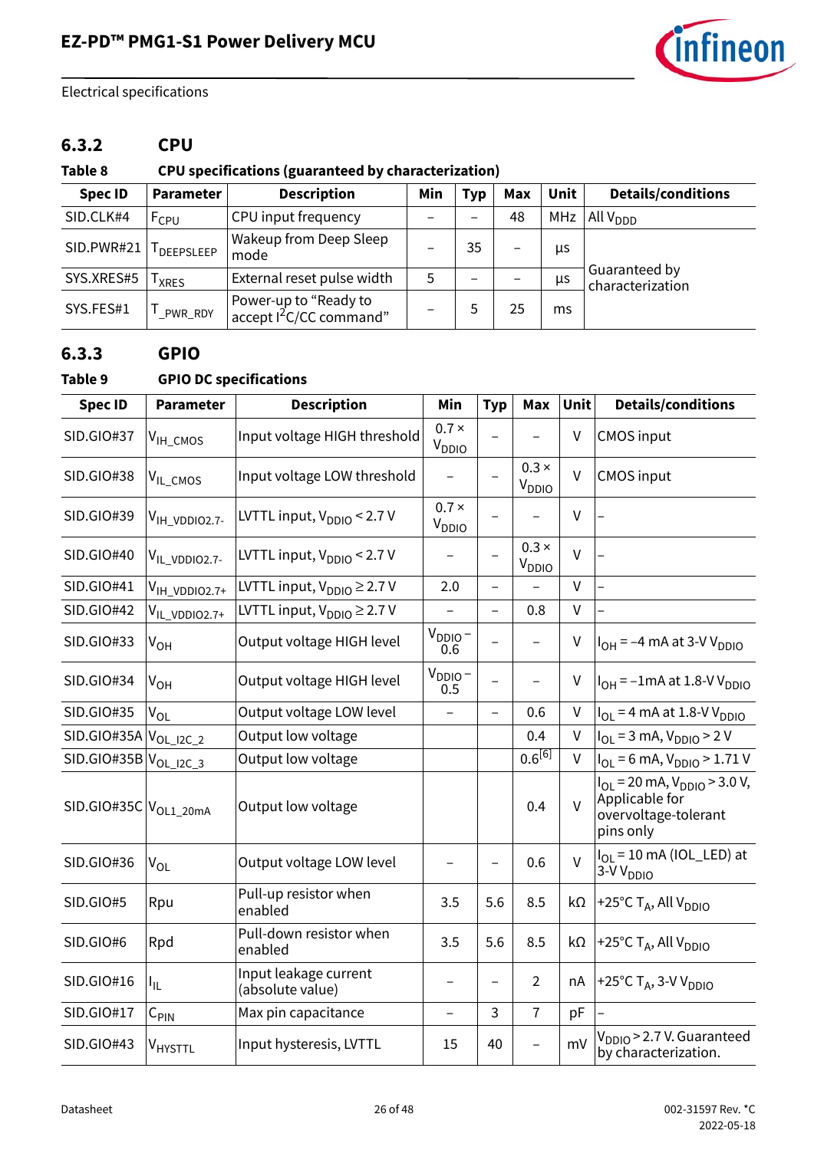

### **6.3.2 CPU**

### **Table 8 CPU specifications (guaranteed by characterization)**

| <b>Spec ID</b> | Parameter          | <b>Description</b>                                           | Min | <b>Typ</b>      | <b>Max</b> | <b>Unit</b> | <b>Details/conditions</b>         |
|----------------|--------------------|--------------------------------------------------------------|-----|-----------------|------------|-------------|-----------------------------------|
| SID.CLK#4      | F <sub>CPU</sub>   | CPU input frequency                                          |     |                 | 48         | <b>MHz</b>  | All $V_{DDD}$                     |
| SID.PWR#21     | <b>I</b> DEEPSLEEP | Wakeup from Deep Sleep<br>mode                               | -   | 35              | -          | μs          |                                   |
| SYS.XRES#5     | <b>XRES</b>        | External reset pulse width                                   | 5   | $\qquad \qquad$ |            | μs          | Guaranteed by<br>characterization |
| SYS.FES#1      | PWR_RDY            | Power-up to "Ready to<br>accept I <sup>2</sup> C/CC command" |     | 5               | 25         | ms          |                                   |

#### **6.3.3 GPIO**

#### **Table 9 GPIO DC specifications**

| <b>Spec ID</b>                    | <b>Parameter</b>          | <b>Description</b>                        | Min                        | <b>Typ</b>               | <b>Max</b>                        | Unit   | <b>Details/conditions</b>                                                                                  |
|-----------------------------------|---------------------------|-------------------------------------------|----------------------------|--------------------------|-----------------------------------|--------|------------------------------------------------------------------------------------------------------------|
| <b>SID.GIO#37</b>                 | $V_{\text{IH\_CMOS}}$     | Input voltage HIGH threshold              | $0.7 \times$<br>$V_{DDIO}$ |                          |                                   | V      | <b>CMOS input</b>                                                                                          |
| <b>SID.GIO#38</b>                 | V <sub>IL_CMOS</sub>      | Input voltage LOW threshold               |                            |                          | $0.3 \times$<br>V <sub>DDIO</sub> | $\vee$ | <b>CMOS</b> input                                                                                          |
| SID.GIO#39                        | V <sub>IH_VDDIO2.7-</sub> | LVTTL input, $V_{DDIO}$ < 2.7 V           | $0.7 \times$<br>$V_{DDIO}$ |                          |                                   | $\vee$ |                                                                                                            |
| SID.GIO#40                        | V <sub>IL_VDDIO2.7-</sub> | LVTTL input, $V_{DDIO}$ < 2.7 V           |                            | $\overline{a}$           | $0.3 \times$<br>$V_{DDIO}$        | $\vee$ |                                                                                                            |
| SID.GIO#41                        | V <sub>IH_VDDIO2.7+</sub> | LVTTL input, $V_{DDIO} \geq 2.7 V$        | 2.0                        |                          |                                   | $\vee$ |                                                                                                            |
| <b>SID.GIO#42</b>                 | V <sub>IL_VDDIO2.7+</sub> | LVTTL input, $V_{DDIO} \geq 2.7 V$        | $\qquad \qquad -$          | $\overline{\phantom{0}}$ | 0.8                               | $\vee$ |                                                                                                            |
| <b>SID.GIO#33</b>                 | $V_{OH}$                  | Output voltage HIGH level                 | $V_{DDIO}$ –<br>0.6        |                          |                                   | $\vee$ | $I_{OH}$ = -4 mA at 3-V V <sub>DDIO</sub>                                                                  |
| SID.GIO#34                        | $V_{OH}$                  | Output voltage HIGH level                 | $V_{DDIO}$ –<br>0.5        |                          |                                   | V      | $I_{OH}$ = -1mA at 1.8-V V <sub>DDIO</sub>                                                                 |
| SID.GIO#35                        | $\rm V_{OL}$              | Output voltage LOW level                  | $\overline{\phantom{0}}$   | $\overline{\phantom{0}}$ | 0.6                               | $\vee$ | $I_{OL}$ = 4 mA at 1.8-V V <sub>DDIO</sub>                                                                 |
| SID.GIO#35A                       | $V_{OL\_I2C\_2}$          | Output low voltage                        |                            |                          | 0.4                               | $\vee$ | $I_{OL} = 3$ mA, $V_{DDIO} > 2$ V                                                                          |
| $SID.GIO#35B VOL_12C_3$           |                           | Output low voltage                        |                            |                          | $0.6^{[6]}$                       | $\vee$ | $I_{OL} = 6$ mA, $V_{DDIO} > 1.71$ V                                                                       |
| SID.GIO#35C V <sub>OL1_20mA</sub> |                           | Output low voltage                        |                            |                          | 0.4                               | $\vee$ | $I_{\text{OI}}$ = 20 mA, $V_{\text{DDIO}}$ > 3.0 V,<br>Applicable for<br>overvoltage-tolerant<br>pins only |
| SID.GIO#36                        | $V_{OL}$                  | Output voltage LOW level                  |                            | $\qquad \qquad -$        | 0.6                               | $\vee$ | $I_{OL}$ = 10 mA (IOL_LED) at<br>3-V V <sub>DDIO</sub>                                                     |
| SID.GIO#5                         | Rpu                       | Pull-up resistor when<br>enabled          | 3.5                        | 5.6                      | 8.5                               | kΩ     | +25°C T <sub>A</sub> , All V <sub>DDIO</sub>                                                               |
| SID.GIO#6                         | Rpd                       | Pull-down resistor when<br>enabled        | 3.5                        | 5.6                      | 8.5                               | kΩ     | +25°C $T_A$ , All V <sub>DDIO</sub>                                                                        |
| SID.GIO#16                        | I <sub>IL</sub>           | Input leakage current<br>(absolute value) |                            |                          | $\overline{2}$                    | nA     | +25°C $T_A$ , 3-V V <sub>DDIO</sub>                                                                        |
| SID.GIO#17                        | $C_{\text{PIN}}$          | Max pin capacitance                       | $\overline{\phantom{0}}$   | 3                        | $\overline{7}$                    | pF     |                                                                                                            |
| <b>SID.GIO#43</b>                 | V <sub>HYSTTL</sub>       | Input hysteresis, LVTTL                   | 15                         | 40                       |                                   | mV     | V <sub>DDIO</sub> > 2.7 V. Guaranteed<br>by characterization.                                              |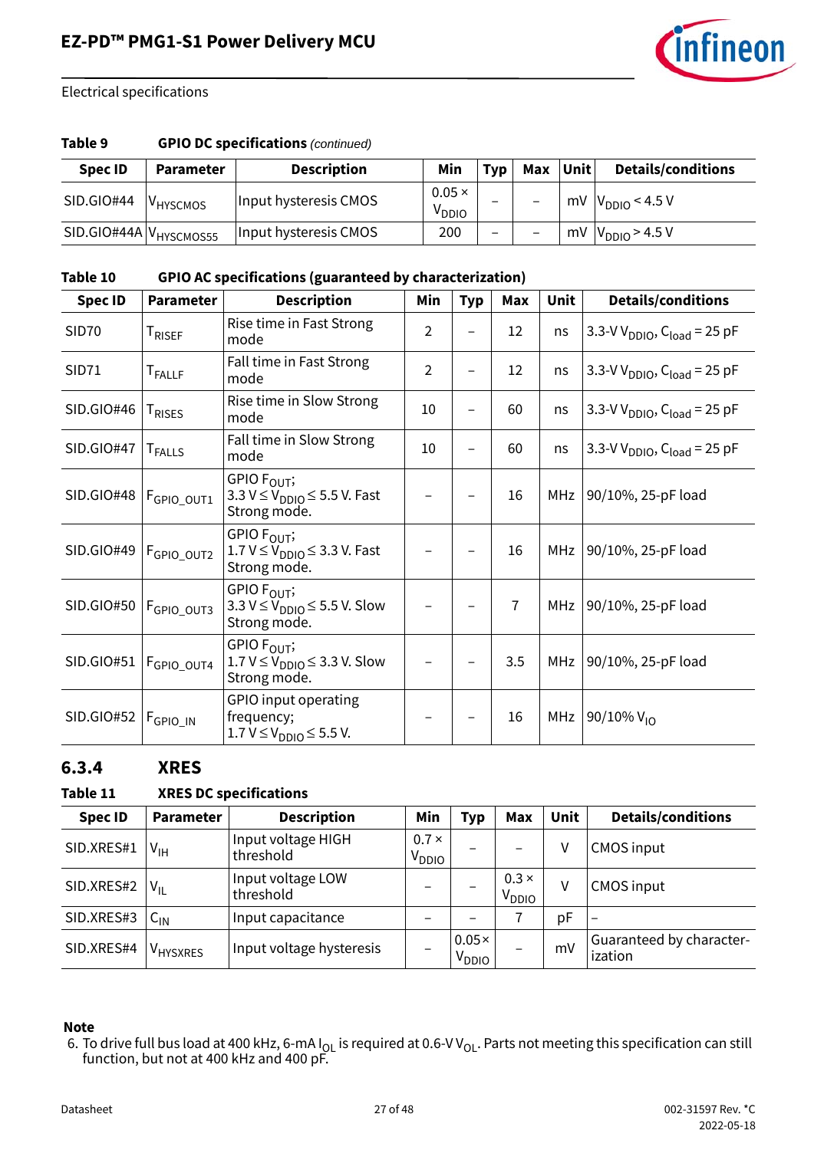

#### **Table 9 GPIO DC specifications** *(continued)*

| <b>Spec ID</b>                     | <b>Parameter</b>     | <b>Description</b>    | Min                                | <b>Typ</b>               | Max | <b>Unit</b> | <b>Details/conditions</b>               |
|------------------------------------|----------------------|-----------------------|------------------------------------|--------------------------|-----|-------------|-----------------------------------------|
| SID.GIO#44                         | V <sub>HYSCMOS</sub> | Input hysteresis CMOS | $0.05 \times$<br>V <sub>DDIO</sub> | $\overline{\phantom{0}}$ |     | mV          | $\frac{1}{1}$ V <sub>DDIO</sub> < 4.5 V |
| SID.GIO#44A V <sub>HYSCMOS55</sub> |                      | Input hysteresis CMOS | 200                                | $\overline{\phantom{0}}$ |     |             | mV $ V_{DDIO}$ > 4.5 V                  |

#### **Table 10 GPIO AC specifications (guaranteed by characterization)**

| <b>Spec ID</b>    | Parameter                 | <b>Description</b>                                                                        | Min            | <b>Typ</b> | Max            | Unit | <b>Details/conditions</b>                           |
|-------------------|---------------------------|-------------------------------------------------------------------------------------------|----------------|------------|----------------|------|-----------------------------------------------------|
| SID <sub>70</sub> | T <sub>RISEF</sub>        | Rise time in Fast Strong<br>mode                                                          | $\overline{2}$ |            | 12             | ns   | 3.3-V V <sub>DDIO</sub> , C <sub>load</sub> = 25 pF |
| <b>SID71</b>      | T <sub>FALLF</sub>        | Fall time in Fast Strong<br>mode                                                          | $\overline{2}$ |            | 12             | ns   | 3.3-V V <sub>DDIO</sub> , C <sub>load</sub> = 25 pF |
| SID.GIO#46        | <b>T</b> <sub>RISES</sub> | Rise time in Slow Strong<br>mode                                                          | 10             |            | 60             | ns   | 3.3-V V <sub>DDIO</sub> , C <sub>load</sub> = 25 pF |
| SID.GIO#47        | <b>T</b> <sub>FALLS</sub> | Fall time in Slow Strong<br>mode                                                          | 10             |            | 60             | ns   | 3.3-V V <sub>DDIO</sub> , C <sub>load</sub> = 25 pF |
| SID.GIO#48        | F <sub>GPIO_OUT1</sub>    | GPIO F <sub>OUT</sub> ;<br>3.3 $V \leq V_{DDIO} \leq 5.5$ V. Fast<br>Strong mode.         |                |            | 16             | MHz  | 90/10%, 25-pF load                                  |
| SID.GIO#49        | F <sub>GPIO_OUT2</sub>    | GPIO F <sub>OUT</sub> ;<br>1.7 $V \leq V_{DDIO} \leq 3.3$ V. Fast<br>Strong mode.         |                |            | 16             | MHz  | 90/10%, 25-pF load                                  |
| SID.GIO#50        | F <sub>GPIO_OUT3</sub>    | GPIO F <sub>OUT</sub> ;<br>3.3 $V \leq V_{\text{DDIO}} \leq 5.5$ V. Slow<br>Strong mode.  |                |            | $\overline{1}$ | MHz  | 90/10%, 25-pF load                                  |
| SID.GIO#51        | F <sub>GPIO_OUT4</sub>    | GPIO F <sub>OUT</sub> ;<br>$1.7 V \leq V_{\text{DDIO}} \leq 3.3 V$ . Slow<br>Strong mode. |                |            | 3.5            | MHz  | 90/10%, 25-pF load                                  |
| SID.GIO#52        | F <sub>GPIO_IN</sub>      | GPIO input operating<br>frequency;<br>1.7 V ≤ V <sub>DDIO</sub> ≤ 5.5 V.                  |                |            | 16             | MHz  | 90/10% $V_{10}$                                     |

#### **6.3.4 XRES**

#### **Table 11 XRES DC specifications**

| <b>Spec ID</b> | <b>Parameter</b>     | <b>Description</b>              | Min                               | Typ                               | Max                               | <b>Unit</b> | <b>Details/conditions</b>           |
|----------------|----------------------|---------------------------------|-----------------------------------|-----------------------------------|-----------------------------------|-------------|-------------------------------------|
| SID.XRES#1     | $V_{\text{IH}}$      | Input voltage HIGH<br>threshold | $0.7 \times$<br>V <sub>DDIO</sub> |                                   |                                   | V           | <b>CMOS</b> input                   |
| SID.XRES#2     | $V_{IL}$             | Input voltage LOW<br>threshold  | $\overline{\phantom{0}}$          |                                   | $0.3 \times$<br>V <sub>ddio</sub> | V           | <b>CMOS input</b>                   |
| SID.XRES#3     | $C_{\text{IN}}$      | Input capacitance               | $\overline{\phantom{0}}$          |                                   |                                   | pF          | $\overline{\phantom{0}}$            |
| SID.XRES#4     | V <sub>HYSXRES</sub> | Input voltage hysteresis        | $\overline{\phantom{0}}$          | $0.05\times$<br>V <sub>DDIO</sub> | $\overline{\phantom{0}}$          | mV          | Guaranteed by character-<br>ization |

#### **Note**

<span id="page-26-0"></span>6. To drive full bus load at 400 kHz, 6-mA I<sub>OL</sub> is required at 0.6-V V<sub>OL</sub>. Parts not meeting this specification can still function, but not at 400 kHz and 400 pF.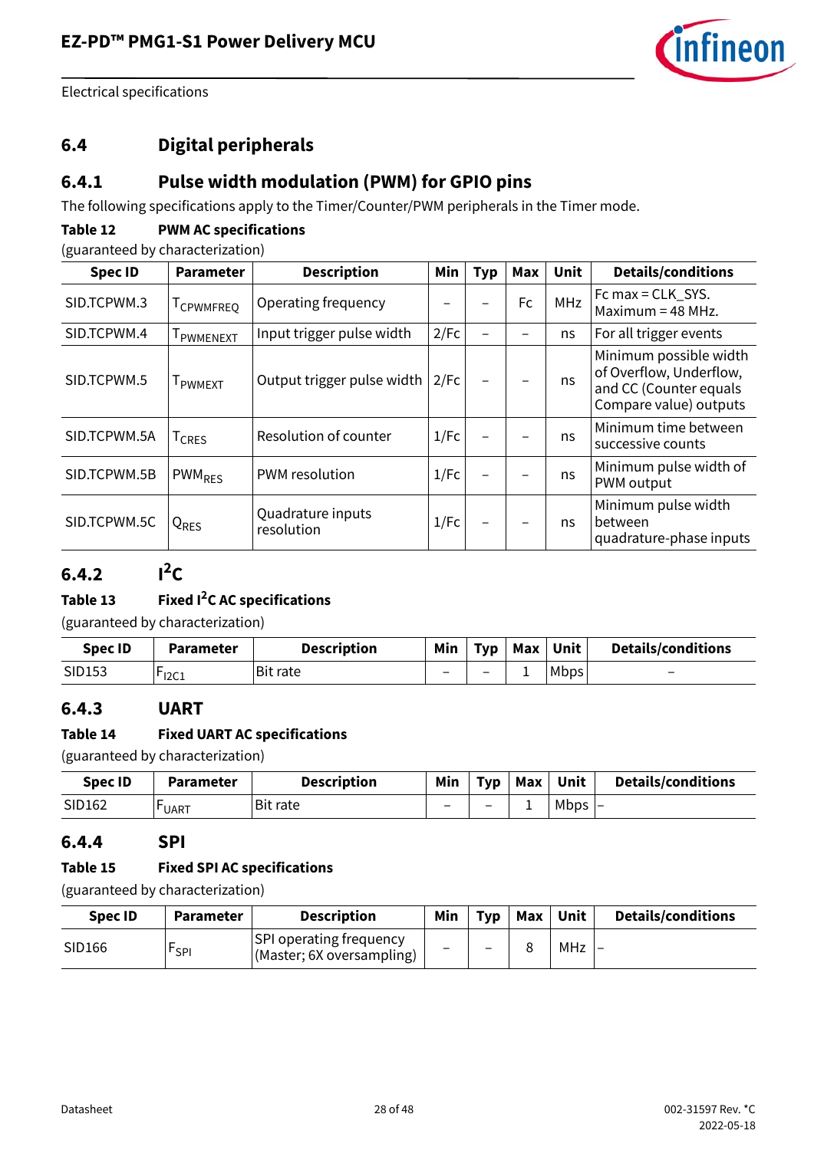

### <span id="page-27-0"></span>**6.4 Digital peripherals**

#### **6.4.1 Pulse width modulation (PWM) for GPIO pins**

The following specifications apply to the Timer/Counter/PWM peripherals in the Timer mode.

#### **Table 12 PWM AC specifications**

(guaranteed by characterization)

| <b>Spec ID</b> | <b>Parameter</b>   | <b>Description</b>              | Min  | <b>Typ</b> | <b>Max</b> | Unit       | <b>Details/conditions</b>                                                                             |
|----------------|--------------------|---------------------------------|------|------------|------------|------------|-------------------------------------------------------------------------------------------------------|
| SID.TCPWM.3    | <b>I</b> CPWMFREO  | Operating frequency             |      |            | <b>Fc</b>  | <b>MHz</b> | Fc max = $CLK_SYS$ .<br>Maximum = $48$ MHz.                                                           |
| SID.TCPWM.4    | <b>I</b> PWMENEXT  | Input trigger pulse width       | 2/Fc |            |            | ns         | For all trigger events                                                                                |
| SID.TCPWM.5    | <b>I</b> PWMFXT    | Output trigger pulse width      | 2/Fc |            |            | ns         | Minimum possible width<br>of Overflow, Underflow,<br>and CC (Counter equals<br>Compare value) outputs |
| SID.TCPWM.5A   | <sup>I</sup> CRES  | Resolution of counter           | 1/Fc |            |            | ns.        | Minimum time between<br>successive counts                                                             |
| SID.TCPWM.5B   | PWM <sub>RES</sub> | PWM resolution                  | 1/Fc | —          |            | ns         | Minimum pulse width of<br>PWM output                                                                  |
| SID.TCPWM.5C   | Q <sub>RES</sub>   | Quadrature inputs<br>resolution | 1/Fc | —          |            | ns         | Minimum pulse width<br>between<br>quadrature-phase inputs                                             |

### $6.4.2$   $1^2C$

#### **Table 13 Fixed I2C AC specifications**

(guaranteed by characterization)

| <b>Spec ID</b> | <b>Parameter</b> | <b>Description</b> | Min | <b>Typ</b> | Max | Unit        | <b>Details/conditions</b> |
|----------------|------------------|--------------------|-----|------------|-----|-------------|---------------------------|
| SID153         | 12C1             | Bit rate           |     |            | -   | <b>Mbps</b> | $\overline{\phantom{0}}$  |

#### **6.4.3 UART**

#### **Table 14 Fixed UART AC specifications**

(guaranteed by characterization)

| <b>Spec ID</b> | <b>Parameter</b> | <b>Description</b> | Min                      | Tvp                      | Max | Unit      | <b>Details/conditions</b> |
|----------------|------------------|--------------------|--------------------------|--------------------------|-----|-----------|---------------------------|
| SID162         | <b>UART</b>      | <b>Bit rate</b>    | $\overline{\phantom{0}}$ | $\overline{\phantom{0}}$ | -   | Mbps $ -$ |                           |

#### **6.4.4 SPI**

#### **Table 15 Fixed SPI AC specifications**

(guaranteed by characterization)

| Spec ID | <b>Parameter</b> | <b>Description</b>                                          | Min                      | <b>Typ</b> | Max | Unit | <b>Details/conditions</b> |
|---------|------------------|-------------------------------------------------------------|--------------------------|------------|-----|------|---------------------------|
| SID166  | <b>FSPI</b>      | <b>SPI operating frequency</b><br>(Master; 6X oversampling) | $\overline{\phantom{0}}$ | -          |     | MHz  |                           |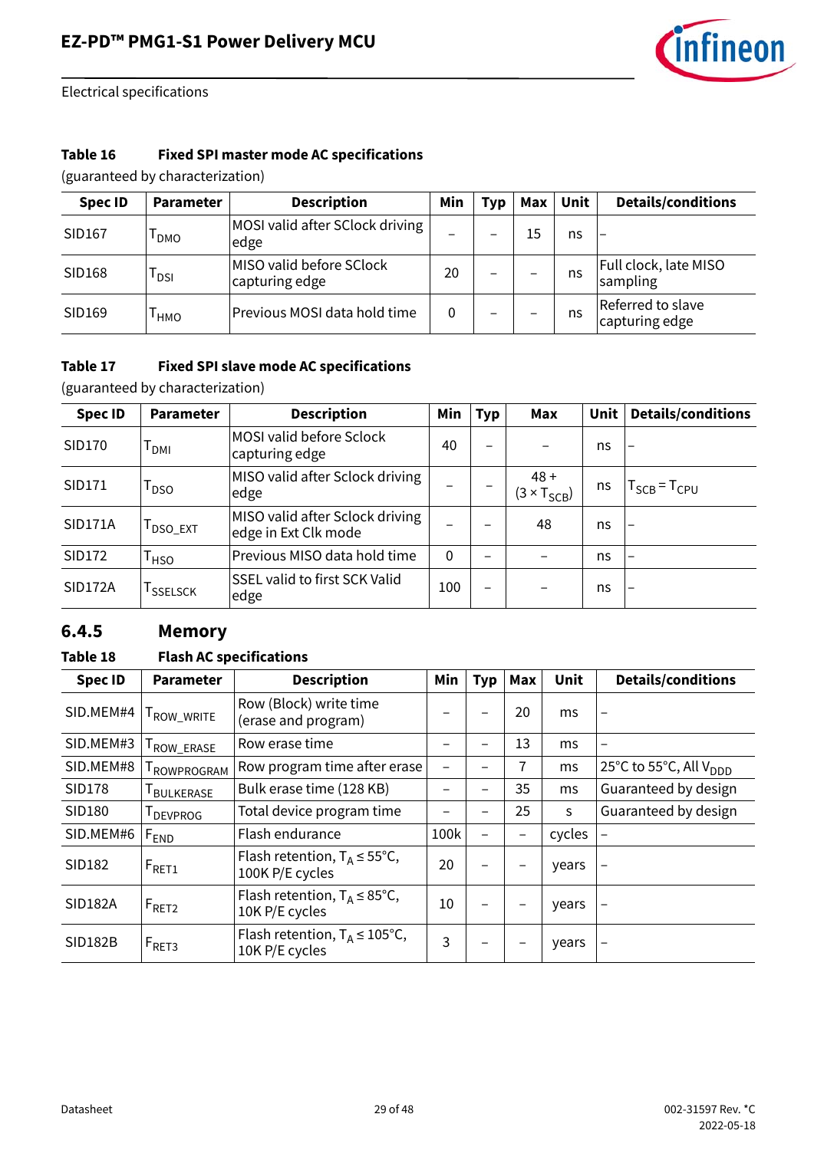

#### **Table 16 Fixed SPI master mode AC specifications**

(guaranteed by characterization)

| <b>Spec ID</b> | <b>Parameter</b> | <b>Description</b>                         | Min | Typ                      | Max | Unit | <b>Details/conditions</b>           |
|----------------|------------------|--------------------------------------------|-----|--------------------------|-----|------|-------------------------------------|
| SID167         | DMO              | MOSI valid after SClock driving<br>edge    |     | $\overline{\phantom{0}}$ | 15  | ns   | $\qquad \qquad -$                   |
| SID168         | l DSI            | MISO valid before SClock<br>capturing edge | 20  | $\overline{\phantom{0}}$ |     | ns   | Full clock, late MISO<br>sampling   |
| SID169         | I нмо            | Previous MOSI data hold time               | 0   | $\overline{\phantom{0}}$ |     | ns   | Referred to slave<br>capturing edge |

#### **Table 17 Fixed SPI slave mode AC specifications**

(guaranteed by characterization)

| <b>Spec ID</b> | <b>Parameter</b>      | <b>Description</b>                                      | Min          | <b>Typ</b>               | Max                            | <b>Unit</b> | <b>Details/conditions</b> |
|----------------|-----------------------|---------------------------------------------------------|--------------|--------------------------|--------------------------------|-------------|---------------------------|
| SID170         | <sup>I</sup> DMI      | MOSI valid before Sclock<br>capturing edge              | 40           |                          |                                | ns          | -                         |
| SID171         | $\Gamma_{\text{DSO}}$ | MISO valid after Sclock driving<br>edge                 |              |                          | $48 +$<br>$(3 \times T_{SCB})$ | ns          | $T_{SCB}$ = $T_{CPU}$     |
| <b>SID171A</b> | <b>DSO_EXT</b>        | MISO valid after Sclock driving<br>edge in Ext Clk mode |              |                          | 48                             | ns          | $\overline{\phantom{0}}$  |
| SID172         | <sup>I</sup> HSO      | Previous MISO data hold time                            | $\mathbf{0}$ |                          |                                | ns          | -                         |
| <b>SID172A</b> | <sup>I</sup> SSELSCK  | SSEL valid to first SCK Valid<br>edge                   | 100          | $\overline{\phantom{0}}$ |                                | ns          |                           |

#### **6.4.5 Memory**

#### **Table 18 Flash AC specifications**

| <b>Spec ID</b> | Parameter           | <b>Description</b>                                           | Min  | <b>Typ</b>               | Max | <b>Unit</b> | <b>Details/conditions</b>          |
|----------------|---------------------|--------------------------------------------------------------|------|--------------------------|-----|-------------|------------------------------------|
| SID.MEM#4      | ROW_WRITE           | Row (Block) write time<br>(erase and program)                |      | $\overline{\phantom{0}}$ | 20  | ms          | -                                  |
| SID.MEM#3      | ROW_ERASE           | Row erase time                                               |      | —                        | 13  | ms          | -                                  |
| SID.MEM#8      | <b>I ROWPROGRAM</b> | Row program time after erase                                 | —    | -                        | 7   | ms          | 25°C to 55°C, All V <sub>DDD</sub> |
| <b>SID178</b>  | <b>I</b> BULKERASE  | Bulk erase time (128 KB)                                     |      |                          | 35  | ms          | Guaranteed by design               |
| SID180         | <b>I</b> DEVPROG    | Total device program time                                    |      |                          | 25  | S           | Guaranteed by design               |
| SID.MEM#6      | F <sub>END</sub>    | Flash endurance                                              | 100k | $\qquad \qquad$          |     | cycles      |                                    |
| SID182         | $F_{RET1}$          | Flash retention, $T_A \le 55^{\circ}C$ ,<br>100K P/E cycles  | 20   |                          |     | years       |                                    |
| <b>SID182A</b> | $F_{\text{RET2}}$   | Flash retention, $T_A \leq 85^{\circ}C$ ,<br>10K P/E cycles  | 10   |                          |     | years       |                                    |
| <b>SID182B</b> | $F_{RET3}$          | Flash retention, $T_A \leq 105^{\circ}C$ ,<br>10K P/E cycles | 3    |                          |     | years       |                                    |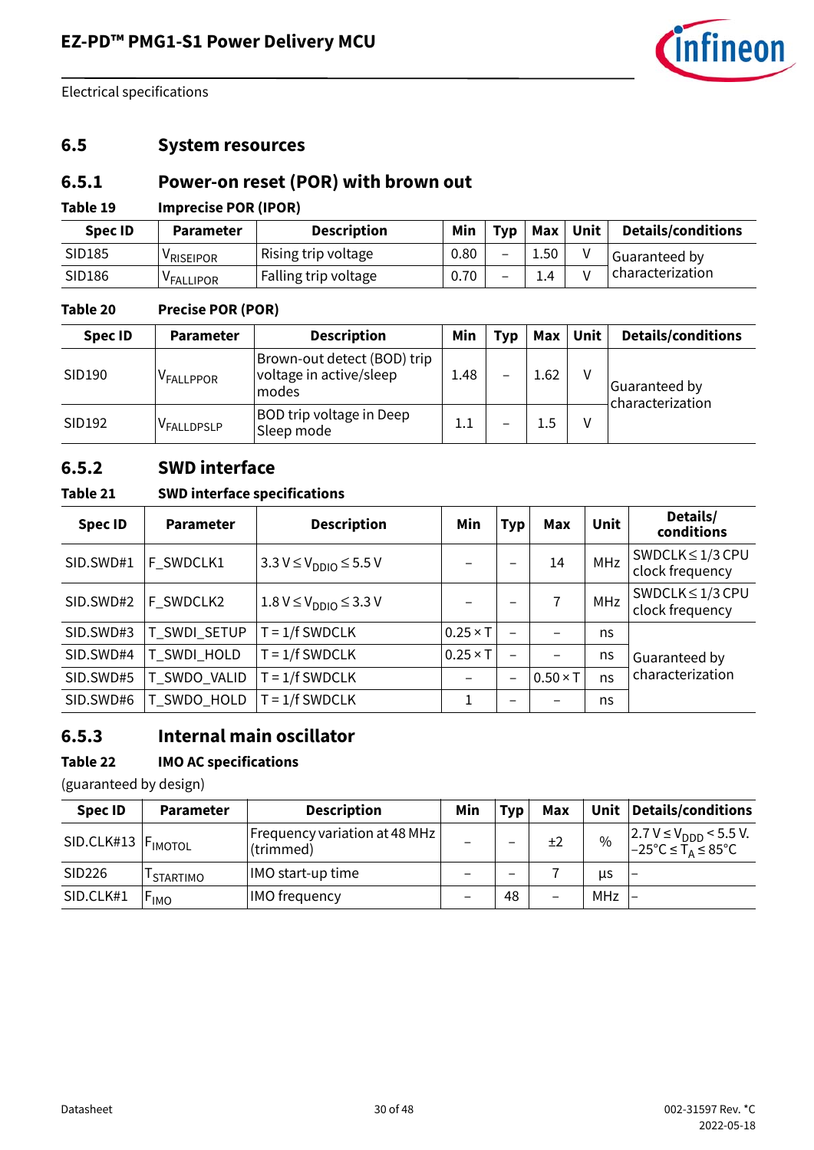

#### <span id="page-29-0"></span>**6.5 System resources**

#### **6.5.1 Power-on reset (POR) with brown out**

#### **Table 19 Imprecise POR (IPOR)**

| <b>Spec ID</b> | <b>Parameter</b>      | <b>Description</b>   | Min  | Typ                      | <b>Max</b> | Unit | <b>Details/conditions</b> |
|----------------|-----------------------|----------------------|------|--------------------------|------------|------|---------------------------|
| SID185         | <sup>V</sup> RISEIPOR | Rising trip voltage  | 0.80 | $\overline{\phantom{0}}$ | 1.50       |      | Guaranteed by             |
| SID186         | <sup>V</sup> FALLIPOR | Falling trip voltage | 0.70 | -                        | 1.4        |      | characterization          |

#### **Table 20 Precise POR (POR)**

| <b>Spec ID</b> | <b>Parameter</b>      | <b>Description</b>                                               | Min     | <b>Typ</b> | Max  | Unit | <b>Details/conditions</b>         |
|----------------|-----------------------|------------------------------------------------------------------|---------|------------|------|------|-----------------------------------|
| SID190         | <sup>V</sup> FALLPPOR | Brown-out detect (BOD) trip<br>voltage in active/sleep<br> modes | 1.48    | -          | 1.62 | v    | Guaranteed by<br>characterization |
| SID192         | VFALLDPSLP            | <b>BOD trip voltage in Deep</b><br>Sleep mode                    | $1.1\,$ | -          | 1.5  | v    |                                   |

#### **6.5.2 SWD interface**

#### **Table 21 SWD interface specifications**

| <b>Spec ID</b> | <b>Parameter</b> | <b>Description</b>                      | Min             | Typ                      | Max             | Unit | Details/<br>conditions                   |  |
|----------------|------------------|-----------------------------------------|-----------------|--------------------------|-----------------|------|------------------------------------------|--|
| SID.SWD#1      | F_SWDCLK1        | $3.3 V \leq V_{\text{DDIO}} \leq 5.5 V$ |                 | $\overline{\phantom{0}}$ | 14              | MHz  | SWDCLK $\leq$ 1/3 CPU<br>clock frequency |  |
| SID.SWD#2      | F_SWDCLK2        | $1.8 V \leq V_{\text{DDIO}} \leq 3.3 V$ |                 | $\overline{\phantom{0}}$ |                 | MHz  | SWDCLK $\leq$ 1/3 CPU<br>clock frequency |  |
| SID.SWD#3      | T_SWDI_SETUP     | $T = 1/f$ SWDCLK                        | $0.25 \times T$ | $\overline{\phantom{0}}$ |                 | ns   |                                          |  |
| SID.SWD#4      | T_SWDI_HOLD      | $T = 1/f$ SWDCLK                        | $0.25 \times T$ | $\overline{\phantom{0}}$ |                 | ns   | Guaranteed by                            |  |
| SID.SWD#5      | T_SWDO_VALID     | $T = 1/f$ SWDCLK                        |                 | $\overline{\phantom{0}}$ | $0.50 \times T$ | ns   | characterization                         |  |
| SID.SWD#6      | T_SWDO_HOLD      | $T = 1/f$ SWDCLK                        | 1               |                          |                 | ns   |                                          |  |

### **6.5.3 Internal main oscillator**

#### **Table 22 IMO AC specifications**

(guaranteed by design)

| <b>Spec ID</b>                  | <b>Parameter</b>      | <b>Description</b>                           | Min | <b>Typ</b>               | Max                      |      | Unit   Details/conditions                                            |
|---------------------------------|-----------------------|----------------------------------------------|-----|--------------------------|--------------------------|------|----------------------------------------------------------------------|
| SID.CLK#13  F <sub>IMOTOL</sub> |                       | Frequency variation at 48 MHz  <br>(trimmed) |     | $\overline{\phantom{0}}$ | ±2                       | $\%$ | 2.7 V ≤ V <sub>DDD</sub> < 5.5 V.<br>-25 °C ≤ T <sub>A</sub> ≤ 85 °C |
| SID226                          | <sup>I</sup> STARTIMO | IMO start-up time                            |     | $\overline{\phantom{0}}$ |                          | us   | $\overline{a}$                                                       |
| SID.CLK#1                       | $F_{IMO}$             | <b>IMO</b> frequency                         |     | 48                       | $\overline{\phantom{0}}$ | MHz  |                                                                      |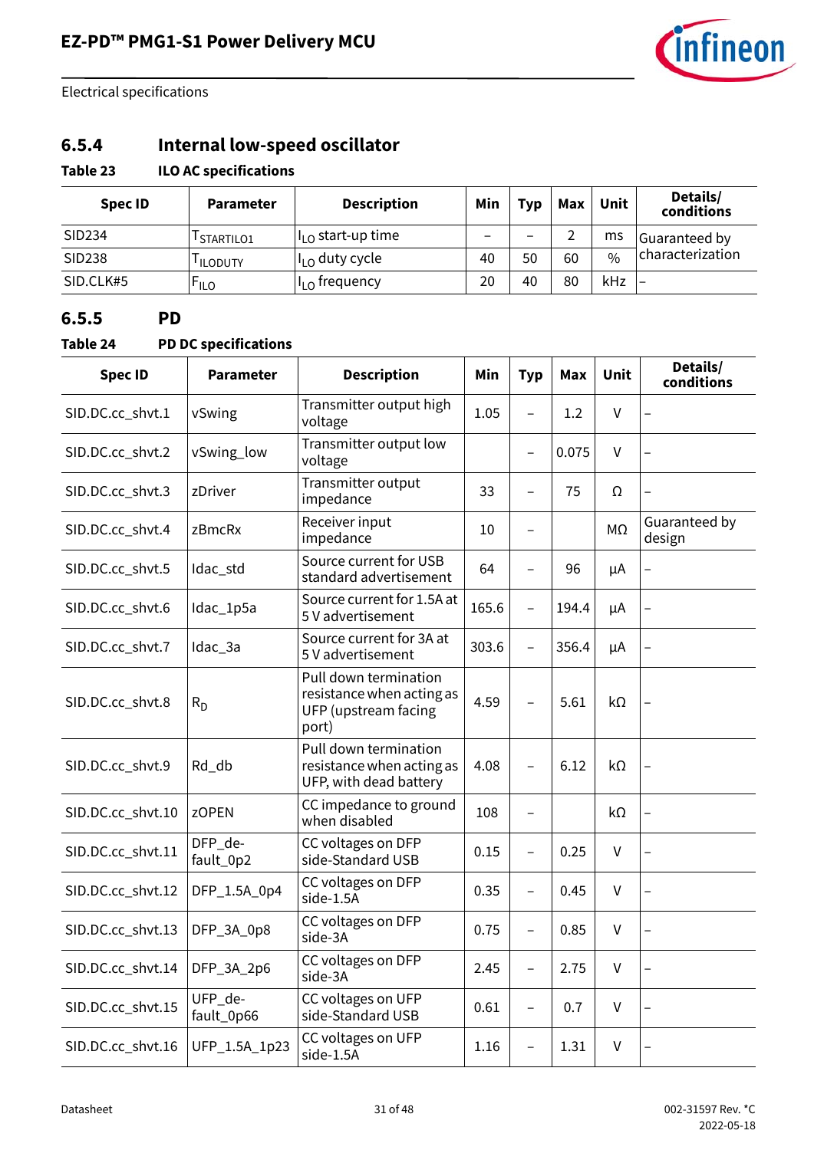

### **6.5.4 Internal low-speed oscillator**

#### **Table 23 ILO AC specifications**

| Spec ID   | <b>Parameter</b> | <b>Description</b>                       | Min | <b>Typ</b>               | Max                      | Unit          | Details/<br>conditions   |  |
|-----------|------------------|------------------------------------------|-----|--------------------------|--------------------------|---------------|--------------------------|--|
| SID234    | STARTILO1        | $\parallel$ <sub>I O</sub> start-up time |     | $\overline{\phantom{0}}$ | $\overline{\phantom{0}}$ | ms            | Guaranteed by            |  |
| SID238    | <b>ILODUTY</b>   | $\mathsf{II}_{\mathsf{LO}}$ duty cycle   | 40  | 50                       | 60                       | $\frac{0}{0}$ | characterization         |  |
| SID.CLK#5 | <b>FILO</b>      | II <sub>I O</sub> frequency              | 20  | 40                       | 80                       | kHz           | $\overline{\phantom{0}}$ |  |

#### **6.5.5 PD**

#### **Table 24 PD DC specifications**

| <b>Spec ID</b>    | <b>Parameter</b>      | <b>Description</b>                                                                  | Min   | <b>Typ</b>               | Max   | <b>Unit</b> | Details/<br>conditions   |
|-------------------|-----------------------|-------------------------------------------------------------------------------------|-------|--------------------------|-------|-------------|--------------------------|
| SID.DC.cc_shvt.1  | vSwing                | Transmitter output high<br>voltage                                                  | 1.05  | $\overline{a}$           | 1.2   | $\vee$      |                          |
| SID.DC.cc_shvt.2  | vSwing_low            | Transmitter output low<br>voltage                                                   |       | $\overline{\phantom{0}}$ | 0.075 | V           |                          |
| SID.DC.cc_shvt.3  | zDriver               | Transmitter output<br>impedance                                                     | 33    | $\qquad \qquad -$        | 75    | Ω           | $\overline{\phantom{0}}$ |
| SID.DC.cc_shvt.4  | zBmcRx                | Receiver input<br>impedance                                                         | 10    | $\overline{\phantom{0}}$ |       | МΩ          | Guaranteed by<br>design  |
| SID.DC.cc_shvt.5  | Idac_std              | Source current for USB<br>standard advertisement                                    | 64    |                          | 96    | μA          | $\overline{\phantom{0}}$ |
| SID.DC.cc_shvt.6  | Idac_1p5a             | Source current for 1.5A at<br>5 V advertisement                                     | 165.6 | $\overline{a}$           | 194.4 | μA          | $\qquad \qquad -$        |
| SID.DC.cc_shvt.7  | Idac_3a               | Source current for 3A at<br>5 V advertisement                                       | 303.6 | $\qquad \qquad -$        | 356.4 | μA          | $\overline{\phantom{0}}$ |
| SID.DC.cc_shvt.8  | $R_{D}$               | Pull down termination<br>resistance when acting as<br>UFP (upstream facing<br>port) | 4.59  | $\overline{\phantom{0}}$ | 5.61  | kΩ          |                          |
| SID.DC.cc_shvt.9  | Rd_db                 | Pull down termination<br>resistance when acting as<br>UFP, with dead battery        | 4.08  | $\qquad \qquad -$        | 6.12  | $k\Omega$   |                          |
| SID.DC.cc_shvt.10 | <b>zOPEN</b>          | CC impedance to ground<br>when disabled                                             | 108   |                          |       | kΩ          |                          |
| SID.DC.cc_shvt.11 | DFP_de-<br>fault_0p2  | CC voltages on DFP<br>side-Standard USB                                             | 0.15  | $\overline{\phantom{0}}$ | 0.25  | V           | $\overline{\phantom{0}}$ |
| SID.DC.cc_shvt.12 | DFP_1.5A_0p4          | CC voltages on DFP<br>side-1.5A                                                     | 0.35  | $\overline{\phantom{0}}$ | 0.45  | $\vee$      |                          |
| SID.DC.cc_shvt.13 | DFP_3A_0p8            | CC voltages on DFP<br>side-3A                                                       | 0.75  | $\overline{\phantom{0}}$ | 0.85  | V           | $\overline{\phantom{0}}$ |
| SID.DC.cc_shvt.14 | DFP_3A_2p6            | CC voltages on DFP<br>side-3A                                                       | 2.45  | $\overline{\phantom{0}}$ | 2.75  | V           | $\overline{\phantom{0}}$ |
| SID.DC.cc_shvt.15 | UFP_de-<br>fault_0p66 | CC voltages on UFP<br>side-Standard USB                                             | 0.61  | $\qquad \qquad -$        | 0.7   | V           |                          |
| SID.DC.cc_shvt.16 | UFP_1.5A_1p23         | CC voltages on UFP<br>side-1.5A                                                     | 1.16  | $\qquad \qquad -$        | 1.31  | V           |                          |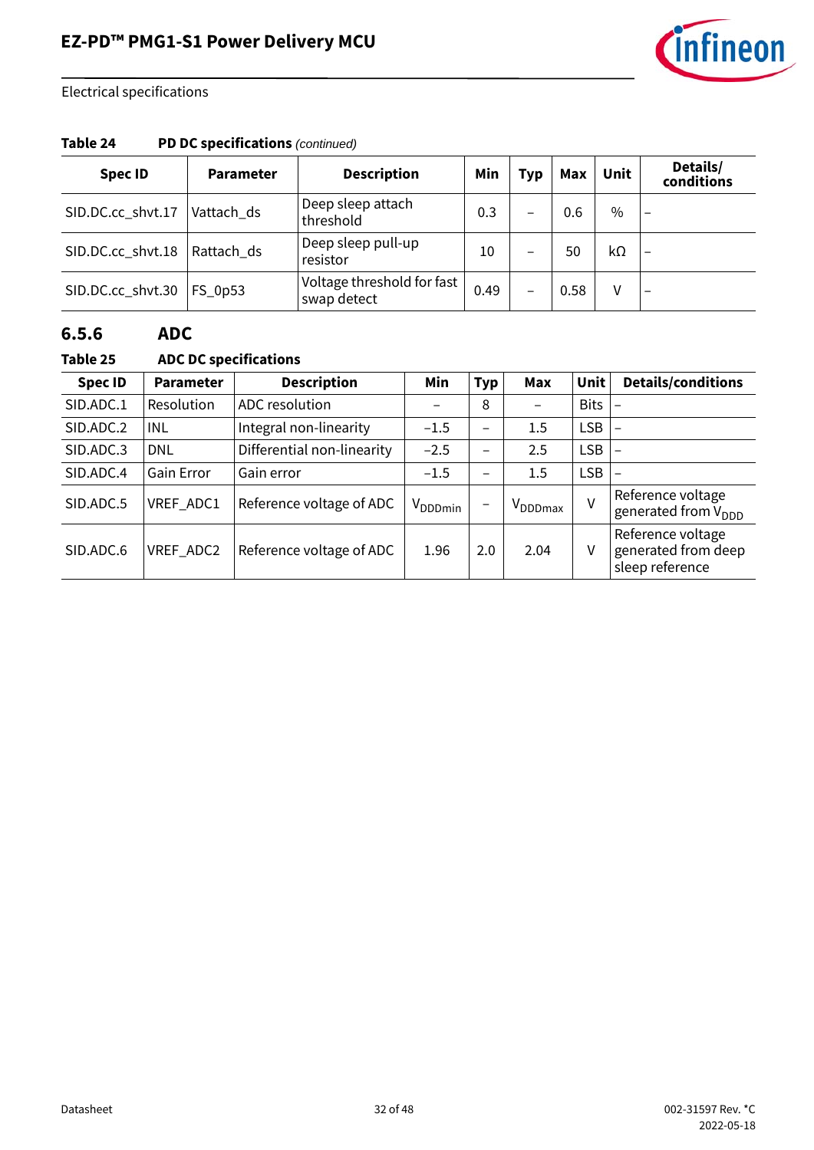

#### **Table 24 PD DC specifications** *(continued)*

| <b>Spec ID</b>    | <b>Parameter</b> | <b>Description</b>                        | Min  | <b>Typ</b>               | <b>Max</b> | Unit          | Details/<br>conditions   |
|-------------------|------------------|-------------------------------------------|------|--------------------------|------------|---------------|--------------------------|
| SID.DC.cc_shvt.17 | Vattach ds       | Deep sleep attach<br>threshold            | 0.3  | $\overline{\phantom{0}}$ | 0.6        | $\frac{0}{0}$ | $\overline{\phantom{0}}$ |
| SID.DC.cc_shvt.18 | Rattach_ds       | Deep sleep pull-up<br>resistor            | 10   | -                        | 50         | kΩ            |                          |
| SID.DC.cc_shvt.30 | FS_0p53          | Voltage threshold for fast<br>swap detect | 0.49 | $\qquad \qquad$          | 0.58       | v             |                          |

#### **6.5.6 ADC**

#### **Table 25 ADC DC specifications**

| <b>Spec ID</b> | <b>Parameter</b> | <b>Description</b>         | Min                 | <b>Typ</b>               | Max                 | Unit        | <b>Details/conditions</b>                                   |
|----------------|------------------|----------------------------|---------------------|--------------------------|---------------------|-------------|-------------------------------------------------------------|
| SID.ADC.1      | Resolution       | ADC resolution             |                     | 8                        |                     | <b>Bits</b> |                                                             |
| SID.ADC.2      | INL              | Integral non-linearity     | $-1.5$              | —                        | 1.5                 | <b>LSB</b>  |                                                             |
| SID.ADC.3      | <b>DNL</b>       | Differential non-linearity | $-2.5$              | $\qquad \qquad$          | 2.5                 | <b>LSB</b>  |                                                             |
| SID.ADC.4      | Gain Error       | Gain error                 | $-1.5$              | $\overline{\phantom{0}}$ | $1.5\,$             | <b>LSB</b>  |                                                             |
| SID.ADC.5      | VREF_ADC1        | Reference voltage of ADC   | V <sub>DDDmin</sub> | $\qquad \qquad$          | V <sub>DDDmax</sub> | $\vee$      | Reference voltage<br>generated from V <sub>DDD</sub>        |
| SID.ADC.6      | VREF_ADC2        | Reference voltage of ADC   | 1.96                | 2.0                      | 2.04                | v           | Reference voltage<br>generated from deep<br>sleep reference |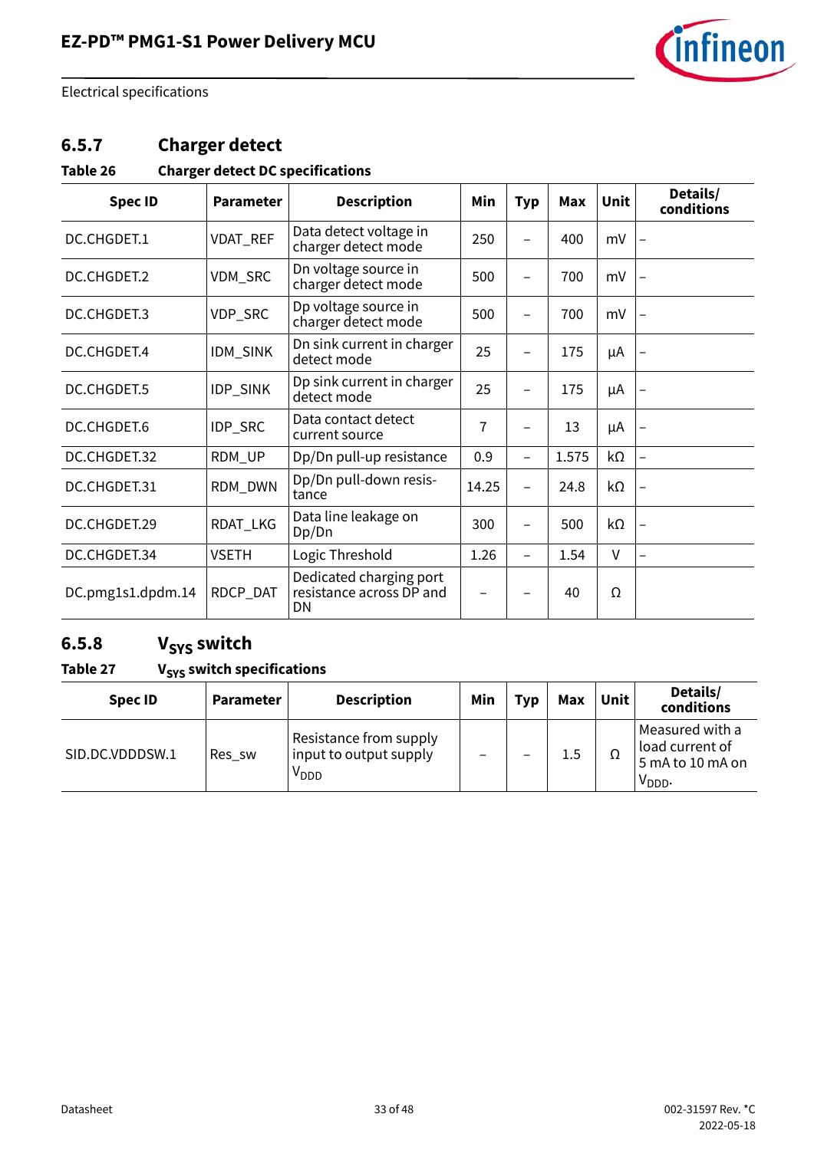

### **6.5.7 Charger detect**

#### **Table 26 Charger detect DC specifications**

| <b>Spec ID</b>    | <b>Parameter</b> | <b>Description</b>                                        | Min            | <b>Typ</b>               | Max   | <b>Unit</b> | Details/<br>conditions |
|-------------------|------------------|-----------------------------------------------------------|----------------|--------------------------|-------|-------------|------------------------|
| DC.CHGDET.1       | VDAT_REF         | Data detect voltage in<br>charger detect mode             | 250            |                          | 400   | mV          |                        |
| DC.CHGDET.2       | VDM_SRC          | Dn voltage source in<br>charger detect mode               | 500            | $\overline{\phantom{0}}$ | 700   | mV          |                        |
| DC.CHGDET.3       | VDP_SRC          | Dp voltage source in<br>charger detect mode               | 500            |                          | 700   | mV          |                        |
| DC.CHGDET.4       | IDM_SINK         | Dn sink current in charger<br>detect mode                 | 25             |                          | 175   | μA          |                        |
| DC.CHGDET.5       | IDP_SINK         | Dp sink current in charger<br>detect mode                 | 25             |                          | 175   | μA          |                        |
| DC.CHGDET.6       | IDP_SRC          | Data contact detect<br>current source                     | $\overline{1}$ |                          | 13    | μA          |                        |
| DC.CHGDET.32      | RDM_UP           | Dp/Dn pull-up resistance                                  | 0.9            | $\overline{\phantom{0}}$ | 1.575 | kΩ          |                        |
| DC.CHGDET.31      | RDM_DWN          | Dp/Dn pull-down resis-<br>tance                           | 14.25          |                          | 24.8  | kΩ          |                        |
| DC.CHGDET.29      | RDAT_LKG         | Data line leakage on<br>Dp/Dn                             | 300            |                          | 500   | kΩ          |                        |
| DC.CHGDET.34      | <b>VSETH</b>     | Logic Threshold                                           | 1.26           |                          | 1.54  | V           |                        |
| DC.pmg1s1.dpdm.14 | RDCP_DAT         | Dedicated charging port<br>resistance across DP and<br>DN |                |                          | 40    | Ω           |                        |

### 6.5.8 V<sub>SYS</sub> switch

#### Table 27 V<sub>SYS</sub> switch specifications

| <b>Spec ID</b>  | <b>Parameter</b> | <b>Description</b>                                                   | Min | <b>Typ</b> | Max | Unit | Details/<br>conditions                                                |
|-----------------|------------------|----------------------------------------------------------------------|-----|------------|-----|------|-----------------------------------------------------------------------|
| SID.DC.VDDDSW.1 | Res_sw           | Resistance from supply<br>input to output supply<br>V <sub>DDD</sub> |     |            | 1.5 | Ω    | Measured with a<br>load current of<br>5 mA to 10 mA on<br>$V_{DDD}$ . |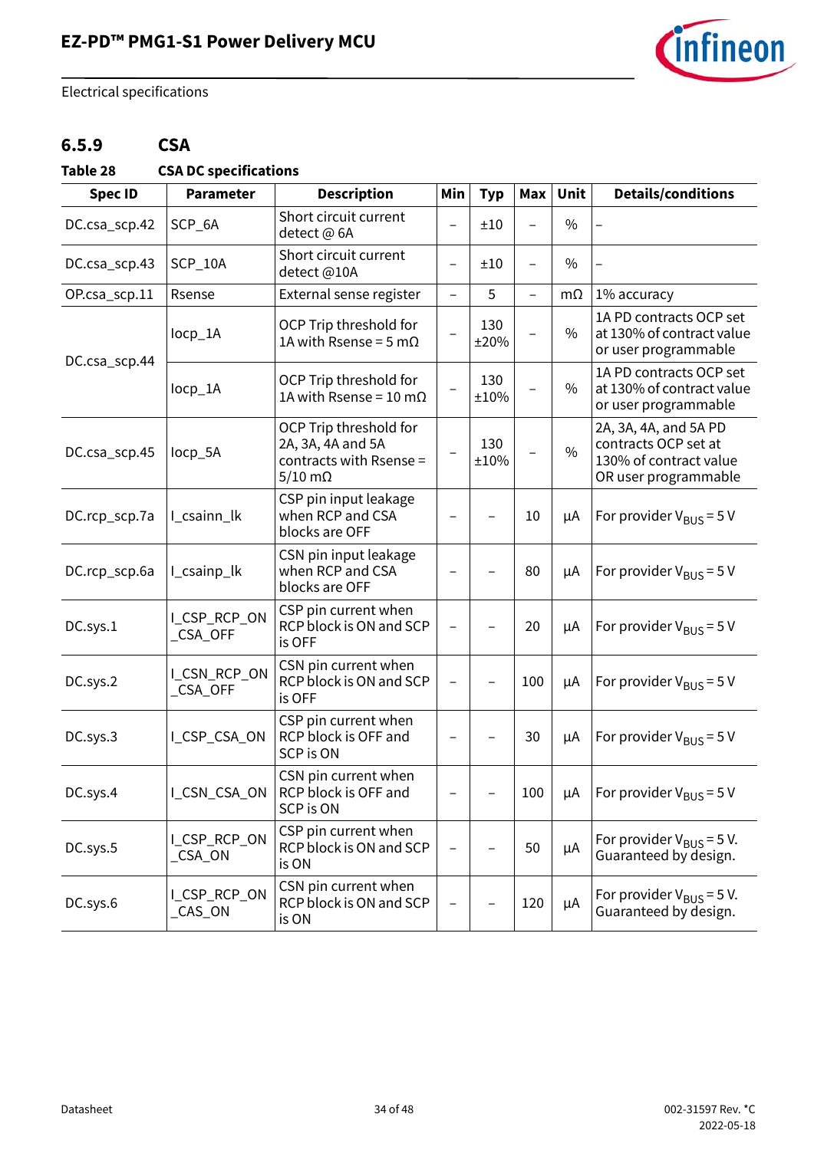

### **6.5.9 CSA**

<span id="page-33-0"></span>**Table 28 CSA DC specifications**

| <b>Spec ID</b> | <b>Parameter</b>         | <b>Description</b>                                                                          | Min                      | <b>Typ</b>  | Max                      | Unit          | <b>Details/conditions</b>                                                                       |
|----------------|--------------------------|---------------------------------------------------------------------------------------------|--------------------------|-------------|--------------------------|---------------|-------------------------------------------------------------------------------------------------|
| DC.csa_scp.42  | SCP_6A                   | Short circuit current<br>detect @ 6A                                                        | $\overline{\phantom{0}}$ | ±10         | $\equiv$                 | $\frac{0}{0}$ |                                                                                                 |
| DC.csa_scp.43  | SCP_10A                  | Short circuit current<br>detect@10A                                                         | $\overline{\phantom{0}}$ | ±10         | $\overline{\phantom{0}}$ | $\frac{0}{0}$ |                                                                                                 |
| OP.csa_scp.11  | Rsense                   | External sense register                                                                     | $\overline{\phantom{0}}$ | 5           | $\overline{\phantom{0}}$ | $m\Omega$     | 1% accuracy                                                                                     |
| DC.csa_scp.44  | locp_1A                  | OCP Trip threshold for<br>1A with Rsense = $5 \text{ mA}$                                   |                          | 130<br>±20% |                          | $\frac{0}{0}$ | 1A PD contracts OCP set<br>at 130% of contract value<br>or user programmable                    |
|                | locp_1A                  | OCP Trip threshold for<br>1A with Rsense = 10 m $\Omega$                                    | $\overline{a}$           | 130<br>±10% |                          | $\frac{0}{0}$ | 1A PD contracts OCP set<br>at 130% of contract value<br>or user programmable                    |
| DC.csa_scp.45  | locp_5A                  | OCP Trip threshold for<br>2A, 3A, 4A and 5A<br>contracts with Rsense =<br>$5/10$ m $\Omega$ |                          | 130<br>±10% |                          | $\frac{0}{0}$ | 2A, 3A, 4A, and 5A PD<br>contracts OCP set at<br>130% of contract value<br>OR user programmable |
| DC.rcp_scp.7a  | I_csainn_lk              | CSP pin input leakage<br>when RCP and CSA<br>blocks are OFF                                 |                          |             | 10                       | μA            | For provider $V_{\text{RUS}} = 5 V$                                                             |
| DC.rcp_scp.6a  | I csainp lk              | CSN pin input leakage<br>when RCP and CSA<br>blocks are OFF                                 |                          |             | 80                       | μA            | For provider $V_{BUS} = 5 V$                                                                    |
| DC.sys.1       | I_CSP_RCP_ON<br>_CSA_OFF | CSP pin current when<br>RCP block is ON and SCP<br>is OFF                                   |                          |             | 20                       | μA            | For provider $V_{BUS} = 5 V$                                                                    |
| DC.sys.2       | I_CSN_RCP_ON<br>_CSA_OFF | CSN pin current when<br>RCP block is ON and SCP<br>is OFF                                   | $\overline{\phantom{0}}$ |             | 100                      | μA            | For provider $V_{BUS}$ = 5 V                                                                    |
| DC.sys.3       | I_CSP_CSA_ON             | CSP pin current when<br>RCP block is OFF and<br><b>SCP is ON</b>                            |                          |             | 30                       | μA            | For provider $V_{BUS}$ = 5 V                                                                    |
| DC.sys.4       | _CSN_CSA_ON              | CSN pin current when<br>RCP block is OFF and<br><b>SCP is ON</b>                            |                          |             | 100                      | μA            | For provider $V_{BUS}$ = 5 V                                                                    |
| DC.sys.5       | L_CSP_RCP_ON<br>_CSA_ON  | CSP pin current when<br>RCP block is ON and SCP<br>is ON                                    |                          |             | 50                       | μA            | For provider $V_{\text{BUS}}$ = 5 V.<br>Guaranteed by design.                                   |
| DC.sys.6       | L_CSP_RCP_ON<br>_CAS_ON  | CSN pin current when<br>RCP block is ON and SCP<br>is ON                                    |                          |             | 120                      | μA            | For provider $V_{BUS} = 5 V$ .<br>Guaranteed by design.                                         |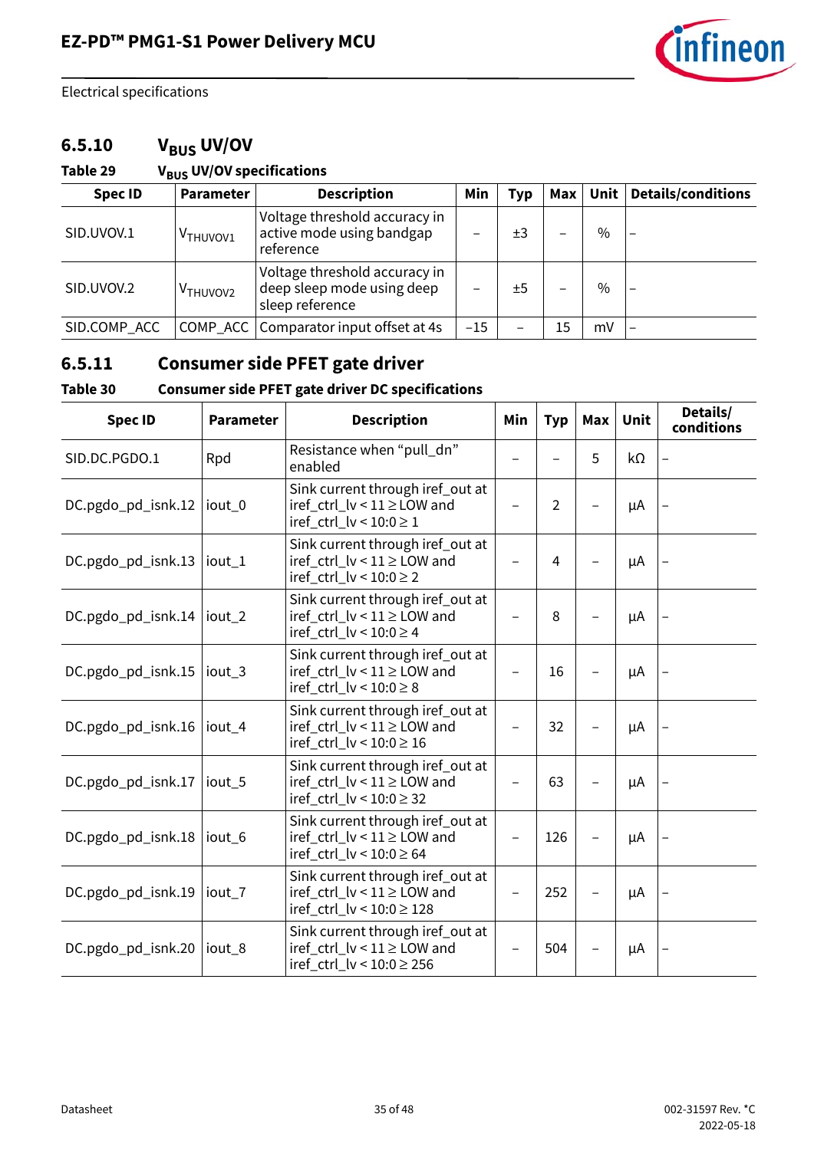

### 6.5.10 V<sub>BUS</sub> UV/OV

#### Table 29 V<sub>BUS</sub> UV/OV specifications

| <b>Spec ID</b> | <b>Parameter</b>     | <b>Description</b>                                                             | Min   | <b>Typ</b> | Max | Unit | <b>Details/conditions</b> |
|----------------|----------------------|--------------------------------------------------------------------------------|-------|------------|-----|------|---------------------------|
| SID.UVOV.1     | V <sub>THUVOV1</sub> | Voltage threshold accuracy in<br>active mode using bandgap<br>reference        |       | ±3         | -   | $\%$ |                           |
| SID.UVOV.2     | V <sub>THUVOV2</sub> | Voltage threshold accuracy in<br>deep sleep mode using deep<br>sleep reference |       | ±5         |     | $\%$ | $\overline{\phantom{0}}$  |
| SID.COMP_ACC   |                      | COMP_ACC   Comparator input offset at 4s                                       | $-15$ |            | 15  | mV   |                           |

### **6.5.11 Consumer side PFET gate driver**

#### **Table 30 Consumer side PFET gate driver DC specifications**

| <b>Spec ID</b>     | <b>Parameter</b>  | <b>Description</b>                                                                              | Min | <b>Typ</b>     | Max | <b>Unit</b> | Details/<br>conditions |
|--------------------|-------------------|-------------------------------------------------------------------------------------------------|-----|----------------|-----|-------------|------------------------|
| SID.DC.PGDO.1      | Rpd               | Resistance when "pull_dn"<br>enabled                                                            |     |                | 5   | kΩ          |                        |
| DC.pgdo_pd_isnk.12 | iout_0            | Sink current through iref_out at<br>iref_ctrl_lv < 11 ≥ LOW and<br>iref_ctrl_lv < $10:0 \ge 1$  |     | $\overline{2}$ |     | μA          |                        |
| DC.pgdo_pd_isnk.13 | iout_1            | Sink current through iref_out at<br>iref_ctrl_lv < 11 ≥ LOW and<br>iref_ctrl_lv < $10:0 \ge 2$  |     | $\overline{4}$ |     | μA          |                        |
| DC.pgdo_pd_isnk.14 | iout <sub>2</sub> | Sink current through iref_out at<br>iref_ctrl_lv < 11 ≥ LOW and<br>iref_ctrl_lv < $10:0 \ge 4$  |     | 8              |     | μA          |                        |
| DC.pgdo_pd_isnk.15 | iout <sub>3</sub> | Sink current through iref_out at<br>iref_ctrl_lv < 11 ≥ LOW and<br>iref_ctrl_lv < $10:0 \ge 8$  |     | 16             |     | μA          |                        |
| DC.pgdo_pd_isnk.16 | iout <sub>4</sub> | Sink current through iref_out at<br>iref_ctrl_lv < 11 ≥ LOW and<br>iref_ctrl_lv < 10:0 ≥ 16     |     | 32             |     | μA          |                        |
| DC.pgdo_pd_isnk.17 | iout <sub>5</sub> | Sink current through iref_out at<br>iref_ctrl_lv < 11 ≥ LOW and<br>iref_ctrl_lv < $10:0 \ge 32$ |     | 63             |     | μA          |                        |
| DC.pgdo_pd_isnk.18 | iout <sub>6</sub> | Sink current through iref_out at<br>iref_ctrl_lv < 11 ≥ LOW and<br>iref_ctrl_lv < 10:0 ≥ 64     |     | 126            |     | μA          |                        |
| DC.pgdo_pd_isnk.19 | iout_7            | Sink current through iref_out at<br>iref_ctrl_lv < 11 ≥ LOW and<br>iref_ctrl_lv < 10:0 ≥ 128    |     | 252            |     | μA          |                        |
| DC.pgdo_pd_isnk.20 | iout <sub>8</sub> | Sink current through iref_out at<br>iref_ctrl_lv < 11 ≥ LOW and<br>iref_ctrl_lv < 10:0 ≥ 256    |     | 504            |     | μA          |                        |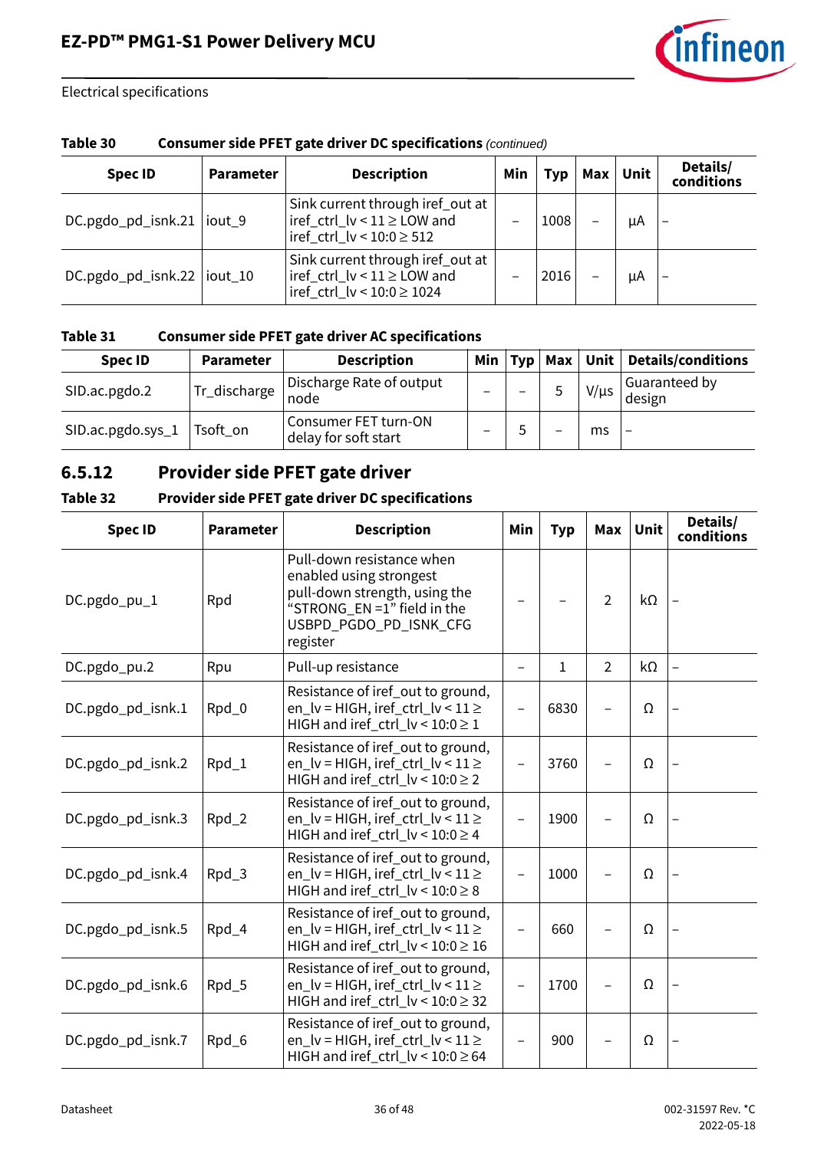

| Table 30 | <b>Consumer side PFET gate driver DC specifications (continued)</b> |
|----------|---------------------------------------------------------------------|
|----------|---------------------------------------------------------------------|

| <b>Spec ID</b>              | <b>Parameter</b> | <b>Description</b>                                                                                          | Min | Typ  | Max Unit | Details/<br>conditions |
|-----------------------------|------------------|-------------------------------------------------------------------------------------------------------------|-----|------|----------|------------------------|
| DC.pgdo_pd_isnk.21  iout_9  |                  | Sink current through iref_out at<br>$iref_{ctr}$ $lv$ < $11 \geq$ LOW and<br>iref_ctrl_lv < $10:0 \geq 512$ |     | 1008 | μA       |                        |
| DC.pgdo_pd_isnk.22  iout_10 |                  | Sink current through iref out at<br>iref_ctrl_lv < $11 \ge$ LOW and<br>iref_ctrl_lv < 10:0 ≥ 1024           |     | 2016 | μA       |                        |

#### **Table 31 Consumer side PFET gate driver AC specifications**

| <b>Spec ID</b>    | <b>Parameter</b> | <b>Description</b>                           | Min | Typ |                          |           | Max   Unit   Details/conditions |
|-------------------|------------------|----------------------------------------------|-----|-----|--------------------------|-----------|---------------------------------|
| SID.ac.pgdo.2     | Tr_discharge     | Discharge Rate of output<br>node             |     | -   |                          | $V/\mu s$ | Guaranteed by<br>design         |
| SID.ac.pgdo.sys_1 | Tsoft_on         | Consumer FET turn-ON<br>delay for soft start |     |     | $\overline{\phantom{0}}$ | ms        | $\overline{\phantom{m}}$        |

### **6.5.12 Provider side PFET gate driver**

| Table 32 | <b>Provider side PFET gate driver DC specifications</b> |
|----------|---------------------------------------------------------|
|          |                                                         |

| <b>Spec ID</b>    | <b>Parameter</b> | <b>Description</b>                                                                                                                                         | Min                      | <b>Typ</b>   | <b>Max</b>     | <b>Unit</b> | Details/<br>conditions   |
|-------------------|------------------|------------------------------------------------------------------------------------------------------------------------------------------------------------|--------------------------|--------------|----------------|-------------|--------------------------|
| DC.pgdo_pu_1      | Rpd              | Pull-down resistance when<br>enabled using strongest<br>pull-down strength, using the<br>"STRONG_EN =1" field in the<br>USBPD_PGDO_PD_ISNK_CFG<br>register |                          |              | 2              | kΩ          |                          |
| DC.pgdo_pu.2      | Rpu              | Pull-up resistance                                                                                                                                         | -                        | $\mathbf{1}$ | $\overline{2}$ | kΩ          | $\overline{\phantom{0}}$ |
| DC.pgdo_pd_isnk.1 | Rpd_0            | Resistance of iref_out to ground,<br>en_lv = HIGH, iref_ctrl_lv < 11 ≥<br>HIGH and iref_ctrl_lv < $10:0 \ge 1$                                             |                          | 6830         |                | Ω           |                          |
| DC.pgdo_pd_isnk.2 | Rpd_1            | Resistance of iref out to ground,<br>en_lv = HIGH, iref_ctrl_lv < 11 ≥<br>HIGH and iref_ctrl_lv < 10:0 ≥ 2                                                 | $\overline{\phantom{0}}$ | 3760         |                | Ω           |                          |
| DC.pgdo_pd_isnk.3 | Rpd_2            | Resistance of iref out to ground,<br>en_lv = HIGH, iref_ctrl_lv < $11 \ge$<br>HIGH and iref_ctrl_lv < $10:0 \ge 4$                                         |                          | 1900         |                | Ω           |                          |
| DC.pgdo_pd_isnk.4 | Rpd_3            | Resistance of iref_out to ground,<br>en $\lfloor v = H \rfloor$ GH, iref ctrl $\lfloor v < 11 \rfloor$<br>HIGH and iref_ctrl_lv < $10:0 \ge 8$             | $\overline{\phantom{0}}$ | 1000         |                | Ω           |                          |
| DC.pgdo_pd_isnk.5 | Rpd_4            | Resistance of iref out to ground,<br>en_lv = HIGH, iref_ctrl_lv < $11 \ge$<br>HIGH and iref_ctrl_lv < $10:0 \ge 16$                                        |                          | 660          |                | Ω           |                          |
| DC.pgdo_pd_isnk.6 | Rpd_5            | Resistance of iref out to ground,<br>en_lv = HIGH, iref_ctrl_lv < $11 \ge$<br>HIGH and iref_ctrl_lv < $10:0 \ge 32$                                        |                          | 1700         |                | Ω           |                          |
| DC.pgdo_pd_isnk.7 | Rpd_6            | Resistance of iref out to ground,<br>en_lv = HIGH, iref_ctrl_lv < $11 \ge$<br>HIGH and iref_ctrl_lv < $10:0 \ge 64$                                        |                          | 900          |                | Ω           |                          |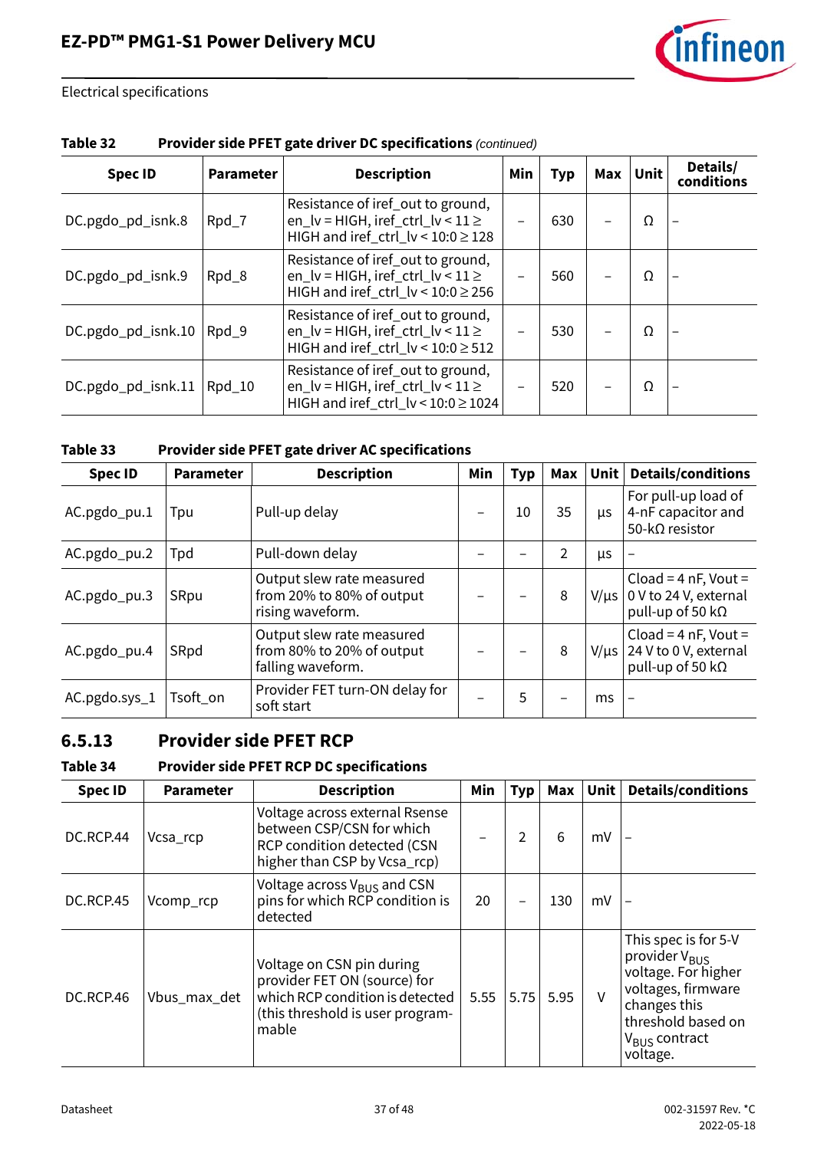

| <b>Spec ID</b>     | <b>Parameter</b> | <b>Description</b>                                                                                                                            | Min | <b>Typ</b> | Max | <b>Unit</b> | Details/<br>conditions |  |
|--------------------|------------------|-----------------------------------------------------------------------------------------------------------------------------------------------|-----|------------|-----|-------------|------------------------|--|
| DC.pgdo_pd_isnk.8  | Rpd_7            | Resistance of iref_out to ground,<br>en_lv = HIGH, iref_ctrl_lv < $11 \ge$<br>HIGH and iref_ctrl_lv < $10:0 \ge 128$                          | -   | 630        |     | Ω           |                        |  |
| DC.pgdo_pd_isnk.9  | Rpd_8            | Resistance of iref out to ground,<br>en_lv = HIGH, iref_ctrl_lv < $11 \ge$<br>HIGH and iref_ctrl_lv < $10:0 \ge 256$                          |     | 560        |     | Ω           |                        |  |
| DC.pgdo_pd_isnk.10 | $Rpd_9$          | Resistance of iref_out to ground,<br>en $\lfloor v = H \rfloor$ GH, iref ctrl $\lfloor v < 11 \ge$<br>HIGH and iref_ctrl_lv < $10:0 \geq 512$ |     | 530        |     | Ω           |                        |  |
| DC.pgdo_pd_isnk.11 | Rpd_10           | Resistance of iref_out to ground,<br>en $\lfloor v = H \rfloor$ GH, iref ctrl $\lfloor v < 11 \geq$<br>HIGH and iref_ctrl_lv < 10:0 ≥ 1024    |     | 520        |     | Ω           |                        |  |

#### **Table 32 Provider side PFET gate driver DC specifications** *(continued)*

| Table 33 | Provider side PFET gate driver AC specifications |
|----------|--------------------------------------------------|
|----------|--------------------------------------------------|

| <b>Spec ID</b> | <b>Parameter</b> | <b>Description</b>                                                          | Min | Typ | Max | <b>Unit</b> | <b>Details/conditions</b>                                                   |
|----------------|------------------|-----------------------------------------------------------------------------|-----|-----|-----|-------------|-----------------------------------------------------------------------------|
| AC.pgdo_pu.1   | Tpu              | Pull-up delay                                                               |     | 10  | 35  | μs          | For pull-up load of<br>4-nF capacitor and<br>50-kΩ resistor                 |
| AC.pgdo_pu.2   | Tpd              | Pull-down delay                                                             |     |     | 2   | μs          |                                                                             |
| AC.pgdo_pu.3   | SRpu             | Output slew rate measured<br>from 20% to 80% of output<br>rising waveform.  |     |     | 8   | $V/\mu s$   | Cload = $4$ nF, Vout =<br>0 V to 24 V, external<br>pull-up of 50 k $\Omega$ |
| AC.pgdo_pu.4   | SRpd             | Output slew rate measured<br>from 80% to 20% of output<br>falling waveform. |     |     | 8   | $V/\mu s$   | Cload = $4$ nF, Vout =<br>24 V to 0 V, external<br>pull-up of 50 k $\Omega$ |
| AC.pgdo.sys_1  | Tsoft_on         | Provider FET turn-ON delay for<br>soft start                                |     | 5   |     | ms          |                                                                             |

### **6.5.13 Provider side PFET RCP**

#### <span id="page-36-0"></span>**Table 34 Provider side PFET RCP DC specifications**

| <b>Spec ID</b> | <b>Parameter</b> | <b>Description</b>                                                                                                                        | Min  | <b>Typ</b> | Max  | Unit   | <b>Details/conditions</b>                                                                                                                                                     |
|----------------|------------------|-------------------------------------------------------------------------------------------------------------------------------------------|------|------------|------|--------|-------------------------------------------------------------------------------------------------------------------------------------------------------------------------------|
| DC.RCP.44      | Vcsa_rcp         | Voltage across external Rsense<br>between CSP/CSN for which<br>RCP condition detected (CSN<br>higher than CSP by Vcsa_rcp)                |      | 2          | 6    | mV     |                                                                                                                                                                               |
| DC.RCP.45      | Vcomp_rcp        | Voltage across $V_{BUS}$ and CSN<br>pins for which RCP condition is<br>detected                                                           | 20   |            | 130  | mV     |                                                                                                                                                                               |
| DC.RCP.46      | Vbus_max_det     | Voltage on CSN pin during<br>provider FET ON (source) for<br>which RCP condition is detected<br>(this threshold is user program-<br>mable | 5.55 | 5.75       | 5.95 | $\vee$ | This spec is for 5-V<br>provider V <sub>BUS</sub><br>voltage. For higher<br>voltages, firmware<br>changes this<br>threshold based on<br>V <sub>BUS</sub> contract<br>voltage. |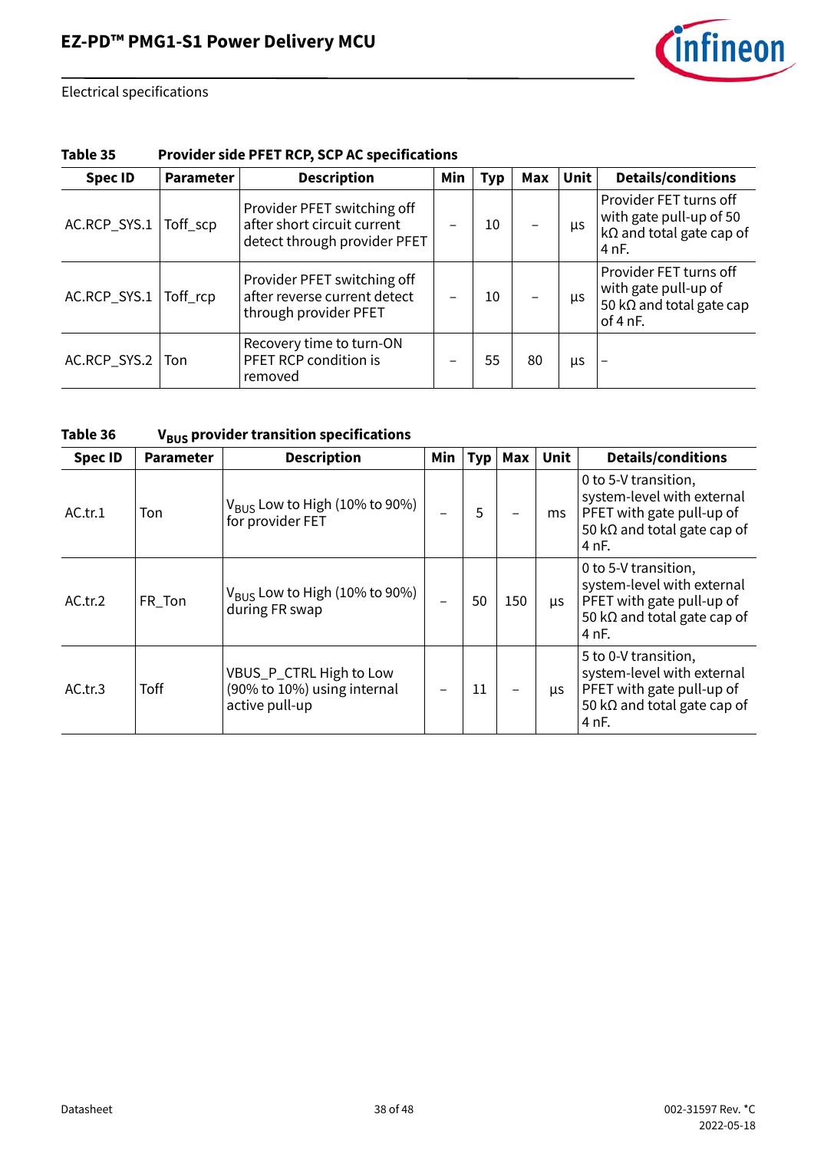

#### **Table 35 Provider side PFET RCP, SCP AC specifications**

| <b>Spec ID</b> | Parameter | <b>Description</b>                                                                         | Min | <b>Typ</b> | Max | Unit | <b>Details/conditions</b>                                                                        |
|----------------|-----------|--------------------------------------------------------------------------------------------|-----|------------|-----|------|--------------------------------------------------------------------------------------------------|
| AC.RCP_SYS.1   | Toff_scp  | Provider PFET switching off<br>after short circuit current<br>detect through provider PFET |     | 10         |     | μs   | Provider FET turns off<br>with gate pull-up of 50<br>$k\Omega$ and total gate cap of<br>4 nF.    |
| AC.RCP_SYS.1   | Toff_rcp  | Provider PFET switching off<br>after reverse current detect<br>through provider PFET       |     | 10         |     | μs   | Provider FET turns off<br>with gate pull-up of<br>50 k $\Omega$ and total gate cap<br>of $4$ nF. |
| AC.RCP_SYS.2   | Ton       | Recovery time to turn-ON<br>PFET RCP condition is<br>removed                               |     | 55         | 80  | μs   | $\overline{\phantom{0}}$                                                                         |

#### <span id="page-37-0"></span>Table 36 V<sub>BUS</sub> provider transition specifications

|                | - - -            |                                                                          |     |     |     |            |                                                                                                                                 |
|----------------|------------------|--------------------------------------------------------------------------|-----|-----|-----|------------|---------------------------------------------------------------------------------------------------------------------------------|
| <b>Spec ID</b> | <b>Parameter</b> | <b>Description</b>                                                       | Min | Typ | Max | Unit       | <b>Details/conditions</b>                                                                                                       |
| AC.tr.1        | Ton              | $V_{\text{BUS}}$ Low to High (10% to 90%)<br>for provider FET            |     | 5   |     | ms         | 0 to 5-V transition,<br>system-level with external<br>PFET with gate pull-up of<br>50 k $\Omega$ and total gate cap of<br>4 nF. |
| AC.tr.2        | FR_Ton           | $V_{\text{BUS}}$ Low to High (10% to 90%)<br>during FR swap              |     | 50  | 150 | μs         | 0 to 5-V transition,<br>system-level with external<br>PFET with gate pull-up of<br>50 k $\Omega$ and total gate cap of<br>4 nF. |
| AC.tr.3        | <b>Toff</b>      | VBUS_P_CTRL High to Low<br>(90% to 10%) using internal<br>active pull-up |     | 11  |     | <b>LLS</b> | 5 to 0-V transition,<br>system-level with external<br>PFET with gate pull-up of<br>50 k $\Omega$ and total gate cap of<br>4 nF. |

2022-05-18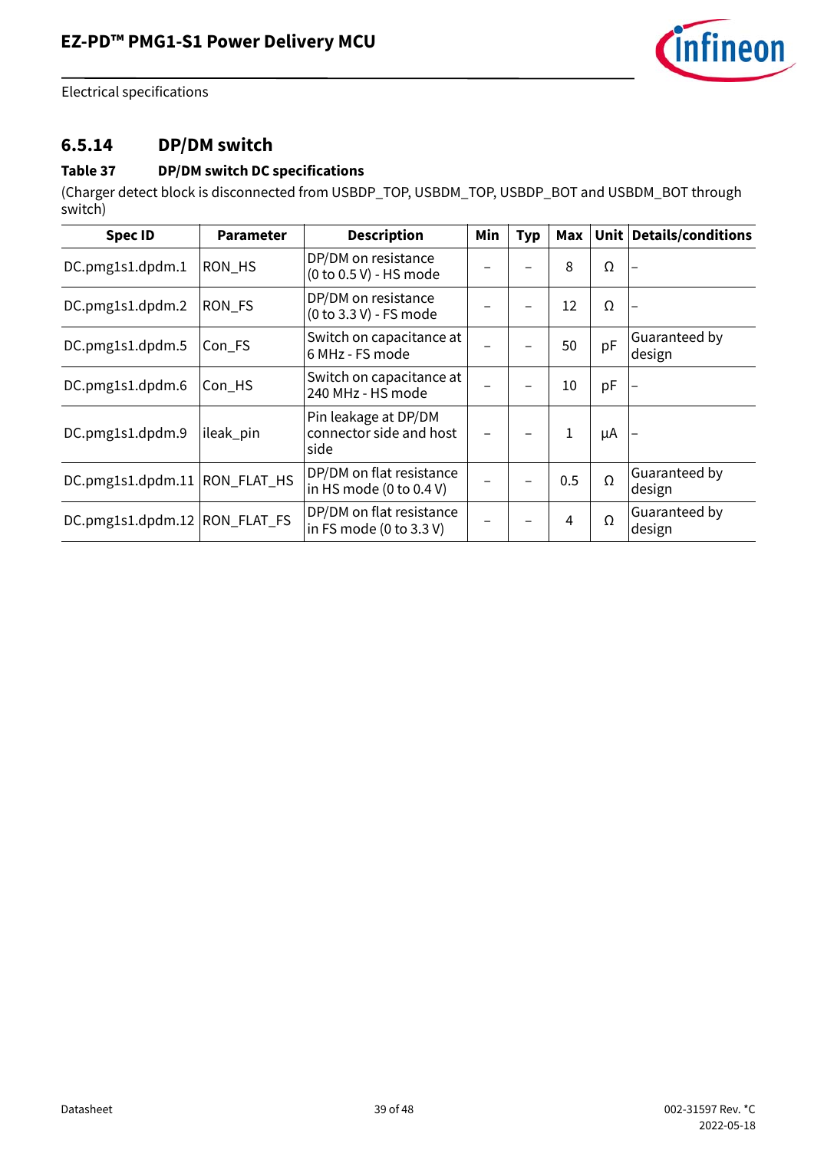

### **6.5.14 DP/DM switch**

#### **Table 37 DP/DM switch DC specifications**

(Charger detect block is disconnected from USBDP\_TOP, USBDM\_TOP, USBDP\_BOT and USBDM\_BOT through switch)

| <b>Spec ID</b>                | <b>Parameter</b> | <b>Description</b>                                                     | Min | <b>Typ</b> |              |    | Max   Unit   Details/conditions |
|-------------------------------|------------------|------------------------------------------------------------------------|-----|------------|--------------|----|---------------------------------|
| DC.pmg1s1.dpdm.1              | RON HS           | DP/DM on resistance<br>(0 to 0.5 V) - HS mode                          |     |            | 8            | Ω  |                                 |
| DC.pmg1s1.dpdm.2              | RON_FS           | DP/DM on resistance<br>(0 to 3.3 V) - FS mode                          |     |            | 12           | Ω  |                                 |
| DC.pmg1s1.dpdm.5              | Con_FS           | Switch on capacitance at<br>6 MHz - FS mode                            |     |            | 50           | pF | Guaranteed by<br>design         |
| DC.pmg1s1.dpdm.6              | Con_HS           | Switch on capacitance at<br>240 MHz - HS mode                          |     |            | 10           | pF |                                 |
| DC.pmg1s1.dpdm.9              | ileak_pin        | Pin leakage at DP/DM<br>connector side and host<br>side                |     |            | $\mathbf{1}$ | μA |                                 |
| DC.pmg1s1.dpdm.11 RON_FLAT_HS |                  | DP/DM on flat resistance<br>in HS mode $(0 \text{ to } 0.4 \text{ V})$ |     |            | 0.5          | Ω  | Guaranteed by<br>design         |
| DC.pmg1s1.dpdm.12 RON_FLAT_FS |                  | DP/DM on flat resistance<br>in FS mode (0 to 3.3 V)                    |     |            | 4            | Ω  | Guaranteed by<br>design         |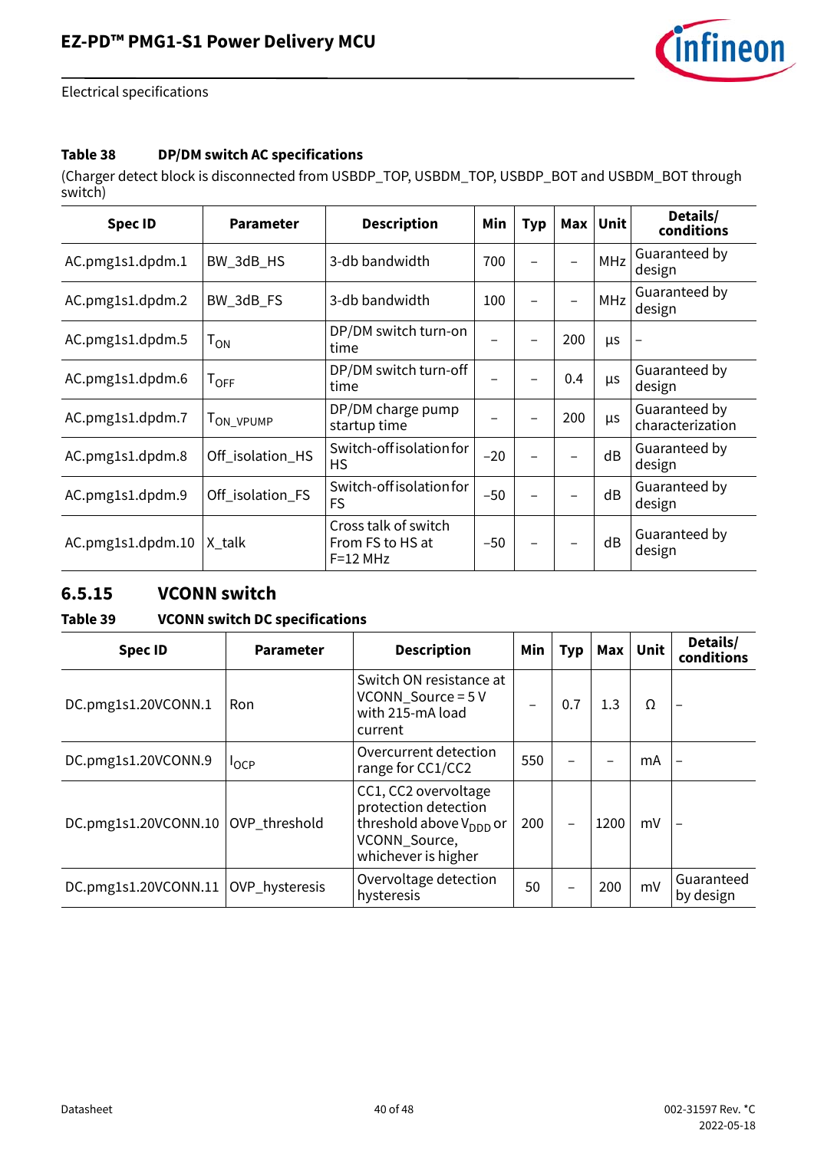

#### **Table 38 DP/DM switch AC specifications**

(Charger detect block is disconnected from USBDP\_TOP, USBDM\_TOP, USBDP\_BOT and USBDM\_BOT through switch)

| <b>Spec ID</b>    | <b>Parameter</b>            | <b>Description</b>                                     | Min   | Typ | <b>Max</b> | <b>Unit</b> | Details/<br>conditions            |
|-------------------|-----------------------------|--------------------------------------------------------|-------|-----|------------|-------------|-----------------------------------|
| AC.pmg1s1.dpdm.1  | BW_3dB_HS                   | 3-db bandwidth                                         | 700   |     |            | MHz         | Guaranteed by<br>design           |
| AC.pmg1s1.dpdm.2  | BW_3dB_FS                   | 3-db bandwidth                                         | 100   |     |            | <b>MHz</b>  | Guaranteed by<br>design           |
| AC.pmg1s1.dpdm.5  | $\mathsf{T}_{\mathsf{ON}}$  | DP/DM switch turn-on<br>time                           |       |     | 200        | μs          |                                   |
| AC.pmg1s1.dpdm.6  | $\mathsf{T}_{\mathsf{OFF}}$ | DP/DM switch turn-off<br>time                          |       |     | 0.4        | μs          | Guaranteed by<br>design           |
| AC.pmg1s1.dpdm.7  | <b>LON VPUMP</b>            | DP/DM charge pump<br>startup time                      |       |     | 200        | μs          | Guaranteed by<br>characterization |
| AC.pmg1s1.dpdm.8  | Off_isolation_HS            | Switch-off isolation for<br><b>HS</b>                  | $-20$ |     |            | dB          | Guaranteed by<br>design           |
| AC.pmg1s1.dpdm.9  | Off_isolation_FS            | Switch-off isolation for<br><b>FS</b>                  | $-50$ |     |            | dB          | Guaranteed by<br>design           |
| AC.pmg1s1.dpdm.10 | X talk                      | Cross talk of switch<br>From FS to HS at<br>$F=12$ MHz | $-50$ |     |            | dB          | Guaranteed by<br>design           |

#### **6.5.15 VCONN switch**

**Table 39 VCONN switch DC specifications**

| <b>Spec ID</b>       | <b>Parameter</b> | <b>Description</b><br>Min                                                                                                   |                          | <b>Typ</b> | Max  | Unit | Details/<br>conditions  |
|----------------------|------------------|-----------------------------------------------------------------------------------------------------------------------------|--------------------------|------------|------|------|-------------------------|
| DC.pmg1s1.20VCONN.1  | <b>Ron</b>       | Switch ON resistance at<br>$VCONN_Source = 5V$<br>with 215-mA load<br>current                                               | $\overline{\phantom{0}}$ | 0.7        | 1.3  | Ω    |                         |
| DC.pmg1s1.20VCONN.9  | <b>I</b> OCP     | Overcurrent detection<br>range for CC1/CC2                                                                                  | 550                      |            |      | mA   |                         |
| DC.pmg1s1.20VCONN.10 | OVP_threshold    | CC1, CC2 overvoltage<br>protection detection<br>threshold above V <sub>DDD</sub> or<br>VCONN_Source,<br>whichever is higher | 200                      |            | 1200 | mV   |                         |
| DC.pmg1s1.20VCONN.11 | OVP_hysteresis   | Overvoltage detection<br>hysteresis                                                                                         | 50                       |            | 200  | mV   | Guaranteed<br>by design |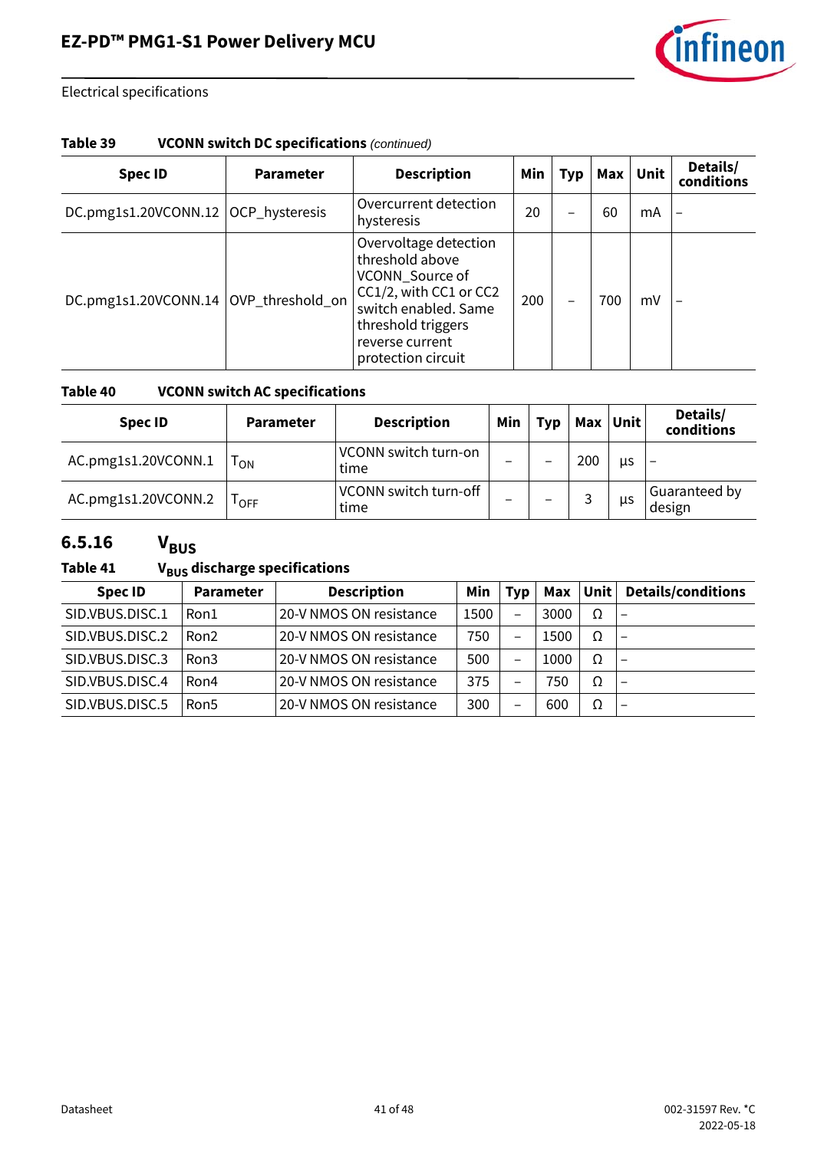

#### **Table 39 VCONN switch DC specifications** *(continued)*

| <b>Spec ID</b>                      | <b>Parameter</b> | <b>Description</b>                                                                                                                                                           | Min | <b>Typ</b> |     | Max Unit | Details/<br>conditions |
|-------------------------------------|------------------|------------------------------------------------------------------------------------------------------------------------------------------------------------------------------|-----|------------|-----|----------|------------------------|
| DC.pmg1s1.20VCONN.12 OCP_hysteresis |                  | Overcurrent detection<br>hysteresis                                                                                                                                          | 20  |            | 60  | mA       |                        |
| DC.pmg1s1.20VCONN.14                | OVP_threshold_on | Overvoltage detection<br>threshold above<br>VCONN_Source of<br>CC1/2, with CC1 or CC2<br>switch enabled. Same<br>threshold triggers<br>reverse current<br>protection circuit | 200 |            | 700 | mV       |                        |

#### **Table 40 VCONN switch AC specifications**

| <b>Spec ID</b>      | <b>Parameter</b>            | <b>Description</b>            | Min | <b>Typ</b> | Max    | Unit | Details/<br>conditions  |
|---------------------|-----------------------------|-------------------------------|-----|------------|--------|------|-------------------------|
| AC.pmg1s1.20VCONN.1 | ON                          | VCONN switch turn-on<br>time  | -   |            | 200    | us   |                         |
| AC.pmg1s1.20VCONN.2 | $\mathsf{I}_{\mathsf{OFF}}$ | VCONN switch turn-off<br>time | -   | -          | ာ<br>ٮ | μs   | Guaranteed by<br>design |

### **6.5.16 VBUS**

#### Table 41 V<sub>BUS</sub> discharge specifications

| <b>Spec ID</b>  | <b>Parameter</b> | <b>Description</b>      | Min  | Tvp                      | Max  | Unit | <b>Details/conditions</b> |
|-----------------|------------------|-------------------------|------|--------------------------|------|------|---------------------------|
| SID.VBUS.DISC.1 | Ron1             | 20-V NMOS ON resistance | 1500 | $\overline{\phantom{0}}$ | 3000 | Ω    | $\qquad \qquad$           |
| SID.VBUS.DISC.2 | Ron <sub>2</sub> | 20-V NMOS ON resistance | 750  | $\overline{\phantom{0}}$ | 1500 | Ω    | $\qquad \qquad$           |
| SID.VBUS.DISC.3 | Ron3             | 20-V NMOS ON resistance | 500  | $\overline{\phantom{0}}$ | 1000 | Ω    | $\overline{\phantom{m}}$  |
| SID.VBUS.DISC.4 | Ron4             | 20-V NMOS ON resistance | 375  | —                        | 750  | Ω    | $\qquad \qquad$           |
| SID.VBUS.DISC.5 | Ron <sub>5</sub> | 20-V NMOS ON resistance | 300  | —                        | 600  | Ω    | $\overline{\phantom{0}}$  |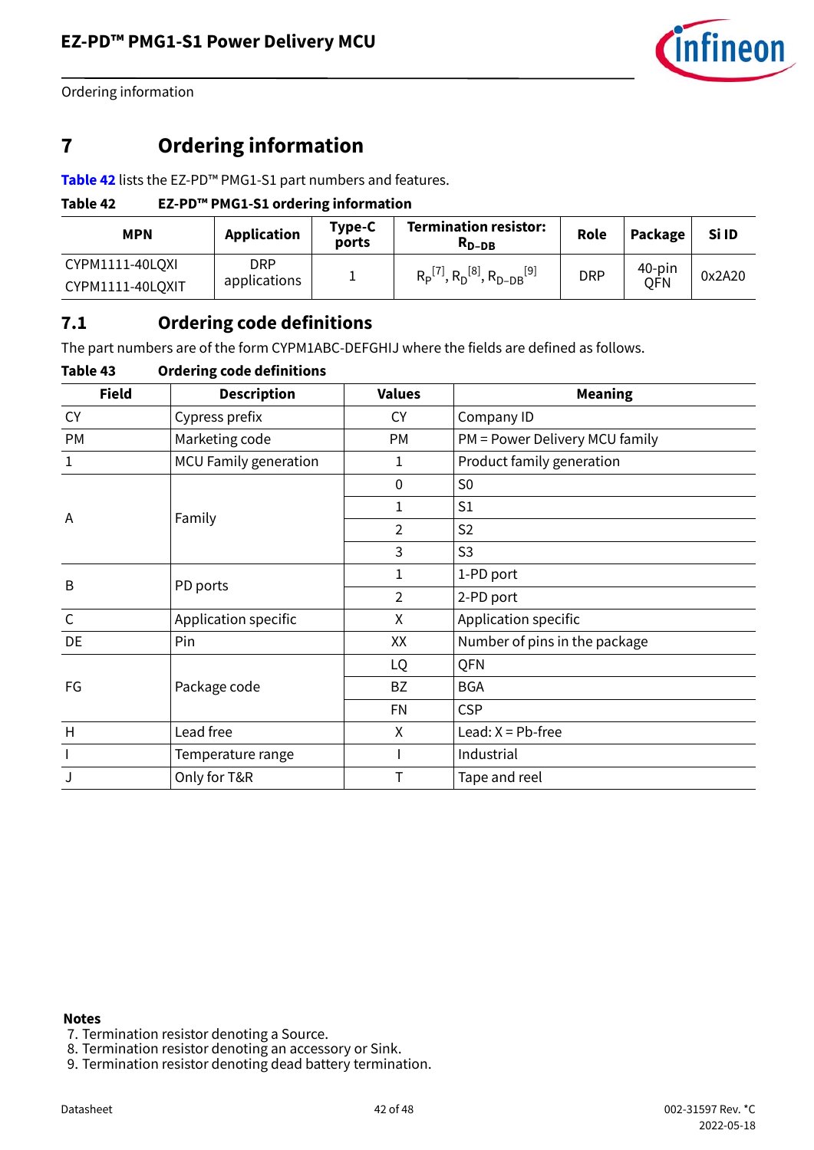

Ordering information

# <span id="page-41-0"></span>**7 Ordering information**

**[Table 42](#page-41-2)** lists the EZ-PD™ PMG1-S1 part numbers and features.

#### <span id="page-41-2"></span>**Table 42 EZ-PD™ PMG1-S1 ordering information**

| <b>MPN</b>       | Application  | Type-C<br>ports | <b>Termination resistor:</b><br>$R_{D-DB}$                                              | Role       | Package    | Si ID  |
|------------------|--------------|-----------------|-----------------------------------------------------------------------------------------|------------|------------|--------|
| CYPM1111-40LQXI  | DRP          |                 | $R_{\rm p}$ <sup>[7]</sup> , $R_{\rm D}$ <sup>[8]</sup> , $R_{\rm D-DB}$ <sup>[9]</sup> | <b>DRP</b> | 40-pin     | 0x2A20 |
| CYPM1111-40LQXIT | applications |                 |                                                                                         |            | <b>OFN</b> |        |

### <span id="page-41-1"></span>**7.1 Ordering code definitions**

The part numbers are of the form CYPM1ABC-DEFGHIJ where the fields are defined as follows.

#### **Table 43 Ordering code definitions**

| <b>Field</b> | <b>Description</b>           | <b>Values</b> | <b>Meaning</b>                 |
|--------------|------------------------------|---------------|--------------------------------|
| <b>CY</b>    | Cypress prefix               | <b>CY</b>     | Company ID                     |
| PM           | Marketing code               | <b>PM</b>     | PM = Power Delivery MCU family |
| 1            | <b>MCU Family generation</b> | 1             | Product family generation      |
|              |                              | $\mathbf{0}$  | S <sub>0</sub>                 |
| A            |                              | 1             | S <sub>1</sub>                 |
|              | Family                       | 2             | S <sub>2</sub>                 |
|              |                              | 3             | S <sub>3</sub>                 |
| B            | PD ports                     | 1             | 1-PD port                      |
|              |                              | 2             | 2-PD port                      |
| $\mathsf{C}$ | Application specific         | X             | Application specific           |
| DE           | Pin                          | XX            | Number of pins in the package  |
|              |                              | LQ            | QFN                            |
| FG           | Package code                 | <b>BZ</b>     | <b>BGA</b>                     |
|              |                              | <b>FN</b>     | <b>CSP</b>                     |
| H            | Lead free                    | χ             | Lead: $X = Pb$ -free           |
|              | Temperature range            |               | Industrial                     |
|              | Only for T&R                 | Т             | Tape and reel                  |

#### **Notes**

- <span id="page-41-4"></span>7. Termination resistor denoting a Source.
- <span id="page-41-5"></span>8. Termination resistor denoting an accessory or Sink.
- <span id="page-41-3"></span>9. Termination resistor denoting dead battery termination.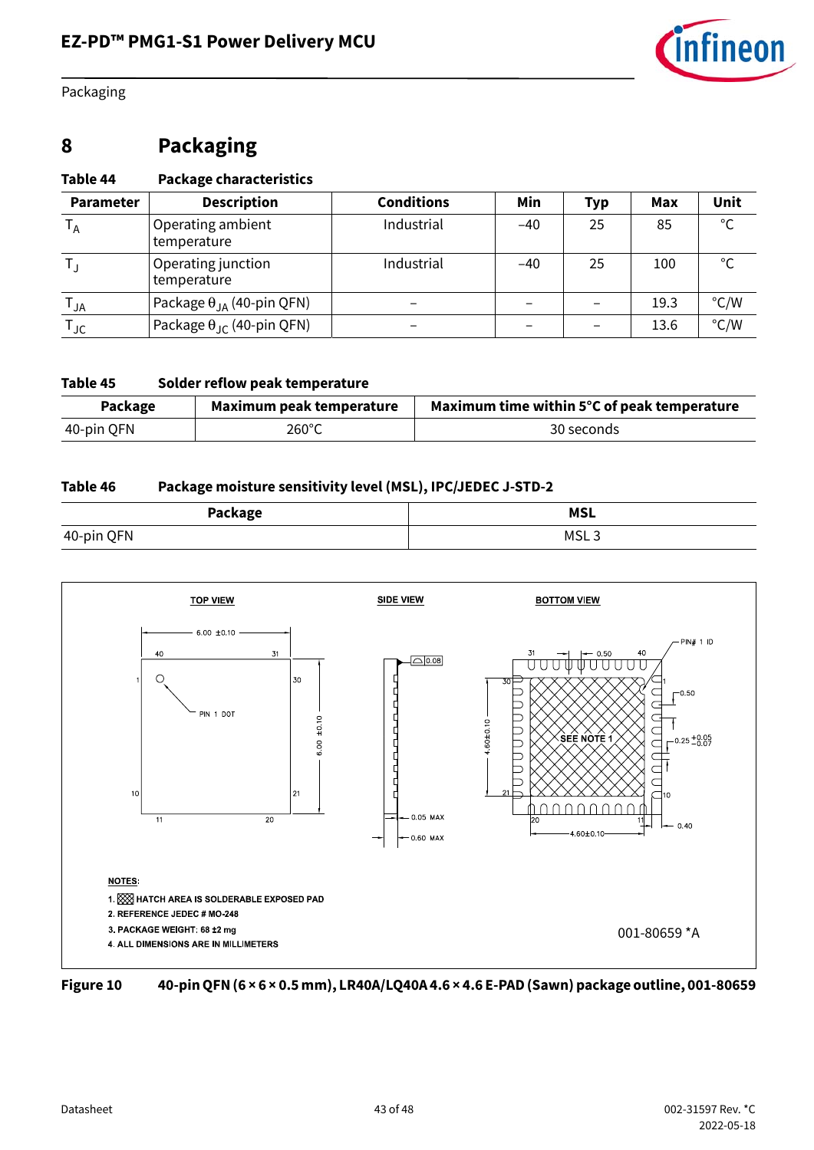

Packaging

# <span id="page-42-0"></span>**8 Packaging**

#### **Table 44 Package characteristics**

| <b>Parameter</b>           | <b>Description</b>                        | <b>Conditions</b> | Min   | Typ | Max  | Unit          |
|----------------------------|-------------------------------------------|-------------------|-------|-----|------|---------------|
| $I_A$                      | Operating ambient<br>temperature          | Industrial        | $-40$ | 25  | 85   | $^{\circ}$ C  |
|                            | Operating junction<br>temperature         | Industrial        | $-40$ | 25  | 100  | $^{\circ}$ C  |
| $\mathsf{I}_{\mathsf{JA}}$ | Package $\theta_{JA}$ (40-pin QFN)        |                   |       |     | 19.3 | $\degree$ C/W |
| TJC                        | Package $\theta_{\text{JC}}$ (40-pin QFN) |                   |       |     | 13.6 | $\degree$ C/W |

#### **Table 45 Solder reflow peak temperature**

| Package    | Maximum peak temperature | Maximum time within 5°C of peak temperature |
|------------|--------------------------|---------------------------------------------|
| 40-pin QFN | $260^{\circ}$ C          | 30 seconds                                  |

#### **Table 46 Package moisture sensitivity level (MSL), IPC/JEDEC J-STD-2**

| Package    | <b>MSL</b>       |
|------------|------------------|
| 40-pin QFN | MSL <sub>3</sub> |



**Figure 10 40-pin QFN (6 × 6 × 0.5 mm), LR40A/LQ40A 4.6 × 4.6 E-PAD (Sawn) package outline, 001-80659**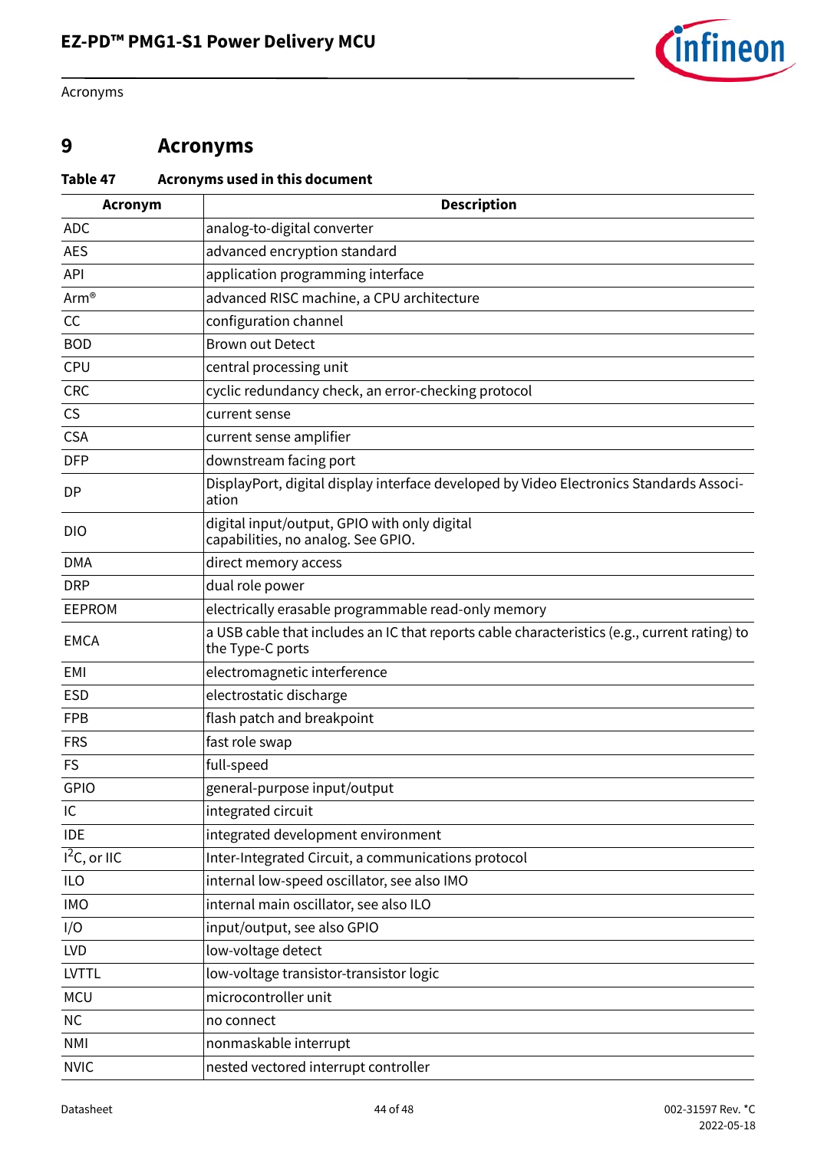

Acronyms

## <span id="page-43-0"></span>**9 Acronyms**

#### <span id="page-43-1"></span>**Table 47 Acronyms used in this document**

| <b>Acronym</b>  | <b>Description</b>                                                                                               |
|-----------------|------------------------------------------------------------------------------------------------------------------|
| <b>ADC</b>      | analog-to-digital converter                                                                                      |
| <b>AES</b>      | advanced encryption standard                                                                                     |
| API             | application programming interface                                                                                |
| Arm®            | advanced RISC machine, a CPU architecture                                                                        |
| CC              | configuration channel                                                                                            |
| <b>BOD</b>      | <b>Brown out Detect</b>                                                                                          |
| CPU             | central processing unit                                                                                          |
| <b>CRC</b>      | cyclic redundancy check, an error-checking protocol                                                              |
| <b>CS</b>       | current sense                                                                                                    |
| <b>CSA</b>      | current sense amplifier                                                                                          |
| <b>DFP</b>      | downstream facing port                                                                                           |
| <b>DP</b>       | DisplayPort, digital display interface developed by Video Electronics Standards Associ-<br>ation                 |
| <b>DIO</b>      | digital input/output, GPIO with only digital<br>capabilities, no analog. See GPIO.                               |
| <b>DMA</b>      | direct memory access                                                                                             |
| <b>DRP</b>      | dual role power                                                                                                  |
| <b>EEPROM</b>   | electrically erasable programmable read-only memory                                                              |
| <b>EMCA</b>     | a USB cable that includes an IC that reports cable characteristics (e.g., current rating) to<br>the Type-C ports |
| EMI             | electromagnetic interference                                                                                     |
| <b>ESD</b>      | electrostatic discharge                                                                                          |
| <b>FPB</b>      | flash patch and breakpoint                                                                                       |
| <b>FRS</b>      | fast role swap                                                                                                   |
| <b>FS</b>       | full-speed                                                                                                       |
| GPIO            | general-purpose input/output                                                                                     |
| IC              | integrated circuit                                                                                               |
| <b>IDE</b>      | integrated development environment                                                                               |
| $I^2C$ , or IIC | Inter-Integrated Circuit, a communications protocol                                                              |
| <b>ILO</b>      | internal low-speed oscillator, see also IMO                                                                      |
| <b>IMO</b>      | internal main oscillator, see also ILO                                                                           |
| I/O             | input/output, see also GPIO                                                                                      |
| <b>LVD</b>      | low-voltage detect                                                                                               |
| <b>LVTTL</b>    | low-voltage transistor-transistor logic                                                                          |
| <b>MCU</b>      | microcontroller unit                                                                                             |
| NC              | no connect                                                                                                       |
| <b>NMI</b>      | nonmaskable interrupt                                                                                            |
| <b>NVIC</b>     | nested vectored interrupt controller                                                                             |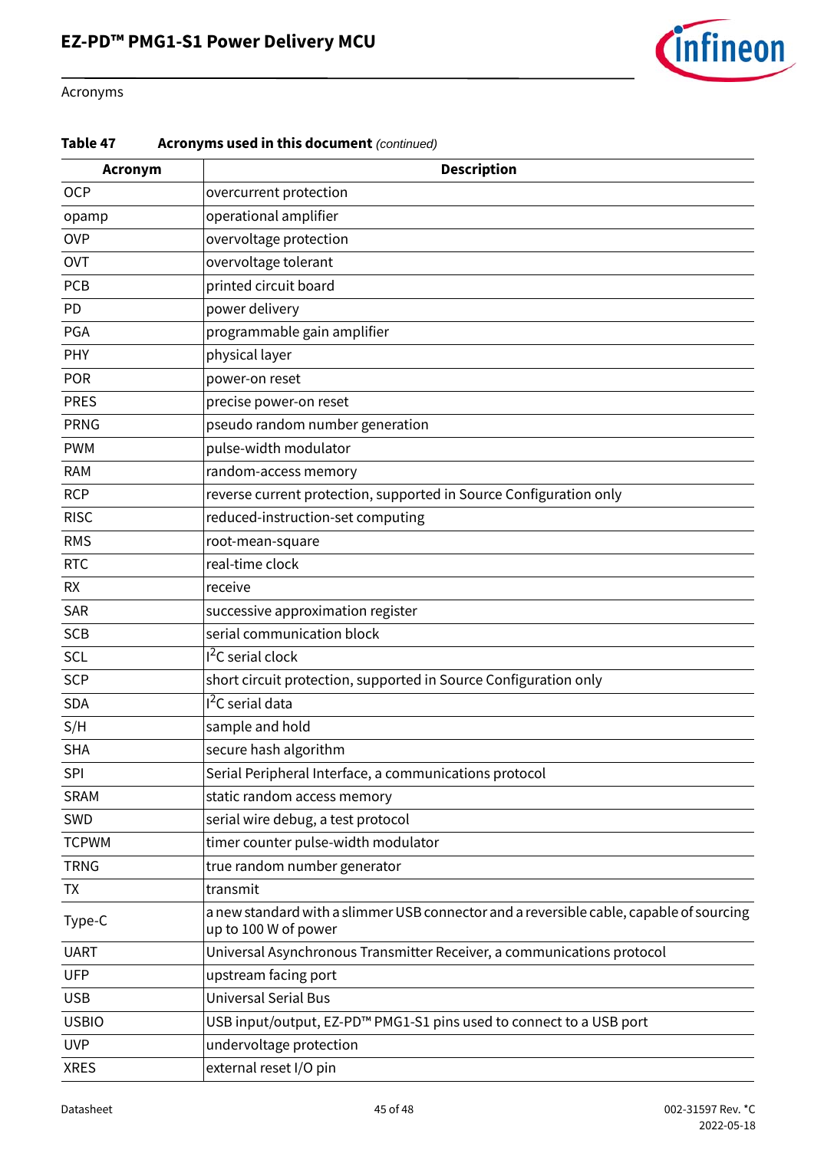

#### Acronyms

#### **Table 47 Acronyms used in this document** *(continued)*

| <b>Acronym</b> | <b>Description</b>                                                                                              |
|----------------|-----------------------------------------------------------------------------------------------------------------|
| <b>OCP</b>     | overcurrent protection                                                                                          |
| opamp          | operational amplifier                                                                                           |
| <b>OVP</b>     | overvoltage protection                                                                                          |
| <b>OVT</b>     | overvoltage tolerant                                                                                            |
| <b>PCB</b>     | printed circuit board                                                                                           |
| PD             | power delivery                                                                                                  |
| PGA            | programmable gain amplifier                                                                                     |
| PHY            | physical layer                                                                                                  |
| <b>POR</b>     | power-on reset                                                                                                  |
| <b>PRES</b>    | precise power-on reset                                                                                          |
| <b>PRNG</b>    | pseudo random number generation                                                                                 |
| <b>PWM</b>     | pulse-width modulator                                                                                           |
| <b>RAM</b>     | random-access memory                                                                                            |
| <b>RCP</b>     | reverse current protection, supported in Source Configuration only                                              |
| <b>RISC</b>    | reduced-instruction-set computing                                                                               |
| <b>RMS</b>     | root-mean-square                                                                                                |
| <b>RTC</b>     | real-time clock                                                                                                 |
| <b>RX</b>      | receive                                                                                                         |
| SAR            | successive approximation register                                                                               |
| <b>SCB</b>     | serial communication block                                                                                      |
| SCL            | <sup>2</sup> C serial clock                                                                                     |
| <b>SCP</b>     | short circuit protection, supported in Source Configuration only                                                |
| <b>SDA</b>     | I <sup>2</sup> C serial data                                                                                    |
| S/H            | sample and hold                                                                                                 |
| <b>SHA</b>     | secure hash algorithm                                                                                           |
| <b>SPI</b>     | Serial Peripheral Interface, a communications protocol                                                          |
| <b>SRAM</b>    | static random access memory                                                                                     |
| SWD            | serial wire debug, a test protocol                                                                              |
| <b>TCPWM</b>   | timer counter pulse-width modulator                                                                             |
| <b>TRNG</b>    | true random number generator                                                                                    |
| <b>TX</b>      | transmit                                                                                                        |
| Type-C         | a new standard with a slimmer USB connector and a reversible cable, capable of sourcing<br>up to 100 W of power |
| <b>UART</b>    | Universal Asynchronous Transmitter Receiver, a communications protocol                                          |
| <b>UFP</b>     | upstream facing port                                                                                            |
| <b>USB</b>     | <b>Universal Serial Bus</b>                                                                                     |
| <b>USBIO</b>   | USB input/output, EZ-PD™ PMG1-S1 pins used to connect to a USB port                                             |
| <b>UVP</b>     | undervoltage protection                                                                                         |
| <b>XRES</b>    | external reset I/O pin                                                                                          |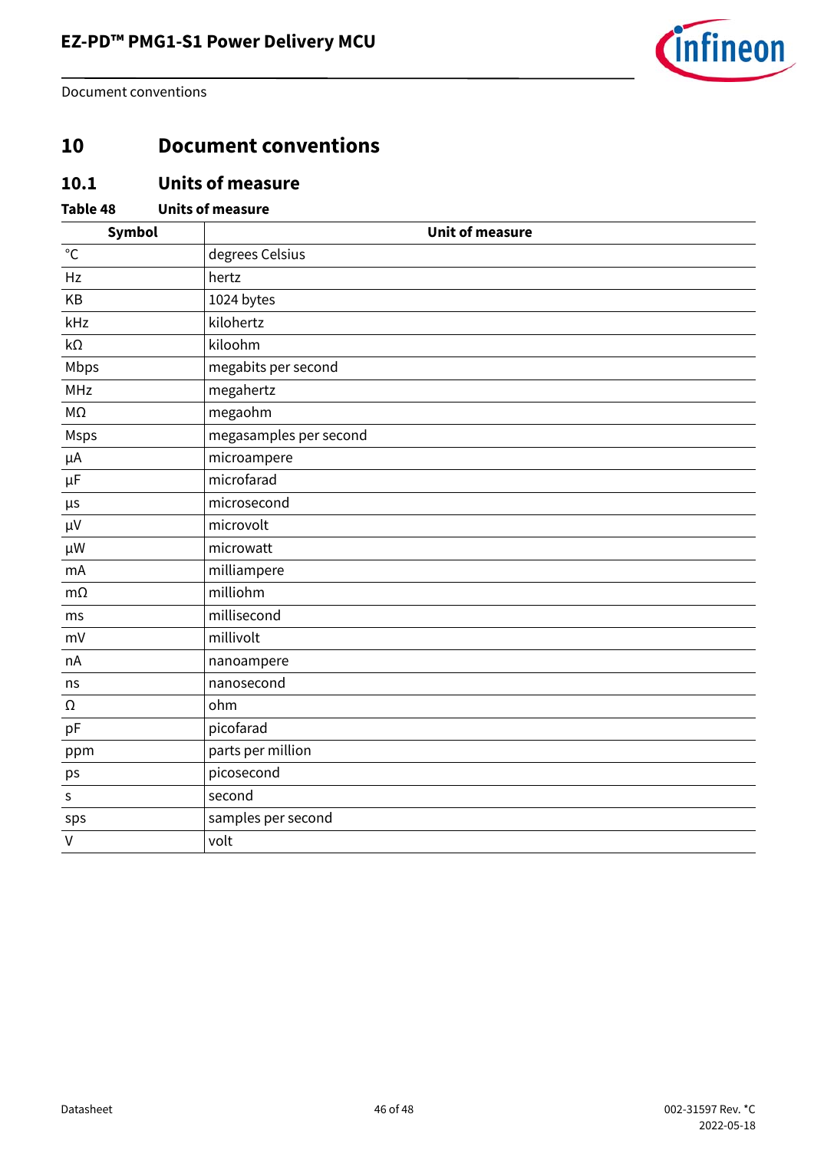

Document conventions

### <span id="page-45-0"></span>**10 Document conventions**

### <span id="page-45-1"></span>**10.1 Units of measure**

#### **Table 48 Units of measure**

| Symbol       | <b>Unit of measure</b> |
|--------------|------------------------|
| $^{\circ}C$  | degrees Celsius        |
| Hz           | hertz                  |
| KB           | 1024 bytes             |
| kHz          | kilohertz              |
| $k\Omega$    | kiloohm                |
| Mbps         | megabits per second    |
| MHz          | megahertz              |
| $M\Omega$    | megaohm                |
| Msps         | megasamples per second |
| μA           | microampere            |
| $\mu$ F      | microfarad             |
| $\mu$ s      | microsecond            |
| $\mu V$      | microvolt              |
| $\mu$ W      | microwatt              |
| mA           | milliampere            |
| $m\Omega$    | milliohm               |
| ms           | millisecond            |
| mV           | millivolt              |
| nA           | nanoampere             |
| ns           | nanosecond             |
| Ω            | ohm                    |
| pF           | picofarad              |
| ppm          | parts per million      |
| ps           | picosecond             |
| $\sf S$      | second                 |
| sps          | samples per second     |
| $\mathsf{V}$ | volt                   |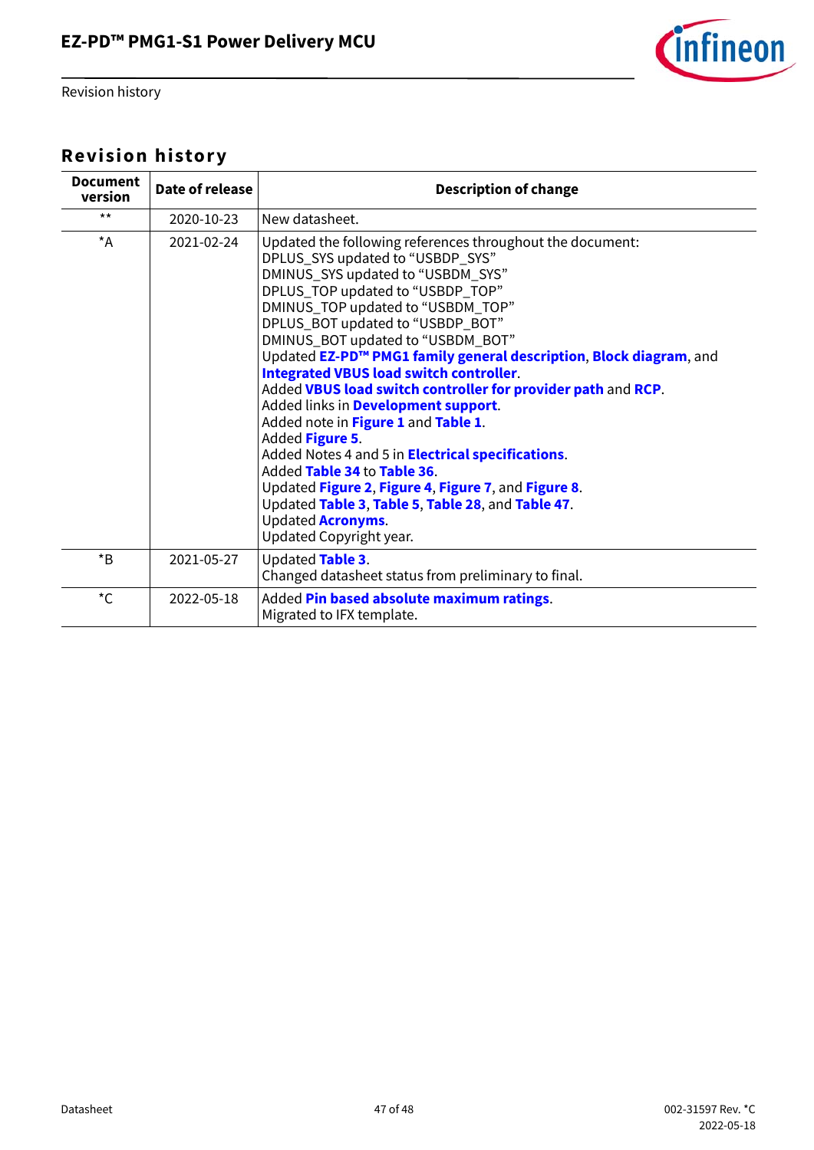

Revision history

# <span id="page-46-0"></span>**Revision history**

| Date of release | <b>Description of change</b>                                                                                                                                                                                                                                                                                                                                                                                                                                                                                                                                                                                                                                                                                                                                                                                                                 |
|-----------------|----------------------------------------------------------------------------------------------------------------------------------------------------------------------------------------------------------------------------------------------------------------------------------------------------------------------------------------------------------------------------------------------------------------------------------------------------------------------------------------------------------------------------------------------------------------------------------------------------------------------------------------------------------------------------------------------------------------------------------------------------------------------------------------------------------------------------------------------|
| 2020-10-23      | New datasheet.                                                                                                                                                                                                                                                                                                                                                                                                                                                                                                                                                                                                                                                                                                                                                                                                                               |
| 2021-02-24      | Updated the following references throughout the document:<br>DPLUS_SYS updated to "USBDP_SYS"<br>DMINUS_SYS updated to "USBDM_SYS"<br>DPLUS_TOP updated to "USBDP_TOP"<br>DMINUS_TOP updated to "USBDM_TOP"<br>DPLUS_BOT updated to "USBDP_BOT"<br>DMINUS_BOT updated to "USBDM_BOT"<br>Updated EZ-PD™ PMG1 family general description, Block diagram, and<br><b>Integrated VBUS load switch controller.</b><br>Added VBUS load switch controller for provider path and RCP.<br>Added links in Development support.<br>Added note in Figure 1 and Table 1.<br>Added Figure 5.<br>Added Notes 4 and 5 in <b>Electrical specifications</b> .<br>Added Table 34 to Table 36.<br>Updated Figure 2, Figure 4, Figure 7, and Figure 8.<br>Updated Table 3, Table 5, Table 28, and Table 47.<br><b>Updated Acronyms.</b><br>Updated Copyright year. |
| 2021-05-27      | Updated Table 3.<br>Changed datasheet status from preliminary to final.                                                                                                                                                                                                                                                                                                                                                                                                                                                                                                                                                                                                                                                                                                                                                                      |
| 2022-05-18      | Added Pin based absolute maximum ratings.<br>Migrated to IFX template.                                                                                                                                                                                                                                                                                                                                                                                                                                                                                                                                                                                                                                                                                                                                                                       |
|                 |                                                                                                                                                                                                                                                                                                                                                                                                                                                                                                                                                                                                                                                                                                                                                                                                                                              |